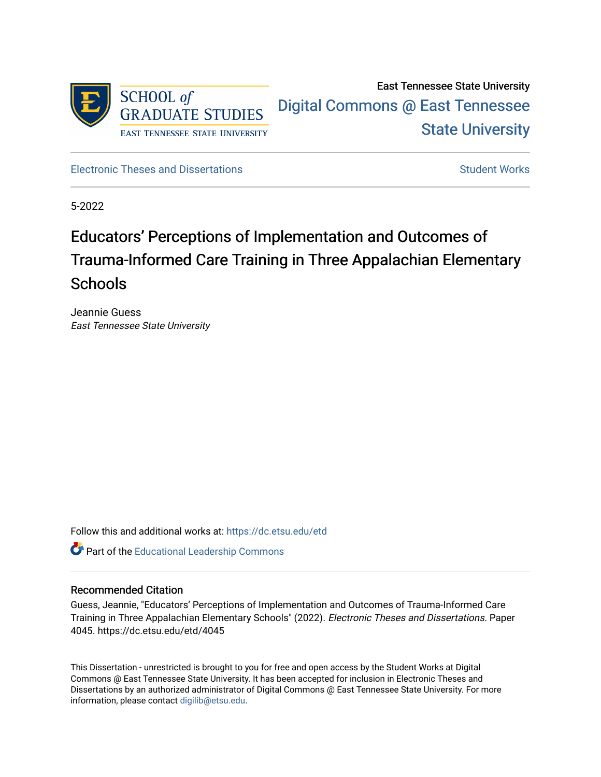

## East Tennessee State University [Digital Commons @ East Tennessee](https://dc.etsu.edu/)  [State University](https://dc.etsu.edu/)

[Electronic Theses and Dissertations](https://dc.etsu.edu/etd) [Student Works](https://dc.etsu.edu/student-works) Student Works

5-2022

# Educators' Perceptions of Implementation and Outcomes of Trauma-Informed Care Training in Three Appalachian Elementary **Schools**

Jeannie Guess East Tennessee State University

Follow this and additional works at: [https://dc.etsu.edu/etd](https://dc.etsu.edu/etd?utm_source=dc.etsu.edu%2Fetd%2F4045&utm_medium=PDF&utm_campaign=PDFCoverPages)

**Part of the Educational Leadership Commons** 

#### Recommended Citation

Guess, Jeannie, "Educators' Perceptions of Implementation and Outcomes of Trauma-Informed Care Training in Three Appalachian Elementary Schools" (2022). Electronic Theses and Dissertations. Paper 4045. https://dc.etsu.edu/etd/4045

This Dissertation - unrestricted is brought to you for free and open access by the Student Works at Digital Commons @ East Tennessee State University. It has been accepted for inclusion in Electronic Theses and Dissertations by an authorized administrator of Digital Commons @ East Tennessee State University. For more information, please contact [digilib@etsu.edu.](mailto:digilib@etsu.edu)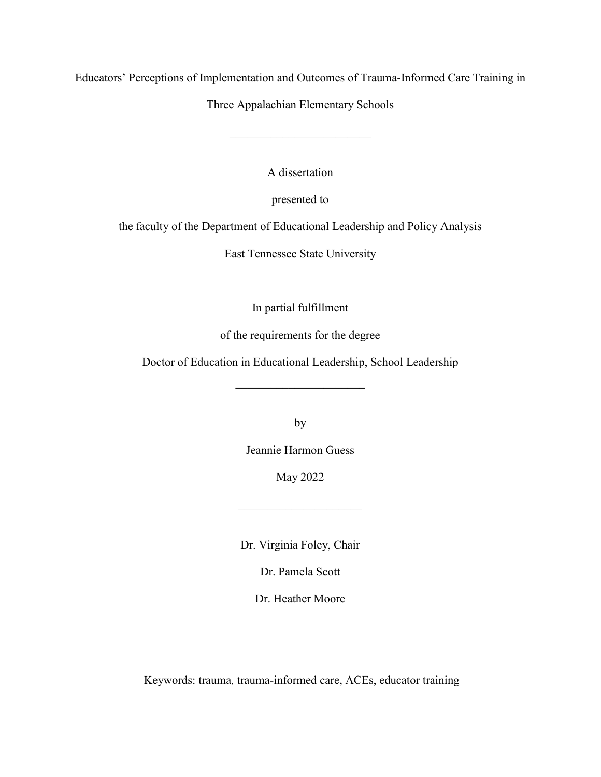Educators' Perceptions of Implementation and Outcomes of Trauma-Informed Care Training in

Three Appalachian Elementary Schools

 $\overline{\phantom{a}}$  , and the set of the set of the set of the set of the set of the set of the set of the set of the set of the set of the set of the set of the set of the set of the set of the set of the set of the set of the s

A dissertation

presented to

the faculty of the Department of Educational Leadership and Policy Analysis

East Tennessee State University

In partial fulfillment

of the requirements for the degree

Doctor of Education in Educational Leadership, School Leadership

by

Jeannie Harmon Guess

May 2022

 $\overline{\phantom{a}}$  , which is a set of the set of the set of the set of the set of the set of the set of the set of the set of the set of the set of the set of the set of the set of the set of the set of the set of the set of th

Dr. Virginia Foley, Chair

Dr. Pamela Scott

Dr. Heather Moore

Keywords: trauma*,* trauma-informed care, ACEs, educator training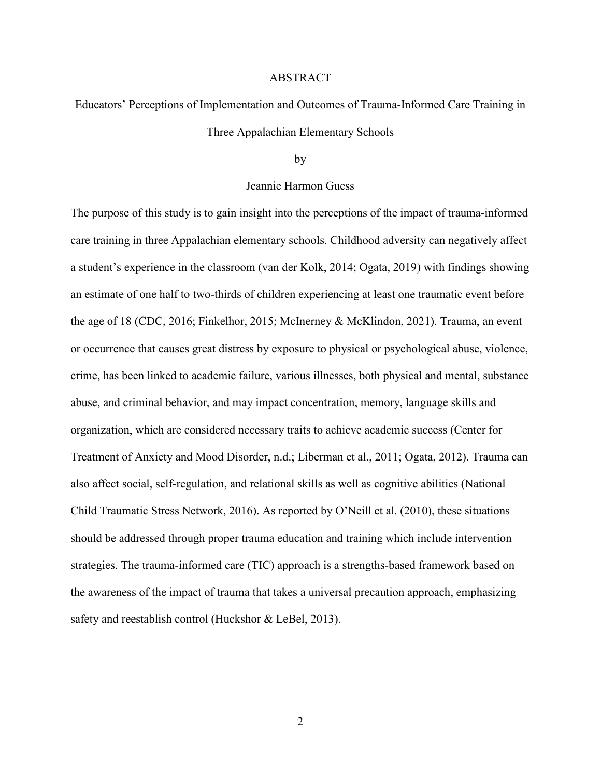#### ABSTRACT

Educators' Perceptions of Implementation and Outcomes of Trauma-Informed Care Training in Three Appalachian Elementary Schools

by

#### Jeannie Harmon Guess

The purpose of this study is to gain insight into the perceptions of the impact of trauma-informed care training in three Appalachian elementary schools. Childhood adversity can negatively affect a student's experience in the classroom (van der Kolk, 2014; Ogata, 2019) with findings showing an estimate of one half to two-thirds of children experiencing at least one traumatic event before the age of 18 (CDC, 2016; Finkelhor, 2015; McInerney & McKlindon, 2021). Trauma, an event or occurrence that causes great distress by exposure to physical or psychological abuse, violence, crime, has been linked to academic failure, various illnesses, both physical and mental, substance abuse, and criminal behavior, and may impact concentration, memory, language skills and organization, which are considered necessary traits to achieve academic success (Center for Treatment of Anxiety and Mood Disorder, n.d.; Liberman et al., 2011; Ogata, 2012). Trauma can also affect social, self-regulation, and relational skills as well as cognitive abilities (National Child Traumatic Stress Network, 2016). As reported by O'Neill et al. (2010), these situations should be addressed through proper trauma education and training which include intervention strategies. The trauma-informed care (TIC) approach is a strengths-based framework based on the awareness of the impact of trauma that takes a universal precaution approach, emphasizing safety and reestablish control (Huckshor & LeBel, 2013).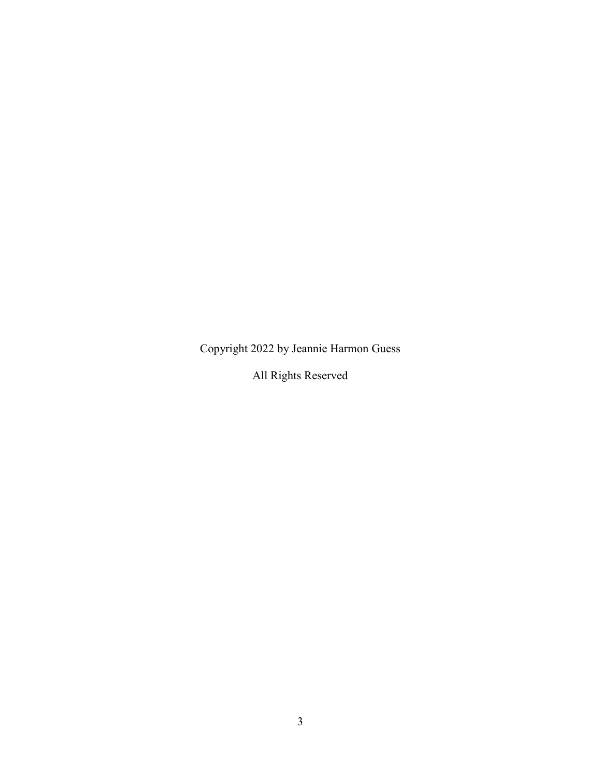Copyright 2022 by Jeannie Harmon Guess

All Rights Reserved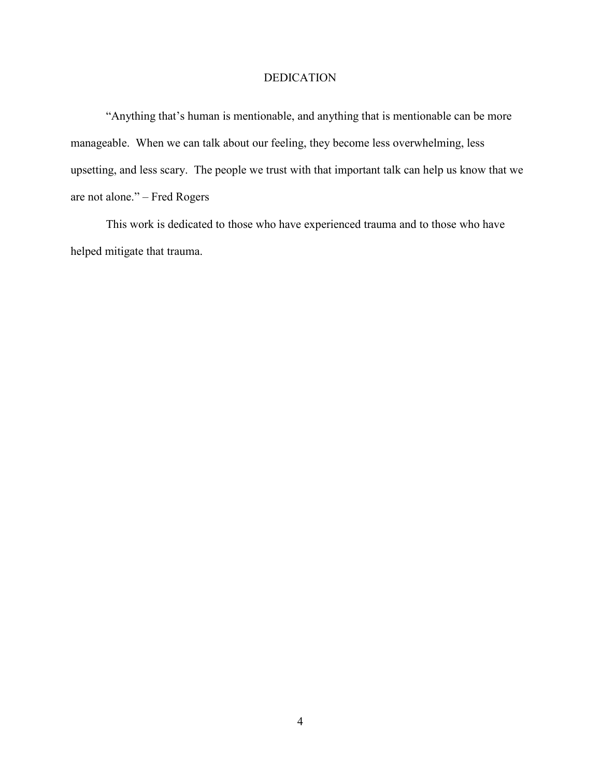#### DEDICATION

"Anything that's human is mentionable, and anything that is mentionable can be more manageable. When we can talk about our feeling, they become less overwhelming, less upsetting, and less scary. The people we trust with that important talk can help us know that we are not alone." – Fred Rogers

This work is dedicated to those who have experienced trauma and to those who have helped mitigate that trauma.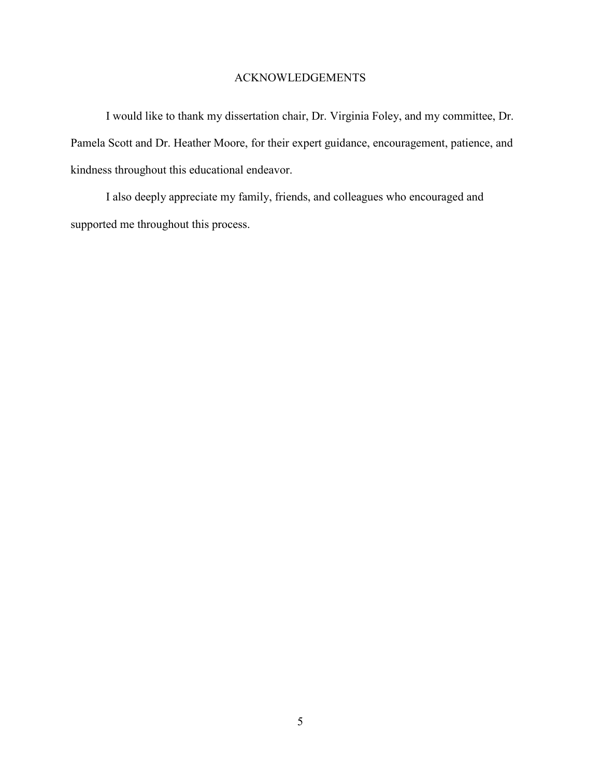## ACKNOWLEDGEMENTS

I would like to thank my dissertation chair, Dr. Virginia Foley, and my committee, Dr. Pamela Scott and Dr. Heather Moore, for their expert guidance, encouragement, patience, and kindness throughout this educational endeavor.

I also deeply appreciate my family, friends, and colleagues who encouraged and supported me throughout this process.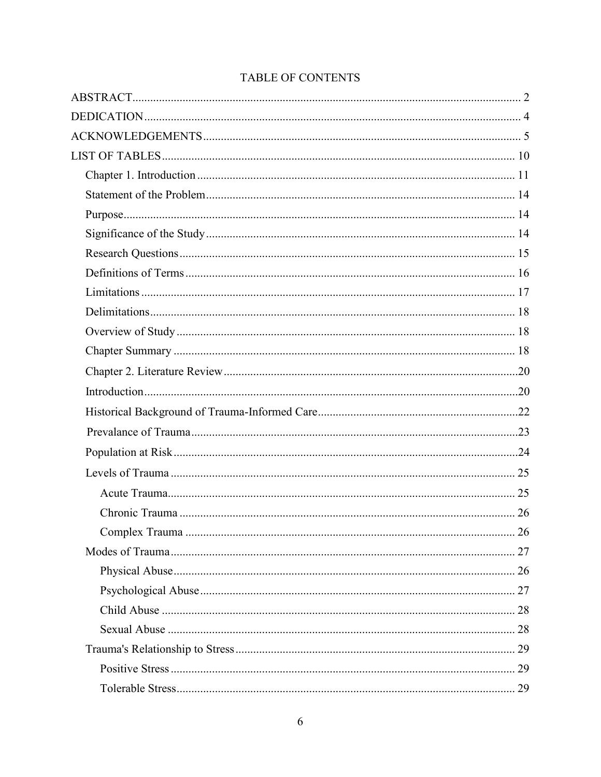## TABLE OF CONTENTS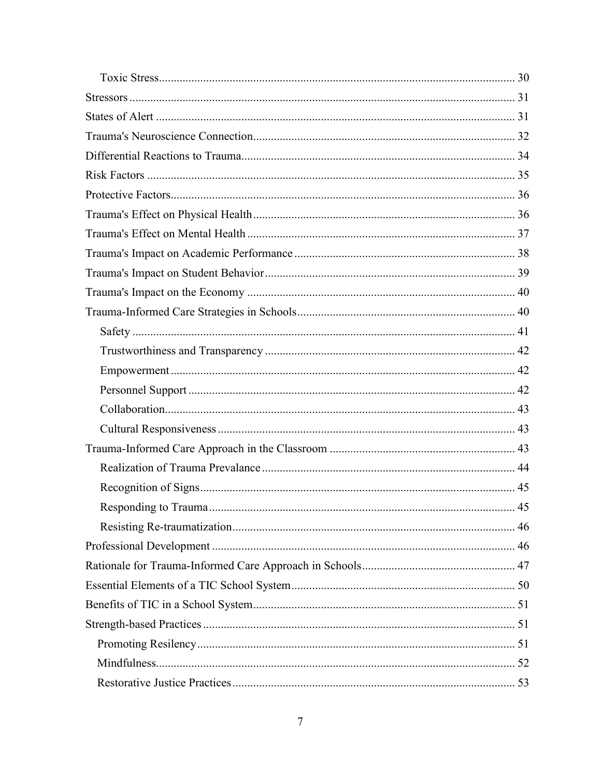| 45 |
|----|
|    |
|    |
|    |
|    |
|    |
|    |
|    |
|    |
|    |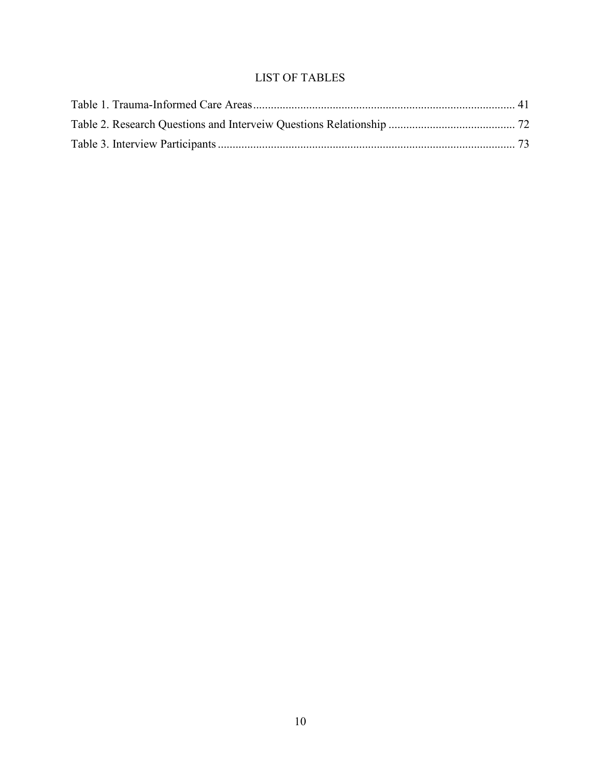## LIST OF TABLES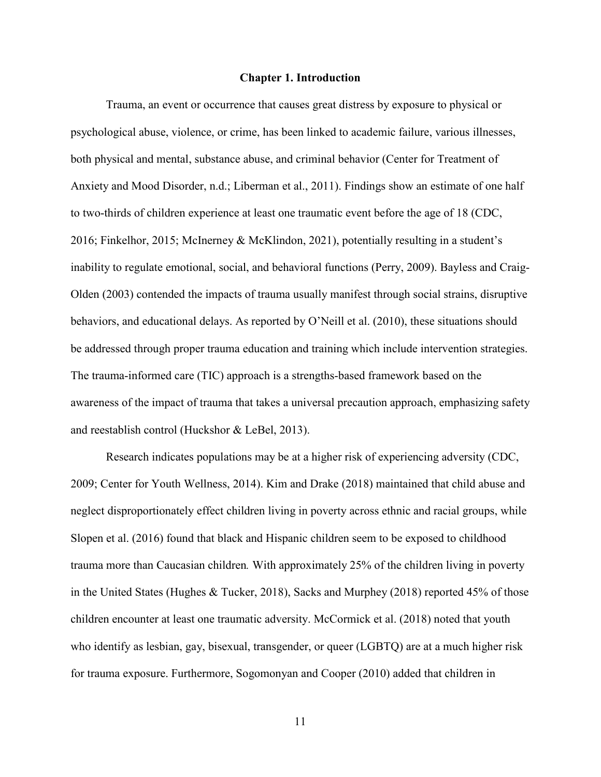#### **Chapter 1. Introduction**

Trauma, an event or occurrence that causes great distress by exposure to physical or psychological abuse, violence, or crime, has been linked to academic failure, various illnesses, both physical and mental, substance abuse, and criminal behavior (Center for Treatment of Anxiety and Mood Disorder, n.d.; Liberman et al., 2011). Findings show an estimate of one half to two-thirds of children experience at least one traumatic event before the age of 18 (CDC, 2016; Finkelhor, 2015; McInerney & McKlindon, 2021), potentially resulting in a student's inability to regulate emotional, social, and behavioral functions (Perry, 2009). Bayless and Craig-Olden (2003) contended the impacts of trauma usually manifest through social strains, disruptive behaviors, and educational delays. As reported by O'Neill et al. (2010), these situations should be addressed through proper trauma education and training which include intervention strategies. The trauma-informed care (TIC) approach is a strengths-based framework based on the awareness of the impact of trauma that takes a universal precaution approach, emphasizing safety and reestablish control (Huckshor & LeBel, 2013).

Research indicates populations may be at a higher risk of experiencing adversity (CDC, 2009; Center for Youth Wellness, 2014). Kim and Drake (2018) maintained that child abuse and neglect disproportionately effect children living in poverty across ethnic and racial groups, while Slopen et al. (2016) found that black and Hispanic children seem to be exposed to childhood trauma more than Caucasian children*.* With approximately 25% of the children living in poverty in the United States (Hughes & Tucker, 2018), Sacks and Murphey (2018) reported 45% of those children encounter at least one traumatic adversity. McCormick et al. (2018) noted that youth who identify as lesbian, gay, bisexual, transgender, or queer (LGBTQ) are at a much higher risk for trauma exposure. Furthermore, Sogomonyan and Cooper (2010) added that children in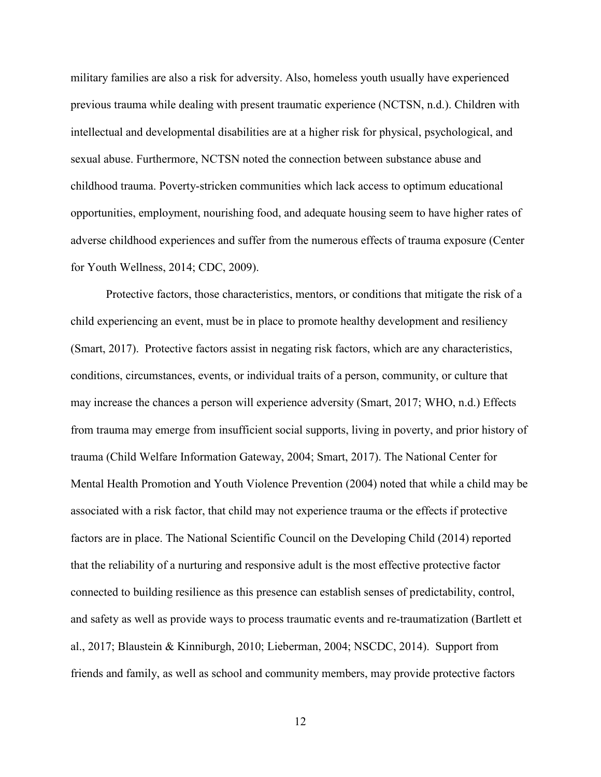military families are also a risk for adversity. Also, homeless youth usually have experienced previous trauma while dealing with present traumatic experience (NCTSN, n.d.). Children with intellectual and developmental disabilities are at a higher risk for physical, psychological, and sexual abuse. Furthermore, NCTSN noted the connection between substance abuse and childhood trauma. Poverty-stricken communities which lack access to optimum educational opportunities, employment, nourishing food, and adequate housing seem to have higher rates of adverse childhood experiences and suffer from the numerous effects of trauma exposure (Center for Youth Wellness, 2014; CDC, 2009).

Protective factors, those characteristics, mentors, or conditions that mitigate the risk of a child experiencing an event, must be in place to promote healthy development and resiliency (Smart, 2017). Protective factors assist in negating risk factors, which are any characteristics, conditions, circumstances, events, or individual traits of a person, community, or culture that may increase the chances a person will experience adversity (Smart, 2017; WHO, n.d.) Effects from trauma may emerge from insufficient social supports, living in poverty, and prior history of trauma (Child Welfare Information Gateway, 2004; Smart, 2017). The National Center for Mental Health Promotion and Youth Violence Prevention (2004) noted that while a child may be associated with a risk factor, that child may not experience trauma or the effects if protective factors are in place. The National Scientific Council on the Developing Child (2014) reported that the reliability of a nurturing and responsive adult is the most effective protective factor connected to building resilience as this presence can establish senses of predictability, control, and safety as well as provide ways to process traumatic events and re-traumatization (Bartlett et al., 2017; Blaustein & Kinniburgh, 2010; Lieberman, 2004; NSCDC, 2014).Support from friends and family, as well as school and community members, may provide protective factors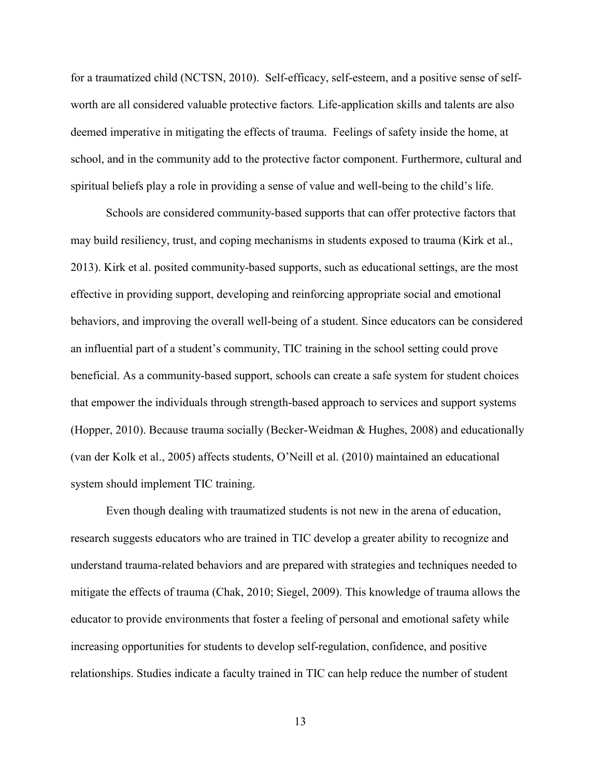for a traumatized child (NCTSN, 2010). Self-efficacy, self-esteem, and a positive sense of selfworth are all considered valuable protective factors*.* Life-application skills and talents are also deemed imperative in mitigating the effects of trauma. Feelings of safety inside the home, at school, and in the community add to the protective factor component. Furthermore, cultural and spiritual beliefs play a role in providing a sense of value and well-being to the child's life.

Schools are considered community-based supports that can offer protective factors that may build resiliency, trust, and coping mechanisms in students exposed to trauma (Kirk et al., 2013). Kirk et al. posited community-based supports, such as educational settings, are the most effective in providing support, developing and reinforcing appropriate social and emotional behaviors, and improving the overall well-being of a student. Since educators can be considered an influential part of a student's community, TIC training in the school setting could prove beneficial. As a community-based support, schools can create a safe system for student choices that empower the individuals through strength-based approach to services and support systems (Hopper, 2010). Because trauma socially (Becker-Weidman & Hughes, 2008) and educationally (van der Kolk et al., 2005) affects students, O'Neill et al. (2010) maintained an educational system should implement TIC training.

Even though dealing with traumatized students is not new in the arena of education, research suggests educators who are trained in TIC develop a greater ability to recognize and understand trauma-related behaviors and are prepared with strategies and techniques needed to mitigate the effects of trauma (Chak, 2010; Siegel, 2009). This knowledge of trauma allows the educator to provide environments that foster a feeling of personal and emotional safety while increasing opportunities for students to develop self-regulation, confidence, and positive relationships. Studies indicate a faculty trained in TIC can help reduce the number of student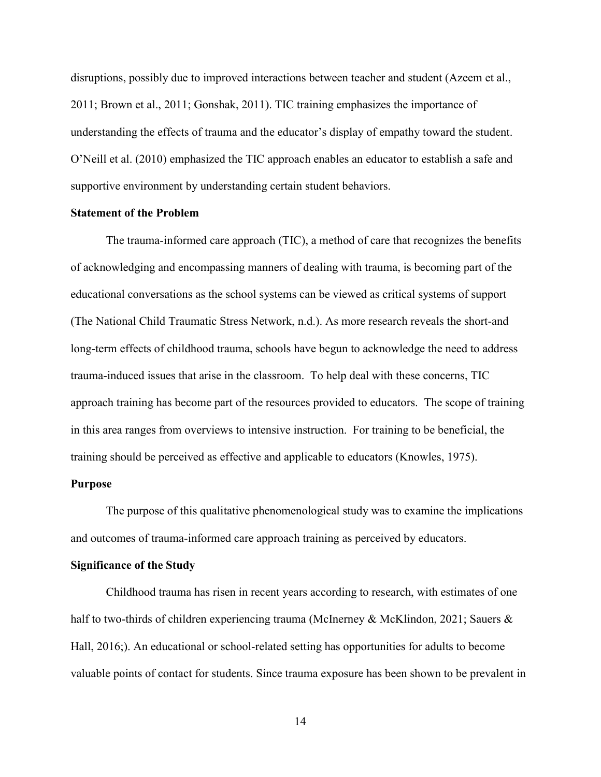disruptions, possibly due to improved interactions between teacher and student (Azeem et al., 2011; Brown et al., 2011; Gonshak, 2011). TIC training emphasizes the importance of understanding the effects of trauma and the educator's display of empathy toward the student. O'Neill et al. (2010) emphasized the TIC approach enables an educator to establish a safe and supportive environment by understanding certain student behaviors.

#### **Statement of the Problem**

The trauma-informed care approach (TIC), a method of care that recognizes the benefits of acknowledging and encompassing manners of dealing with trauma, is becoming part of the educational conversations as the school systems can be viewed as critical systems of support (The National Child Traumatic Stress Network, n.d.). As more research reveals the short-and long-term effects of childhood trauma, schools have begun to acknowledge the need to address trauma-induced issues that arise in the classroom. To help deal with these concerns, TIC approach training has become part of the resources provided to educators. The scope of training in this area ranges from overviews to intensive instruction. For training to be beneficial, the training should be perceived as effective and applicable to educators (Knowles, 1975).

#### **Purpose**

The purpose of this qualitative phenomenological study was to examine the implications and outcomes of trauma-informed care approach training as perceived by educators.

#### **Significance of the Study**

Childhood trauma has risen in recent years according to research, with estimates of one half to two-thirds of children experiencing trauma (McInerney & McKlindon, 2021; Sauers & Hall, 2016;). An educational or school-related setting has opportunities for adults to become valuable points of contact for students. Since trauma exposure has been shown to be prevalent in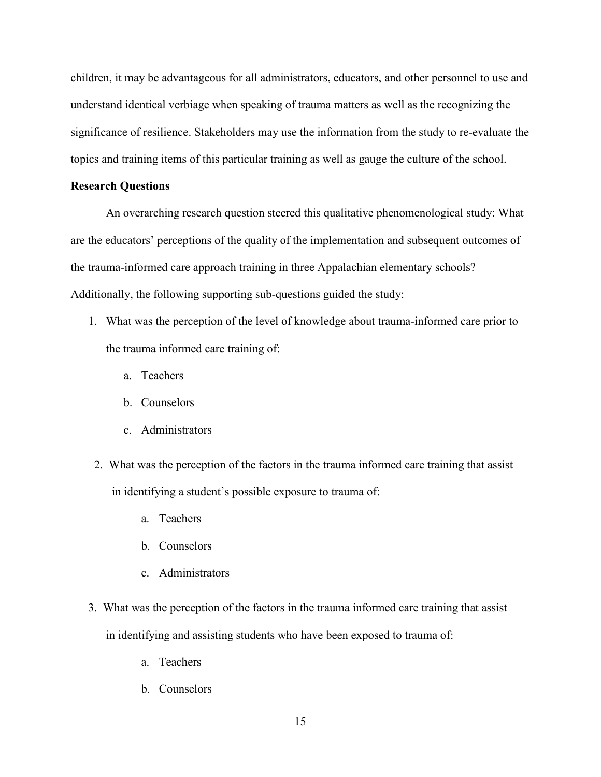children, it may be advantageous for all administrators, educators, and other personnel to use and understand identical verbiage when speaking of trauma matters as well as the recognizing the significance of resilience. Stakeholders may use the information from the study to re-evaluate the topics and training items of this particular training as well as gauge the culture of the school.

#### **Research Questions**

An overarching research question steered this qualitative phenomenological study: What are the educators' perceptions of the quality of the implementation and subsequent outcomes of the trauma-informed care approach training in three Appalachian elementary schools? Additionally, the following supporting sub-questions guided the study:

- 1. What was the perception of the level of knowledge about trauma-informed care prior to the trauma informed care training of:
	- a. Teachers
	- b. Counselors
	- c. Administrators
- 2. What was the perception of the factors in the trauma informed care training that assist in identifying a student's possible exposure to trauma of:
	- a. Teachers
	- b. Counselors
	- c. Administrators
- 3. What was the perception of the factors in the trauma informed care training that assist in identifying and assisting students who have been exposed to trauma of:
	- a. Teachers
	- b. Counselors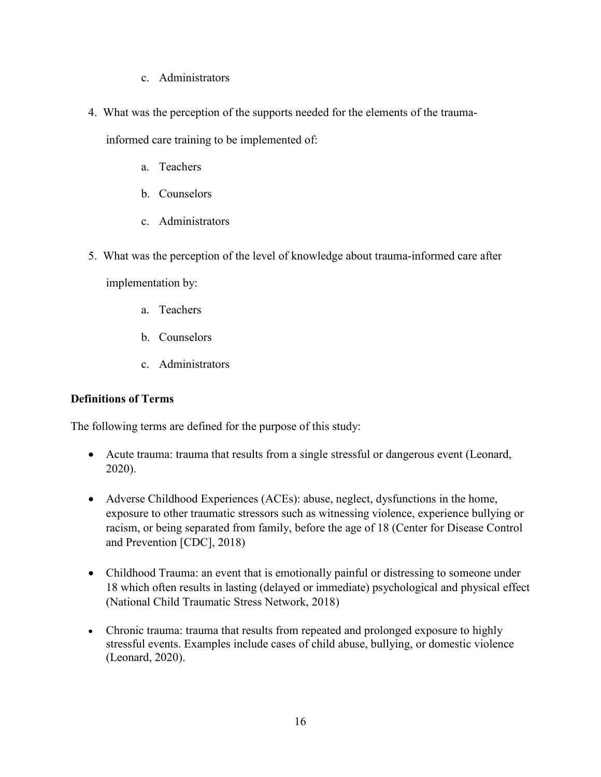- c. Administrators
- 4. What was the perception of the supports needed for the elements of the trauma-

informed care training to be implemented of:

- a. Teachers
- b. Counselors
- c. Administrators
- 5. What was the perception of the level of knowledge about trauma-informed care after

implementation by:

- a. Teachers
- b. Counselors
- c. Administrators

### **Definitions of Terms**

The following terms are defined for the purpose of this study:

- Acute trauma: trauma that results from a single stressful or dangerous event (Leonard, 2020).
- Adverse Childhood Experiences (ACEs): abuse, neglect, dysfunctions in the home, exposure to other traumatic stressors such as witnessing violence, experience bullying or racism, or being separated from family, before the age of 18 (Center for Disease Control and Prevention [CDC], 2018)
- Childhood Trauma: an event that is emotionally painful or distressing to someone under 18 which often results in lasting (delayed or immediate) psychological and physical effect (National Child Traumatic Stress Network, 2018)
- Chronic trauma: trauma that results from repeated and prolonged exposure to highly stressful events. Examples include cases of child abuse, bullying, or domestic violence (Leonard, 2020).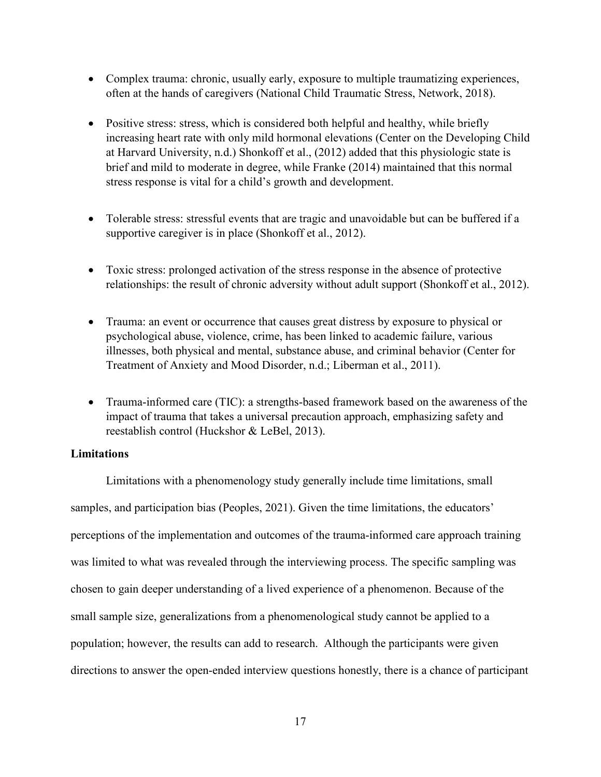- Complex trauma: chronic, usually early, exposure to multiple traumatizing experiences, often at the hands of caregivers (National Child Traumatic Stress, Network, 2018).
- Positive stress: stress, which is considered both helpful and healthy, while briefly increasing heart rate with only mild hormonal elevations (Center on the Developing Child at Harvard University, n.d.) Shonkoff et al., (2012) added that this physiologic state is brief and mild to moderate in degree, while Franke (2014) maintained that this normal stress response is vital for a child's growth and development.
- Tolerable stress: stressful events that are tragic and unavoidable but can be buffered if a supportive caregiver is in place (Shonkoff et al., 2012).
- Toxic stress: prolonged activation of the stress response in the absence of protective relationships: the result of chronic adversity without adult support (Shonkoff et al., 2012).
- Trauma: an event or occurrence that causes great distress by exposure to physical or psychological abuse, violence, crime, has been linked to academic failure, various illnesses, both physical and mental, substance abuse, and criminal behavior (Center for Treatment of Anxiety and Mood Disorder, n.d.; Liberman et al., 2011).
- Trauma-informed care (TIC): a strengths-based framework based on the awareness of the impact of trauma that takes a universal precaution approach, emphasizing safety and reestablish control (Huckshor & LeBel, 2013).

#### **Limitations**

Limitations with a phenomenology study generally include time limitations, small samples, and participation bias (Peoples, 2021). Given the time limitations, the educators' perceptions of the implementation and outcomes of the trauma-informed care approach training was limited to what was revealed through the interviewing process. The specific sampling was chosen to gain deeper understanding of a lived experience of a phenomenon. Because of the small sample size, generalizations from a phenomenological study cannot be applied to a population; however, the results can add to research. Although the participants were given directions to answer the open-ended interview questions honestly, there is a chance of participant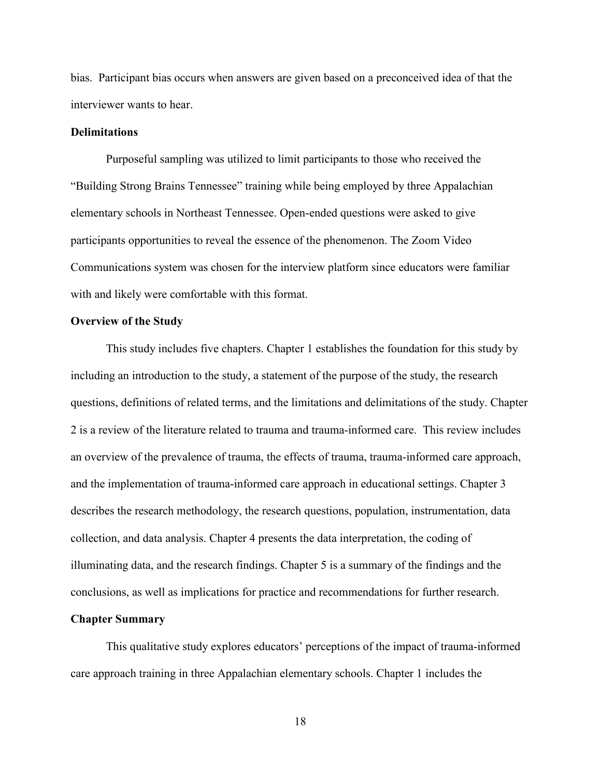bias. Participant bias occurs when answers are given based on a preconceived idea of that the interviewer wants to hear.

#### **Delimitations**

Purposeful sampling was utilized to limit participants to those who received the "Building Strong Brains Tennessee" training while being employed by three Appalachian elementary schools in Northeast Tennessee. Open-ended questions were asked to give participants opportunities to reveal the essence of the phenomenon. The Zoom Video Communications system was chosen for the interview platform since educators were familiar with and likely were comfortable with this format.

#### **Overview of the Study**

This study includes five chapters. Chapter 1 establishes the foundation for this study by including an introduction to the study, a statement of the purpose of the study, the research questions, definitions of related terms, and the limitations and delimitations of the study. Chapter 2 is a review of the literature related to trauma and trauma-informed care. This review includes an overview of the prevalence of trauma, the effects of trauma, trauma-informed care approach, and the implementation of trauma-informed care approach in educational settings. Chapter 3 describes the research methodology, the research questions, population, instrumentation, data collection, and data analysis. Chapter 4 presents the data interpretation, the coding of illuminating data, and the research findings. Chapter 5 is a summary of the findings and the conclusions, as well as implications for practice and recommendations for further research.

#### **Chapter Summary**

This qualitative study explores educators' perceptions of the impact of trauma-informed care approach training in three Appalachian elementary schools. Chapter 1 includes the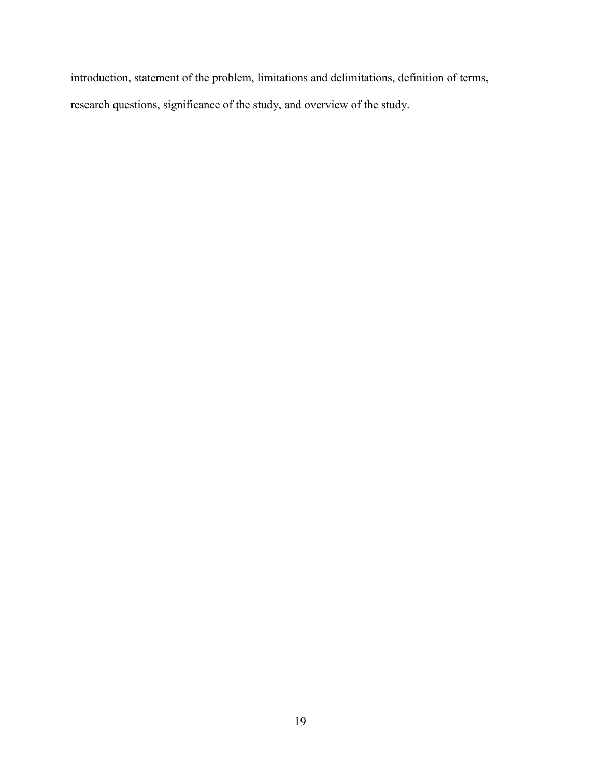introduction, statement of the problem, limitations and delimitations, definition of terms, research questions, significance of the study, and overview of the study.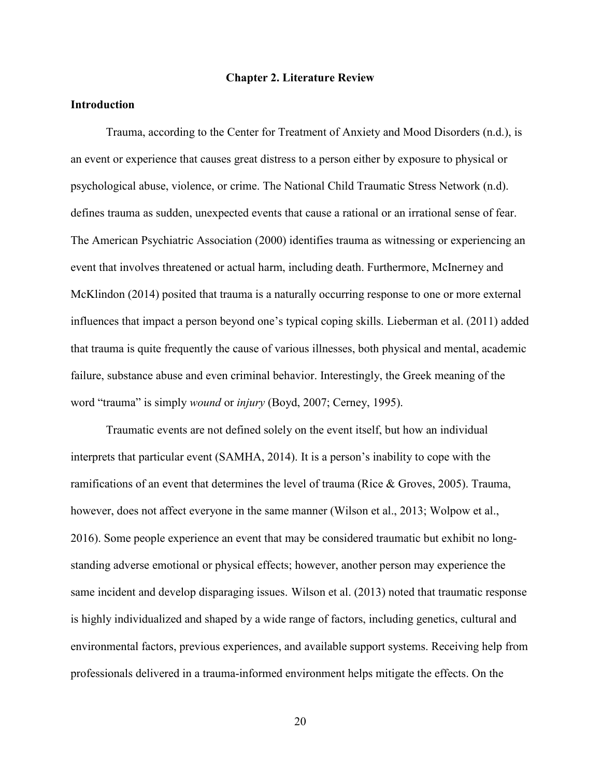#### **Chapter 2. Literature Review**

#### **Introduction**

Trauma, according to the Center for Treatment of Anxiety and Mood Disorders (n.d.), is an event or experience that causes great distress to a person either by exposure to physical or psychological abuse, violence, or crime. The National Child Traumatic Stress Network (n.d). defines trauma as sudden, unexpected events that cause a rational or an irrational sense of fear. The American Psychiatric Association (2000) identifies trauma as witnessing or experiencing an event that involves threatened or actual harm, including death. Furthermore, McInerney and McKlindon (2014) posited that trauma is a naturally occurring response to one or more external influences that impact a person beyond one's typical coping skills. Lieberman et al. (2011) added that trauma is quite frequently the cause of various illnesses, both physical and mental, academic failure, substance abuse and even criminal behavior. Interestingly, the Greek meaning of the word "trauma" is simply *wound* or *injury* (Boyd, 2007; Cerney, 1995).

Traumatic events are not defined solely on the event itself, but how an individual interprets that particular event (SAMHA, 2014). It is a person's inability to cope with the ramifications of an event that determines the level of trauma (Rice & Groves, 2005). Trauma, however, does not affect everyone in the same manner (Wilson et al., 2013; Wolpow et al., 2016). Some people experience an event that may be considered traumatic but exhibit no longstanding adverse emotional or physical effects; however, another person may experience the same incident and develop disparaging issues. Wilson et al. (2013) noted that traumatic response is highly individualized and shaped by a wide range of factors, including genetics, cultural and environmental factors, previous experiences, and available support systems. Receiving help from professionals delivered in a trauma-informed environment helps mitigate the effects. On the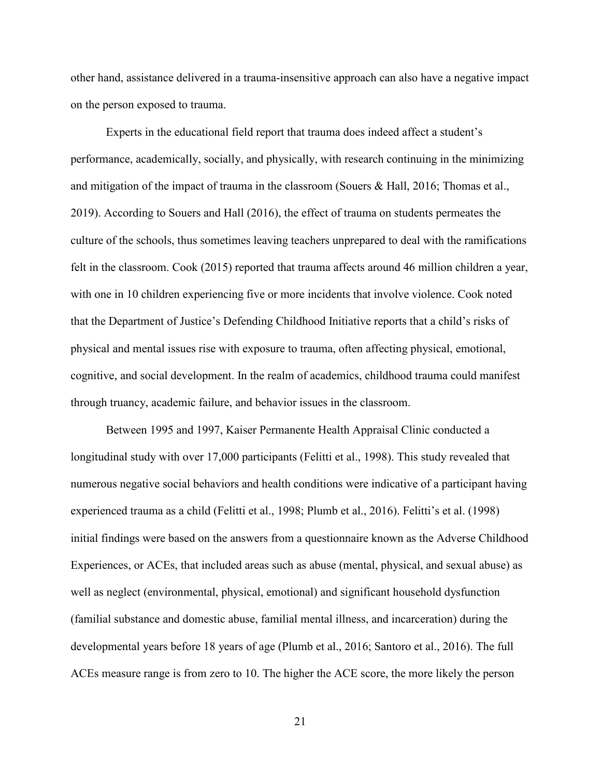other hand, assistance delivered in a trauma-insensitive approach can also have a negative impact on the person exposed to trauma.

Experts in the educational field report that trauma does indeed affect a student's performance, academically, socially, and physically, with research continuing in the minimizing and mitigation of the impact of trauma in the classroom (Souers & Hall, 2016; Thomas et al., 2019). According to Souers and Hall (2016), the effect of trauma on students permeates the culture of the schools, thus sometimes leaving teachers unprepared to deal with the ramifications felt in the classroom. Cook (2015) reported that trauma affects around 46 million children a year, with one in 10 children experiencing five or more incidents that involve violence. Cook noted that the Department of Justice's Defending Childhood Initiative reports that a child's risks of physical and mental issues rise with exposure to trauma, often affecting physical, emotional, cognitive, and social development. In the realm of academics, childhood trauma could manifest through truancy, academic failure, and behavior issues in the classroom.

Between 1995 and 1997, Kaiser Permanente Health Appraisal Clinic conducted a longitudinal study with over 17,000 participants (Felitti et al., 1998). This study revealed that numerous negative social behaviors and health conditions were indicative of a participant having experienced trauma as a child (Felitti et al., 1998; Plumb et al., 2016). Felitti's et al. (1998) initial findings were based on the answers from a questionnaire known as the Adverse Childhood Experiences, or ACEs, that included areas such as abuse (mental, physical, and sexual abuse) as well as neglect (environmental, physical, emotional) and significant household dysfunction (familial substance and domestic abuse, familial mental illness, and incarceration) during the developmental years before 18 years of age (Plumb et al., 2016; Santoro et al., 2016). The full ACEs measure range is from zero to 10. The higher the ACE score, the more likely the person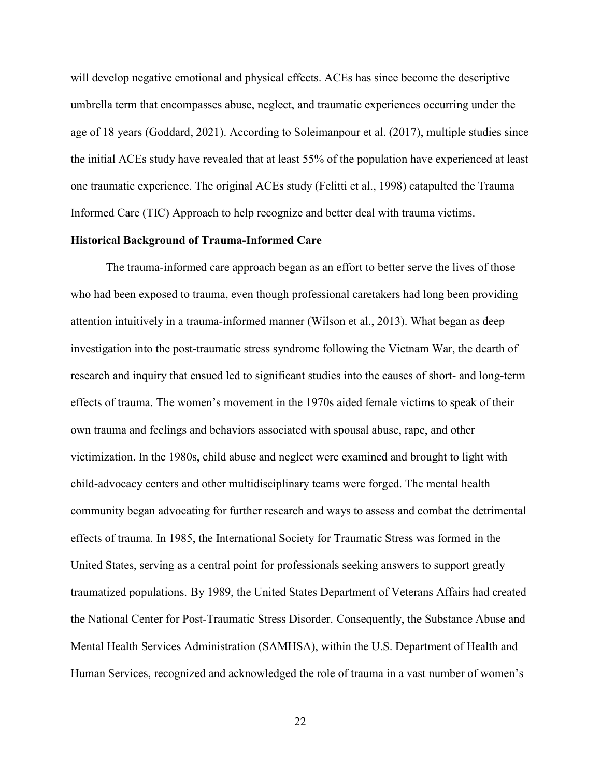will develop negative emotional and physical effects. ACEs has since become the descriptive umbrella term that encompasses abuse, neglect, and traumatic experiences occurring under the age of 18 years (Goddard, 2021). According to Soleimanpour et al. (2017), multiple studies since the initial ACEs study have revealed that at least 55% of the population have experienced at least one traumatic experience. The original ACEs study (Felitti et al., 1998) catapulted the Trauma Informed Care (TIC) Approach to help recognize and better deal with trauma victims.

#### **Historical Background of Trauma-Informed Care**

The trauma-informed care approach began as an effort to better serve the lives of those who had been exposed to trauma, even though professional caretakers had long been providing attention intuitively in a trauma-informed manner (Wilson et al., 2013). What began as deep investigation into the post-traumatic stress syndrome following the Vietnam War, the dearth of research and inquiry that ensued led to significant studies into the causes of short- and long-term effects of trauma. The women's movement in the 1970s aided female victims to speak of their own trauma and feelings and behaviors associated with spousal abuse, rape, and other victimization. In the 1980s, child abuse and neglect were examined and brought to light with child-advocacy centers and other multidisciplinary teams were forged. The mental health community began advocating for further research and ways to assess and combat the detrimental effects of trauma. In 1985, the International Society for Traumatic Stress was formed in the United States, serving as a central point for professionals seeking answers to support greatly traumatized populations. By 1989, the United States Department of Veterans Affairs had created the National Center for Post-Traumatic Stress Disorder. Consequently, the Substance Abuse and Mental Health Services Administration (SAMHSA), within the U.S. Department of Health and Human Services, recognized and acknowledged the role of trauma in a vast number of women's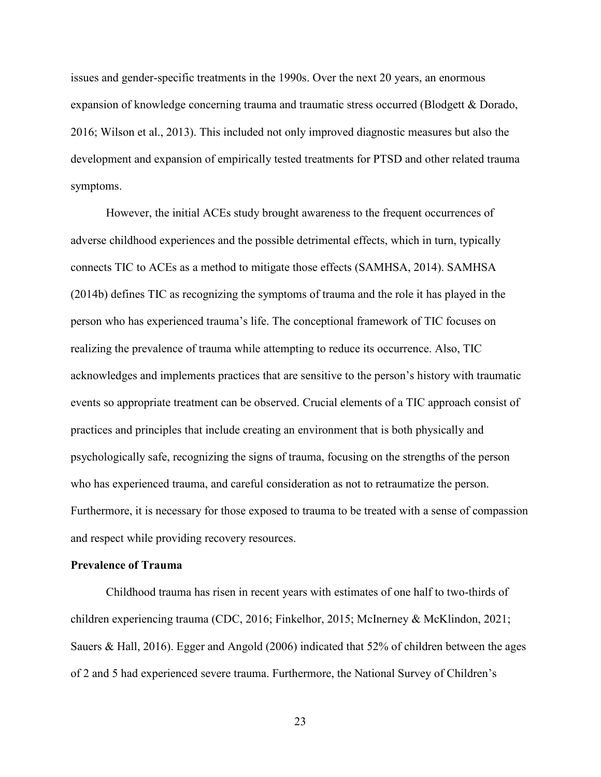issues and gender-specific treatments in the 1990s. Over the next 20 years, an enormous expansion of knowledge concerning trauma and traumatic stress occurred (Blodgett & Dorado, 2016; Wilson et al., 2013). This included not only improved diagnostic measures but also the development and expansion of empirically tested treatments for PTSD and other related trauma symptoms.

However, the initial ACEs study brought awareness to the frequent occurrences of adverse childhood experiences and the possible detrimental effects, which in turn, typically connects TIC to ACEs as a method to mitigate those effects (SAMHSA, 2014). SAMHSA (2014b) defines TIC as recognizing the symptoms of trauma and the role it has played in the person who has experienced trauma's life. The conceptional framework of TIC focuses on realizing the prevalence of trauma while attempting to reduce its occurrence. Also, TIC acknowledges and implements practices that are sensitive to the person's history with traumatic events so appropriate treatment can be observed. Crucial elements of a TIC approach consist of practices and principles that include creating an environment that is both physically and psychologically safe, recognizing the signs of trauma, focusing on the strengths of the person who has experienced trauma, and careful consideration as not to retraumatize the person. Furthermore, it is necessary for those exposed to trauma to be treated with a sense of compassion and respect while providing recovery resources.

#### **Prevalence of Trauma**

Childhood trauma has risen in recent years with estimates of one half to two-thirds of children experiencing trauma (CDC, 2016; Finkelhor, 2015; McInerney & McKlindon, 2021; Sauers & Hall, 2016). Egger and Angold (2006) indicated that 52% of children between the ages of 2 and 5 had experienced severe trauma. Furthermore, the National Survey of Children's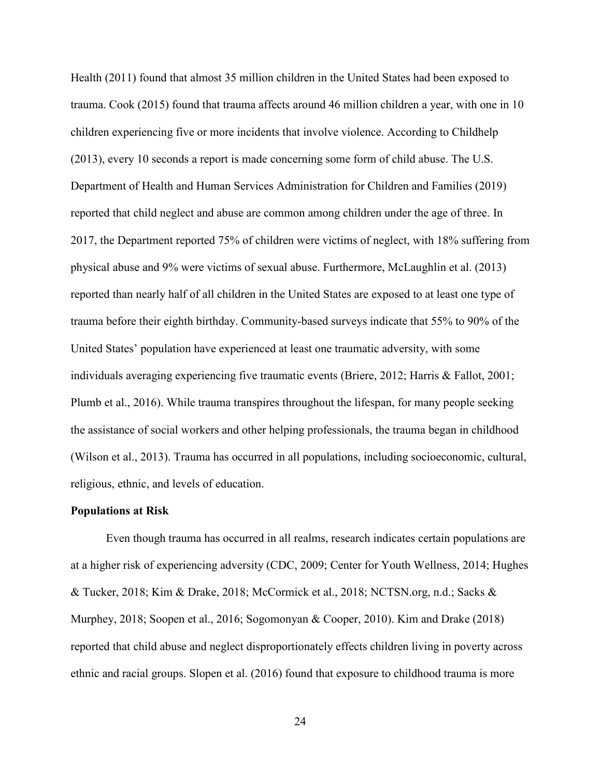Health (2011) found that almost 35 million children in the United States had been exposed to trauma. Cook (2015) found that trauma affects around 46 million children a year, with one in 10 children experiencing five or more incidents that involve violence. According to Childhelp (2013), every 10 seconds a report is made concerning some form of child abuse. The U.S. Department of Health and Human Services Administration for Children and Families (2019) reported that child neglect and abuse are common among children under the age of three. In 2017, the Department reported 75% of children were victims of neglect, with 18% suffering from physical abuse and 9% were victims of sexual abuse. Furthermore, McLaughlin et al. (2013) reported than nearly half of all children in the United States are exposed to at least one type of trauma before their eighth birthday. Community-based surveys indicate that 55% to 90% of the United States' population have experienced at least one traumatic adversity, with some individuals averaging experiencing five traumatic events (Briere, 2012; Harris & Fallot, 2001; Plumb et al., 2016). While trauma transpires throughout the lifespan, for many people seeking the assistance of social workers and other helping professionals, the trauma began in childhood (Wilson et al., 2013). Trauma has occurred in all populations, including socioeconomic, cultural, religious, ethnic, and levels of education.

#### **Populations at Risk**

Even though trauma has occurred in all realms, research indicates certain populations are at a higher risk of experiencing adversity (CDC, 2009; Center for Youth Wellness, 2014; Hughes & Tucker, 2018; Kim & Drake, 2018; McCormick et al., 2018; NCTSN.org, n.d.; Sacks & Murphey, 2018; Soopen et al., 2016; Sogomonyan & Cooper, 2010). Kim and Drake (2018) reported that child abuse and neglect disproportionately effects children living in poverty across ethnic and racial groups. Slopen et al. (2016) found that exposure to childhood trauma is more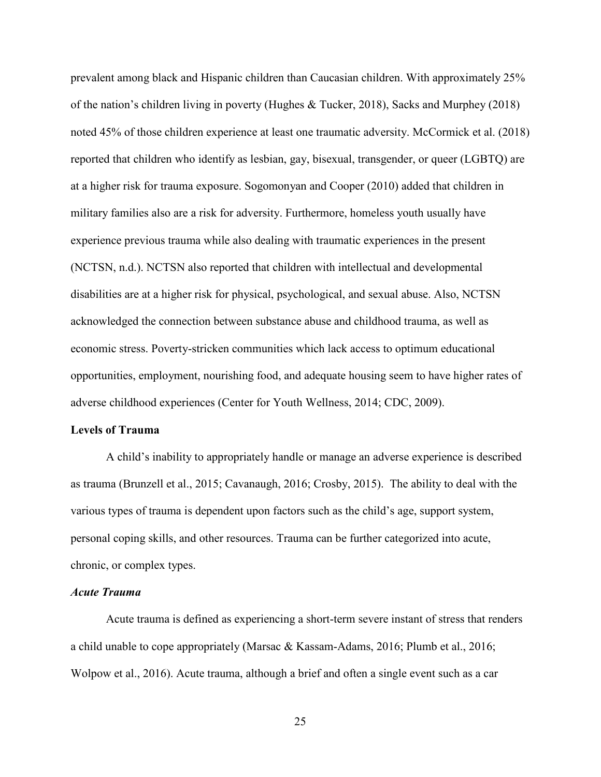prevalent among black and Hispanic children than Caucasian children. With approximately 25% of the nation's children living in poverty (Hughes & Tucker, 2018), Sacks and Murphey (2018) noted 45% of those children experience at least one traumatic adversity. McCormick et al. (2018) reported that children who identify as lesbian, gay, bisexual, transgender, or queer (LGBTQ) are at a higher risk for trauma exposure. Sogomonyan and Cooper (2010) added that children in military families also are a risk for adversity. Furthermore, homeless youth usually have experience previous trauma while also dealing with traumatic experiences in the present (NCTSN, n.d.). NCTSN also reported that children with intellectual and developmental disabilities are at a higher risk for physical, psychological, and sexual abuse. Also, NCTSN acknowledged the connection between substance abuse and childhood trauma, as well as economic stress. Poverty-stricken communities which lack access to optimum educational opportunities, employment, nourishing food, and adequate housing seem to have higher rates of adverse childhood experiences (Center for Youth Wellness, 2014; CDC, 2009).

#### **Levels of Trauma**

A child's inability to appropriately handle or manage an adverse experience is described as trauma (Brunzell et al., 2015; Cavanaugh, 2016; Crosby, 2015). The ability to deal with the various types of trauma is dependent upon factors such as the child's age, support system, personal coping skills, and other resources. Trauma can be further categorized into acute, chronic, or complex types.

#### *Acute Trauma*

Acute trauma is defined as experiencing a short-term severe instant of stress that renders a child unable to cope appropriately (Marsac & Kassam-Adams, 2016; Plumb et al., 2016; Wolpow et al., 2016). Acute trauma, although a brief and often a single event such as a car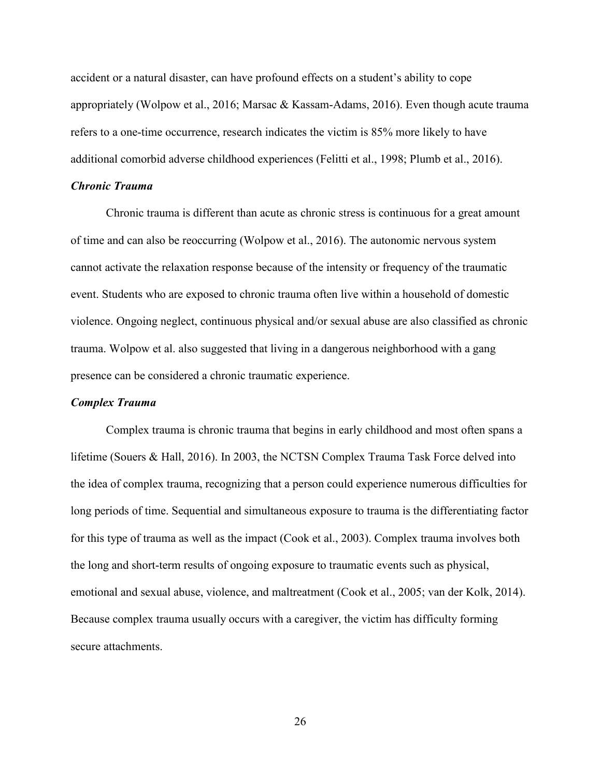accident or a natural disaster, can have profound effects on a student's ability to cope appropriately (Wolpow et al., 2016; Marsac & Kassam-Adams, 2016). Even though acute trauma refers to a one-time occurrence, research indicates the victim is 85% more likely to have additional comorbid adverse childhood experiences (Felitti et al., 1998; Plumb et al., 2016).

#### *Chronic Trauma*

Chronic trauma is different than acute as chronic stress is continuous for a great amount of time and can also be reoccurring (Wolpow et al., 2016). The autonomic nervous system cannot activate the relaxation response because of the intensity or frequency of the traumatic event. Students who are exposed to chronic trauma often live within a household of domestic violence. Ongoing neglect, continuous physical and/or sexual abuse are also classified as chronic trauma. Wolpow et al. also suggested that living in a dangerous neighborhood with a gang presence can be considered a chronic traumatic experience.

#### *Complex Trauma*

Complex trauma is chronic trauma that begins in early childhood and most often spans a lifetime (Souers & Hall, 2016). In 2003, the NCTSN Complex Trauma Task Force delved into the idea of complex trauma, recognizing that a person could experience numerous difficulties for long periods of time. Sequential and simultaneous exposure to trauma is the differentiating factor for this type of trauma as well as the impact (Cook et al., 2003). Complex trauma involves both the long and short-term results of ongoing exposure to traumatic events such as physical, emotional and sexual abuse, violence, and maltreatment (Cook et al., 2005; van der Kolk, 2014). Because complex trauma usually occurs with a caregiver, the victim has difficulty forming secure attachments.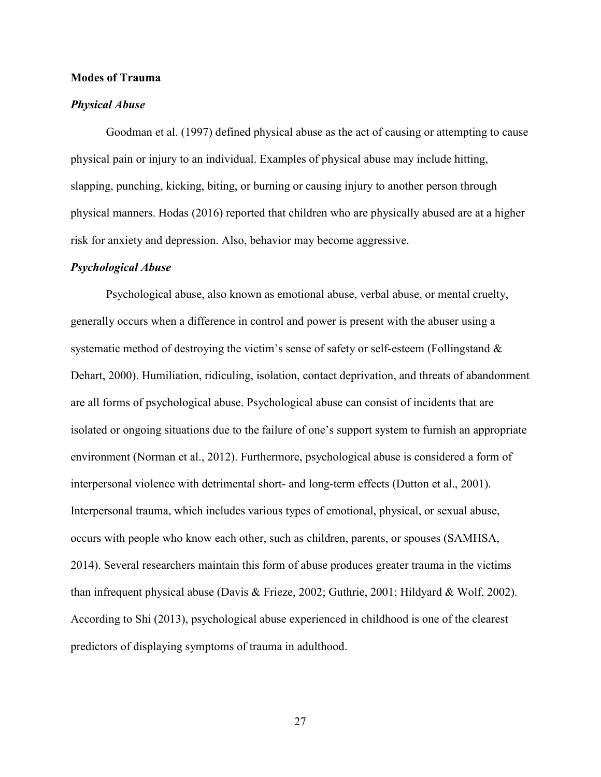#### **Modes of Trauma**

#### *Physical Abuse*

Goodman et al. (1997) defined physical abuse as the act of causing or attempting to cause physical pain or injury to an individual. Examples of physical abuse may include hitting, slapping, punching, kicking, biting, or burning or causing injury to another person through physical manners. Hodas (2016) reported that children who are physically abused are at a higher risk for anxiety and depression. Also, behavior may become aggressive.

#### *Psychological Abuse*

Psychological abuse, also known as emotional abuse, verbal abuse, or mental cruelty, generally occurs when a difference in control and power is present with the abuser using a systematic method of destroying the victim's sense of safety or self-esteem (Follingstand & Dehart, 2000). Humiliation, ridiculing, isolation, contact deprivation, and threats of abandonment are all forms of psychological abuse. Psychological abuse can consist of incidents that are isolated or ongoing situations due to the failure of one's support system to furnish an appropriate environment (Norman et al., 2012). Furthermore, psychological abuse is considered a form of interpersonal violence with detrimental short- and long-term effects (Dutton et al., 2001). Interpersonal trauma, which includes various types of emotional, physical, or sexual abuse, occurs with people who know each other, such as children, parents, or spouses (SAMHSA, 2014). Several researchers maintain this form of abuse produces greater trauma in the victims than infrequent physical abuse (Davis & Frieze, 2002; Guthrie, 2001; Hildyard & Wolf, 2002). According to Shi (2013), psychological abuse experienced in childhood is one of the clearest predictors of displaying symptoms of trauma in adulthood.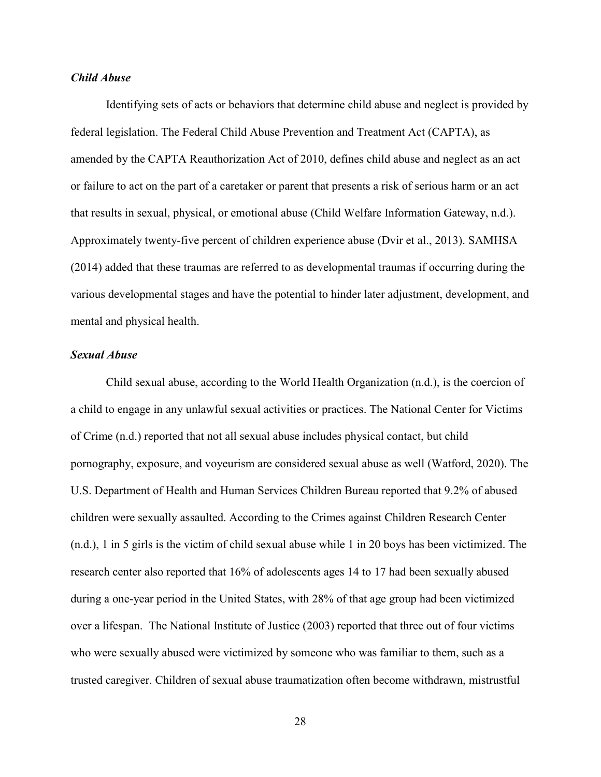#### *Child Abuse*

Identifying sets of acts or behaviors that determine child abuse and neglect is provided by federal legislation. The Federal Child Abuse Prevention and Treatment Act (CAPTA), as amended by the CAPTA Reauthorization Act of 2010, defines child abuse and neglect as an act or failure to act on the part of a caretaker or parent that presents a risk of serious harm or an act that results in sexual, physical, or emotional abuse (Child Welfare Information Gateway, n.d.). Approximately twenty-five percent of children experience abuse (Dvir et al., 2013). SAMHSA (2014) added that these traumas are referred to as developmental traumas if occurring during the various developmental stages and have the potential to hinder later adjustment, development, and mental and physical health.

#### *Sexual Abuse*

Child sexual abuse, according to the World Health Organization (n.d.), is the coercion of a child to engage in any unlawful sexual activities or practices. The National Center for Victims of Crime (n.d.) reported that not all sexual abuse includes physical contact, but child pornography, exposure, and voyeurism are considered sexual abuse as well (Watford, 2020). The U.S. Department of Health and Human Services Children Bureau reported that 9.2% of abused children were sexually assaulted. According to the Crimes against Children Research Center (n.d.), 1 in 5 girls is the victim of child sexual abuse while 1 in 20 boys has been victimized. The research center also reported that 16% of adolescents ages 14 to 17 had been sexually abused during a one-year period in the United States, with 28% of that age group had been victimized over a lifespan. The National Institute of Justice (2003) reported that three out of four victims who were sexually abused were victimized by someone who was familiar to them, such as a trusted caregiver. Children of sexual abuse traumatization often become withdrawn, mistrustful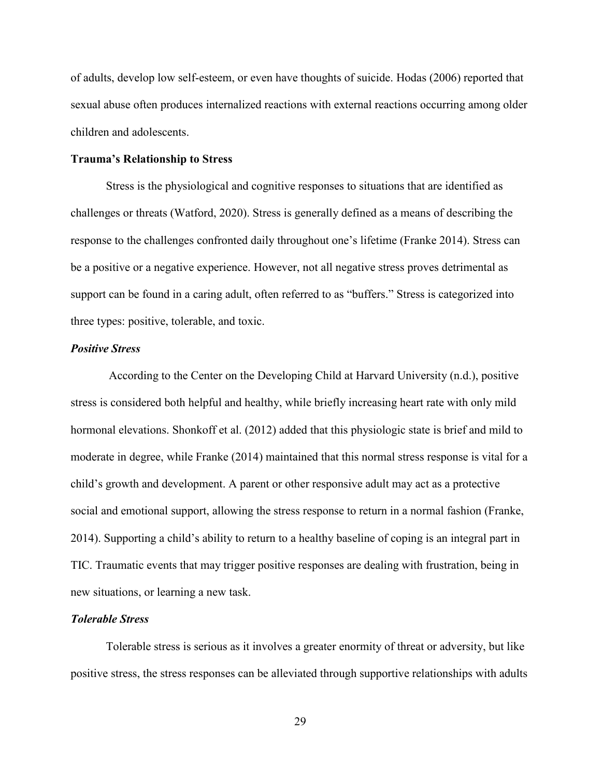of adults, develop low self-esteem, or even have thoughts of suicide. Hodas (2006) reported that sexual abuse often produces internalized reactions with external reactions occurring among older children and adolescents.

#### **Trauma's Relationship to Stress**

Stress is the physiological and cognitive responses to situations that are identified as challenges or threats (Watford, 2020). Stress is generally defined as a means of describing the response to the challenges confronted daily throughout one's lifetime (Franke 2014). Stress can be a positive or a negative experience. However, not all negative stress proves detrimental as support can be found in a caring adult, often referred to as "buffers." Stress is categorized into three types: positive, tolerable, and toxic.

#### *Positive Stress*

According to the Center on the Developing Child at Harvard University (n.d.), positive stress is considered both helpful and healthy, while briefly increasing heart rate with only mild hormonal elevations. Shonkoff et al. (2012) added that this physiologic state is brief and mild to moderate in degree, while Franke (2014) maintained that this normal stress response is vital for a child's growth and development. A parent or other responsive adult may act as a protective social and emotional support, allowing the stress response to return in a normal fashion (Franke, 2014). Supporting a child's ability to return to a healthy baseline of coping is an integral part in TIC. Traumatic events that may trigger positive responses are dealing with frustration, being in new situations, or learning a new task.

#### *Tolerable Stress*

Tolerable stress is serious as it involves a greater enormity of threat or adversity, but like positive stress, the stress responses can be alleviated through supportive relationships with adults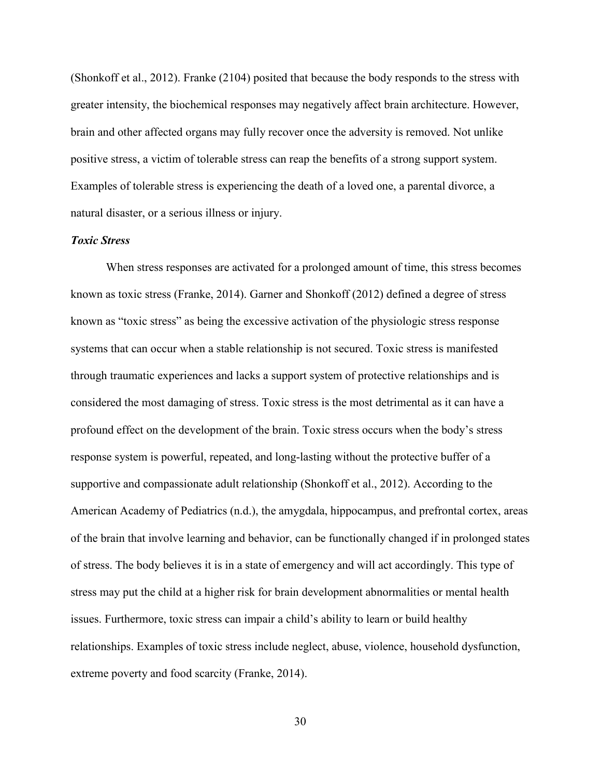(Shonkoff et al., 2012). Franke (2104) posited that because the body responds to the stress with greater intensity, the biochemical responses may negatively affect brain architecture. However, brain and other affected organs may fully recover once the adversity is removed. Not unlike positive stress, a victim of tolerable stress can reap the benefits of a strong support system. Examples of tolerable stress is experiencing the death of a loved one, a parental divorce, a natural disaster, or a serious illness or injury.

#### *Toxic Stress*

When stress responses are activated for a prolonged amount of time, this stress becomes known as toxic stress (Franke, 2014). Garner and Shonkoff (2012) defined a degree of stress known as "toxic stress" as being the excessive activation of the physiologic stress response systems that can occur when a stable relationship is not secured. Toxic stress is manifested through traumatic experiences and lacks a support system of protective relationships and is considered the most damaging of stress. Toxic stress is the most detrimental as it can have a profound effect on the development of the brain. Toxic stress occurs when the body's stress response system is powerful, repeated, and long-lasting without the protective buffer of a supportive and compassionate adult relationship (Shonkoff et al., 2012). According to the American Academy of Pediatrics (n.d.), the amygdala, hippocampus, and prefrontal cortex, areas of the brain that involve learning and behavior, can be functionally changed if in prolonged states of stress. The body believes it is in a state of emergency and will act accordingly. This type of stress may put the child at a higher risk for brain development abnormalities or mental health issues. Furthermore, toxic stress can impair a child's ability to learn or build healthy relationships. Examples of toxic stress include neglect, abuse, violence, household dysfunction, extreme poverty and food scarcity (Franke, 2014).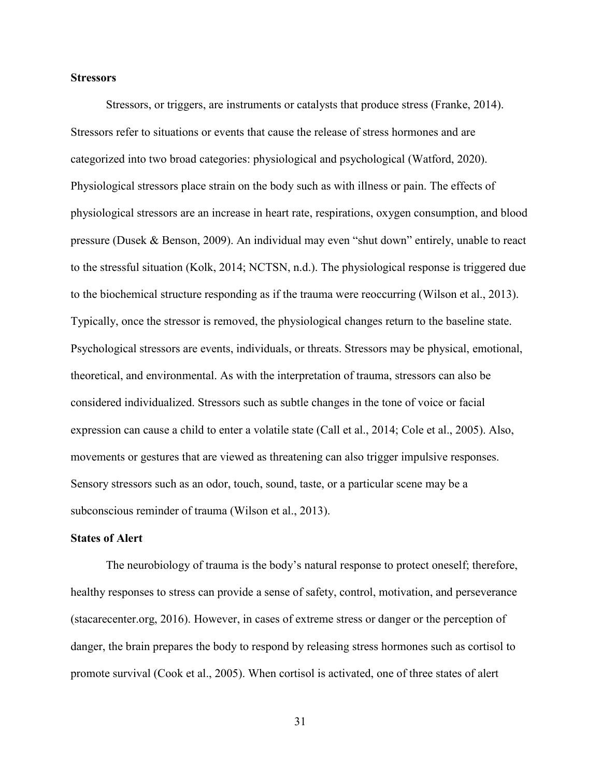#### **Stressors**

Stressors, or triggers, are instruments or catalysts that produce stress (Franke, 2014). Stressors refer to situations or events that cause the release of stress hormones and are categorized into two broad categories: physiological and psychological (Watford, 2020). Physiological stressors place strain on the body such as with illness or pain. The effects of physiological stressors are an increase in heart rate, respirations, oxygen consumption, and blood pressure (Dusek & Benson, 2009). An individual may even "shut down" entirely, unable to react to the stressful situation (Kolk, 2014; NCTSN, n.d.). The physiological response is triggered due to the biochemical structure responding as if the trauma were reoccurring (Wilson et al., 2013). Typically, once the stressor is removed, the physiological changes return to the baseline state. Psychological stressors are events, individuals, or threats. Stressors may be physical, emotional, theoretical, and environmental. As with the interpretation of trauma, stressors can also be considered individualized. Stressors such as subtle changes in the tone of voice or facial expression can cause a child to enter a volatile state (Call et al., 2014; Cole et al., 2005). Also, movements or gestures that are viewed as threatening can also trigger impulsive responses. Sensory stressors such as an odor, touch, sound, taste, or a particular scene may be a subconscious reminder of trauma (Wilson et al., 2013).

#### **States of Alert**

The neurobiology of trauma is the body's natural response to protect oneself; therefore, healthy responses to stress can provide a sense of safety, control, motivation, and perseverance (stacarecenter.org, 2016). However, in cases of extreme stress or danger or the perception of danger, the brain prepares the body to respond by releasing stress hormones such as cortisol to promote survival (Cook et al., 2005). When cortisol is activated, one of three states of alert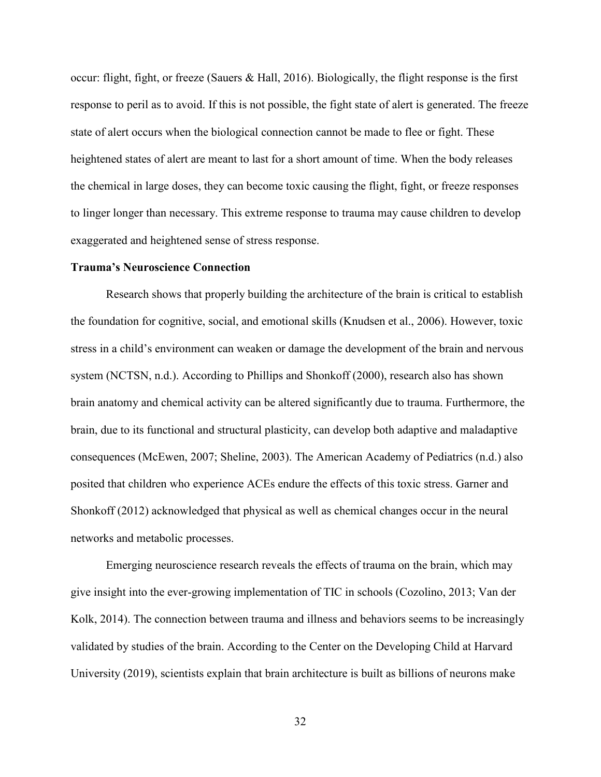occur: flight, fight, or freeze (Sauers & Hall, 2016). Biologically, the flight response is the first response to peril as to avoid. If this is not possible, the fight state of alert is generated. The freeze state of alert occurs when the biological connection cannot be made to flee or fight. These heightened states of alert are meant to last for a short amount of time. When the body releases the chemical in large doses, they can become toxic causing the flight, fight, or freeze responses to linger longer than necessary. This extreme response to trauma may cause children to develop exaggerated and heightened sense of stress response.

#### **Trauma's Neuroscience Connection**

Research shows that properly building the architecture of the brain is critical to establish the foundation for cognitive, social, and emotional skills (Knudsen et al., 2006). However, toxic stress in a child's environment can weaken or damage the development of the brain and nervous system (NCTSN, n.d.). According to Phillips and Shonkoff (2000), research also has shown brain anatomy and chemical activity can be altered significantly due to trauma. Furthermore, the brain, due to its functional and structural plasticity, can develop both adaptive and maladaptive consequences (McEwen, 2007; Sheline, 2003). The American Academy of Pediatrics (n.d.) also posited that children who experience ACEs endure the effects of this toxic stress. Garner and Shonkoff (2012) acknowledged that physical as well as chemical changes occur in the neural networks and metabolic processes.

Emerging neuroscience research reveals the effects of trauma on the brain, which may give insight into the ever-growing implementation of TIC in schools (Cozolino, 2013; Van der Kolk, 2014). The connection between trauma and illness and behaviors seems to be increasingly validated by studies of the brain. According to the Center on the Developing Child at Harvard University (2019), scientists explain that brain architecture is built as billions of neurons make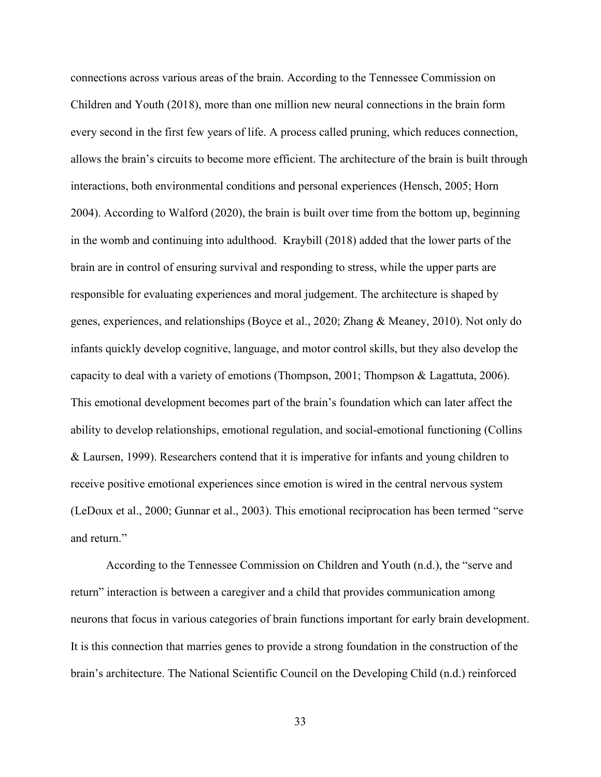connections across various areas of the brain. According to the Tennessee Commission on Children and Youth (2018), more than one million new neural connections in the brain form every second in the first few years of life. A process called pruning, which reduces connection, allows the brain's circuits to become more efficient. The architecture of the brain is built through interactions, both environmental conditions and personal experiences (Hensch, 2005; Horn 2004). According to Walford (2020), the brain is built over time from the bottom up, beginning in the womb and continuing into adulthood. Kraybill (2018) added that the lower parts of the brain are in control of ensuring survival and responding to stress, while the upper parts are responsible for evaluating experiences and moral judgement. The architecture is shaped by genes, experiences, and relationships (Boyce et al., 2020; Zhang & Meaney, 2010). Not only do infants quickly develop cognitive, language, and motor control skills, but they also develop the capacity to deal with a variety of emotions (Thompson, 2001; Thompson & Lagattuta, 2006). This emotional development becomes part of the brain's foundation which can later affect the ability to develop relationships, emotional regulation, and social-emotional functioning (Collins & Laursen, 1999). Researchers contend that it is imperative for infants and young children to receive positive emotional experiences since emotion is wired in the central nervous system (LeDoux et al., 2000; Gunnar et al., 2003). This emotional reciprocation has been termed "serve and return."

According to the Tennessee Commission on Children and Youth (n.d.), the "serve and return" interaction is between a caregiver and a child that provides communication among neurons that focus in various categories of brain functions important for early brain development. It is this connection that marries genes to provide a strong foundation in the construction of the brain's architecture. The National Scientific Council on the Developing Child (n.d.) reinforced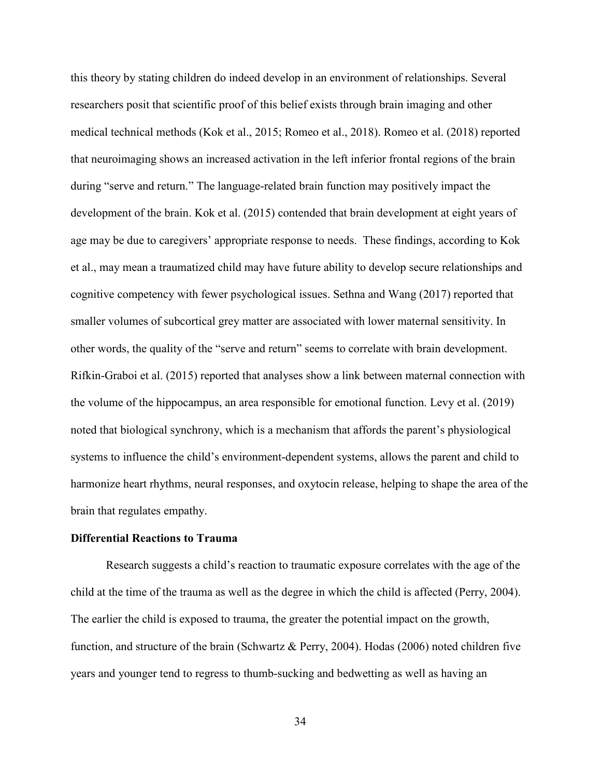this theory by stating children do indeed develop in an environment of relationships. Several researchers posit that scientific proof of this belief exists through brain imaging and other medical technical methods (Kok et al., 2015; Romeo et al., 2018). Romeo et al. (2018) reported that neuroimaging shows an increased activation in the left inferior frontal regions of the brain during "serve and return." The language-related brain function may positively impact the development of the brain. Kok et al. (2015) contended that brain development at eight years of age may be due to caregivers' appropriate response to needs. These findings, according to Kok et al., may mean a traumatized child may have future ability to develop secure relationships and cognitive competency with fewer psychological issues. Sethna and Wang (2017) reported that smaller volumes of subcortical grey matter are associated with lower maternal sensitivity. In other words, the quality of the "serve and return" seems to correlate with brain development. Rifkin-Graboi et al. (2015) reported that analyses show a link between maternal connection with the volume of the hippocampus, an area responsible for emotional function. Levy et al. (2019) noted that biological synchrony, which is a mechanism that affords the parent's physiological systems to influence the child's environment-dependent systems, allows the parent and child to harmonize heart rhythms, neural responses, and oxytocin release, helping to shape the area of the brain that regulates empathy.

#### **Differential Reactions to Trauma**

 Research suggests a child's reaction to traumatic exposure correlates with the age of the child at the time of the trauma as well as the degree in which the child is affected (Perry, 2004). The earlier the child is exposed to trauma, the greater the potential impact on the growth, function, and structure of the brain (Schwartz & Perry, 2004). Hodas (2006) noted children five years and younger tend to regress to thumb-sucking and bedwetting as well as having an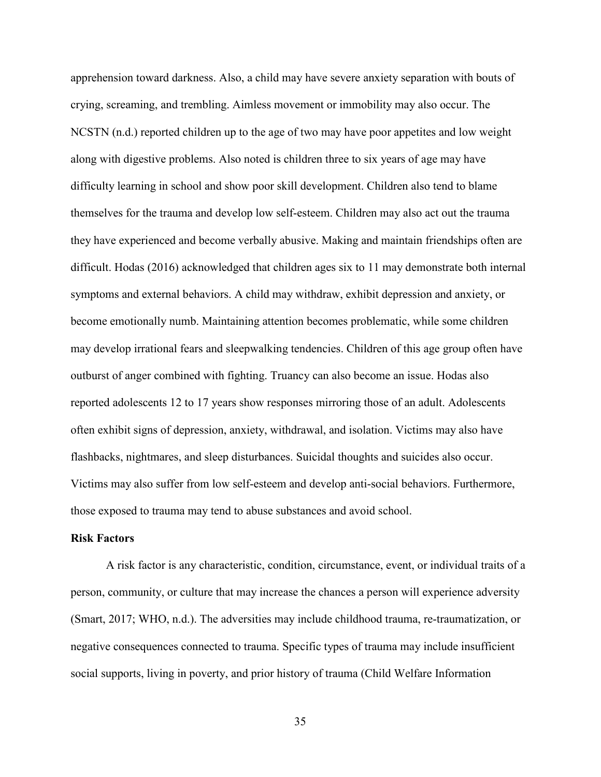apprehension toward darkness. Also, a child may have severe anxiety separation with bouts of crying, screaming, and trembling. Aimless movement or immobility may also occur. The NCSTN (n.d.) reported children up to the age of two may have poor appetites and low weight along with digestive problems. Also noted is children three to six years of age may have difficulty learning in school and show poor skill development. Children also tend to blame themselves for the trauma and develop low self-esteem. Children may also act out the trauma they have experienced and become verbally abusive. Making and maintain friendships often are difficult. Hodas (2016) acknowledged that children ages six to 11 may demonstrate both internal symptoms and external behaviors. A child may withdraw, exhibit depression and anxiety, or become emotionally numb. Maintaining attention becomes problematic, while some children may develop irrational fears and sleepwalking tendencies. Children of this age group often have outburst of anger combined with fighting. Truancy can also become an issue. Hodas also reported adolescents 12 to 17 years show responses mirroring those of an adult. Adolescents often exhibit signs of depression, anxiety, withdrawal, and isolation. Victims may also have flashbacks, nightmares, and sleep disturbances. Suicidal thoughts and suicides also occur. Victims may also suffer from low self-esteem and develop anti-social behaviors. Furthermore, those exposed to trauma may tend to abuse substances and avoid school.

#### **Risk Factors**

A risk factor is any characteristic, condition, circumstance, event, or individual traits of a person, community, or culture that may increase the chances a person will experience adversity (Smart, 2017; WHO, n.d.). The adversities may include childhood trauma, re-traumatization, or negative consequences connected to trauma. Specific types of trauma may include insufficient social supports, living in poverty, and prior history of trauma (Child Welfare Information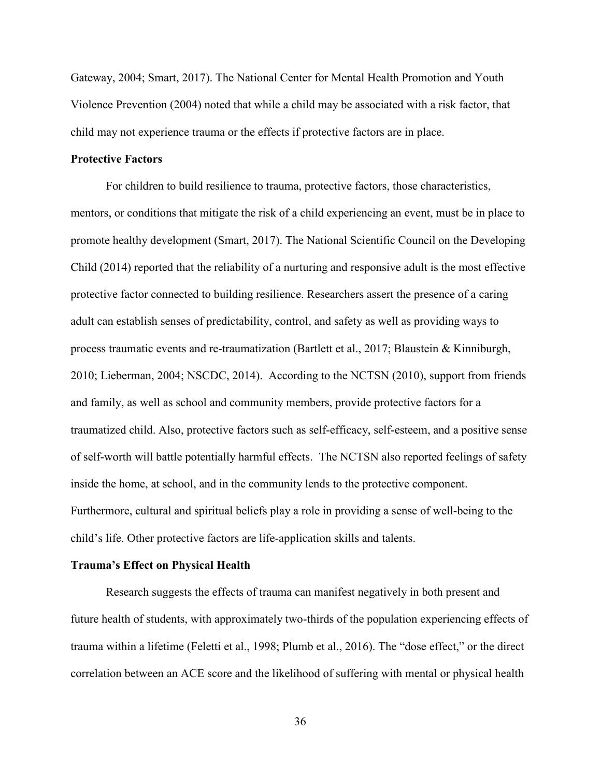Gateway, 2004; Smart, 2017). The National Center for Mental Health Promotion and Youth Violence Prevention (2004) noted that while a child may be associated with a risk factor, that child may not experience trauma or the effects if protective factors are in place.

#### **Protective Factors**

For children to build resilience to trauma, protective factors, those characteristics, mentors, or conditions that mitigate the risk of a child experiencing an event, must be in place to promote healthy development (Smart, 2017). The National Scientific Council on the Developing Child (2014) reported that the reliability of a nurturing and responsive adult is the most effective protective factor connected to building resilience. Researchers assert the presence of a caring adult can establish senses of predictability, control, and safety as well as providing ways to process traumatic events and re-traumatization (Bartlett et al., 2017; Blaustein & Kinniburgh, 2010; Lieberman, 2004; NSCDC, 2014). According to the NCTSN (2010), support from friends and family, as well as school and community members, provide protective factors for a traumatized child. Also, protective factors such as self-efficacy, self-esteem, and a positive sense of self-worth will battle potentially harmful effects. The NCTSN also reported feelings of safety inside the home, at school, and in the community lends to the protective component. Furthermore, cultural and spiritual beliefs play a role in providing a sense of well-being to the child's life. Other protective factors are life-application skills and talents.

#### **Trauma's Effect on Physical Health**

Research suggests the effects of trauma can manifest negatively in both present and future health of students, with approximately two-thirds of the population experiencing effects of trauma within a lifetime (Feletti et al., 1998; Plumb et al., 2016). The "dose effect," or the direct correlation between an ACE score and the likelihood of suffering with mental or physical health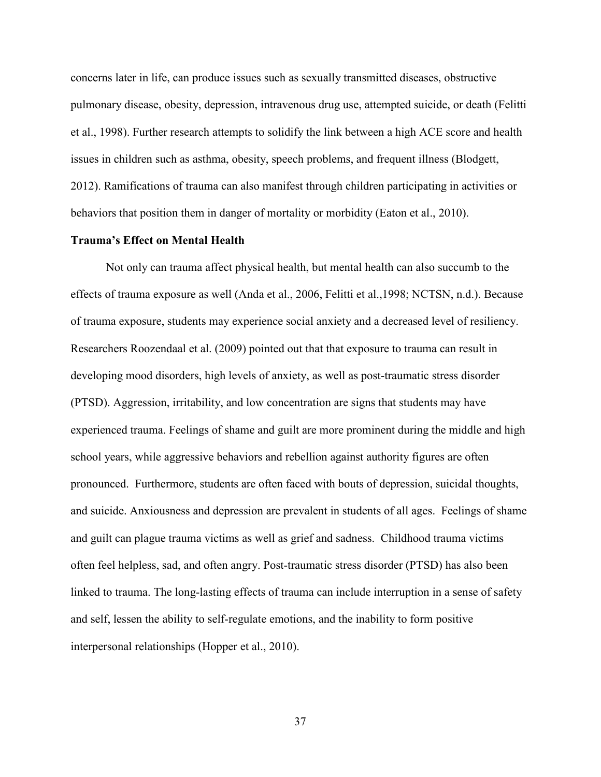concerns later in life, can produce issues such as sexually transmitted diseases, obstructive pulmonary disease, obesity, depression, intravenous drug use, attempted suicide, or death (Felitti et al., 1998). Further research attempts to solidify the link between a high ACE score and health issues in children such as asthma, obesity, speech problems, and frequent illness (Blodgett, 2012). Ramifications of trauma can also manifest through children participating in activities or behaviors that position them in danger of mortality or morbidity (Eaton et al., 2010).

#### **Trauma's Effect on Mental Health**

Not only can trauma affect physical health, but mental health can also succumb to the effects of trauma exposure as well (Anda et al., 2006, Felitti et al.,1998; NCTSN, n.d.). Because of trauma exposure, students may experience social anxiety and a decreased level of resiliency. Researchers Roozendaal et al. (2009) pointed out that that exposure to trauma can result in developing mood disorders, high levels of anxiety, as well as post-traumatic stress disorder (PTSD). Aggression, irritability, and low concentration are signs that students may have experienced trauma. Feelings of shame and guilt are more prominent during the middle and high school years, while aggressive behaviors and rebellion against authority figures are often pronounced. Furthermore, students are often faced with bouts of depression, suicidal thoughts, and suicide. Anxiousness and depression are prevalent in students of all ages. Feelings of shame and guilt can plague trauma victims as well as grief and sadness. Childhood trauma victims often feel helpless, sad, and often angry. Post-traumatic stress disorder (PTSD) has also been linked to trauma. The long-lasting effects of trauma can include interruption in a sense of safety and self, lessen the ability to self-regulate emotions, and the inability to form positive interpersonal relationships (Hopper et al., 2010).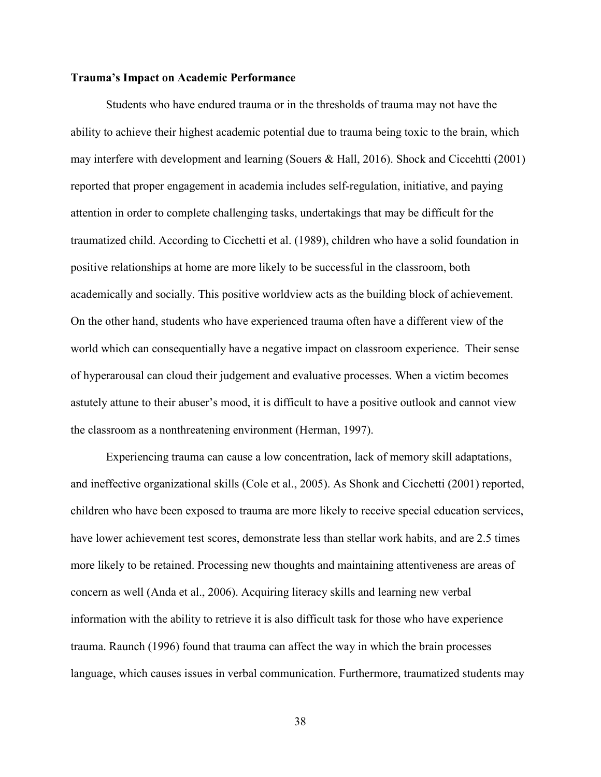## **Trauma's Impact on Academic Performance**

Students who have endured trauma or in the thresholds of trauma may not have the ability to achieve their highest academic potential due to trauma being toxic to the brain, which may interfere with development and learning (Souers & Hall, 2016). Shock and Ciccehtti (2001) reported that proper engagement in academia includes self-regulation, initiative, and paying attention in order to complete challenging tasks, undertakings that may be difficult for the traumatized child. According to Cicchetti et al. (1989), children who have a solid foundation in positive relationships at home are more likely to be successful in the classroom, both academically and socially. This positive worldview acts as the building block of achievement. On the other hand, students who have experienced trauma often have a different view of the world which can consequentially have a negative impact on classroom experience. Their sense of hyperarousal can cloud their judgement and evaluative processes. When a victim becomes astutely attune to their abuser's mood, it is difficult to have a positive outlook and cannot view the classroom as a nonthreatening environment (Herman, 1997).

Experiencing trauma can cause a low concentration, lack of memory skill adaptations, and ineffective organizational skills (Cole et al., 2005). As Shonk and Cicchetti (2001) reported, children who have been exposed to trauma are more likely to receive special education services, have lower achievement test scores, demonstrate less than stellar work habits, and are 2.5 times more likely to be retained. Processing new thoughts and maintaining attentiveness are areas of concern as well (Anda et al., 2006). Acquiring literacy skills and learning new verbal information with the ability to retrieve it is also difficult task for those who have experience trauma. Raunch (1996) found that trauma can affect the way in which the brain processes language, which causes issues in verbal communication. Furthermore, traumatized students may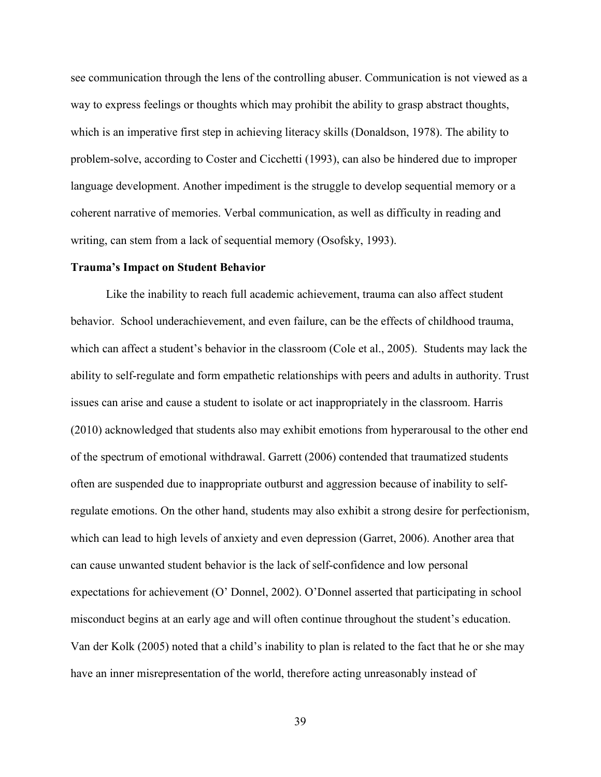see communication through the lens of the controlling abuser. Communication is not viewed as a way to express feelings or thoughts which may prohibit the ability to grasp abstract thoughts, which is an imperative first step in achieving literacy skills (Donaldson, 1978). The ability to problem-solve, according to Coster and Cicchetti (1993), can also be hindered due to improper language development. Another impediment is the struggle to develop sequential memory or a coherent narrative of memories. Verbal communication, as well as difficulty in reading and writing, can stem from a lack of sequential memory (Osofsky, 1993).

#### **Trauma's Impact on Student Behavior**

Like the inability to reach full academic achievement, trauma can also affect student behavior. School underachievement, and even failure, can be the effects of childhood trauma, which can affect a student's behavior in the classroom (Cole et al., 2005). Students may lack the ability to self-regulate and form empathetic relationships with peers and adults in authority. Trust issues can arise and cause a student to isolate or act inappropriately in the classroom. Harris (2010) acknowledged that students also may exhibit emotions from hyperarousal to the other end of the spectrum of emotional withdrawal. Garrett (2006) contended that traumatized students often are suspended due to inappropriate outburst and aggression because of inability to selfregulate emotions. On the other hand, students may also exhibit a strong desire for perfectionism, which can lead to high levels of anxiety and even depression (Garret, 2006). Another area that can cause unwanted student behavior is the lack of self-confidence and low personal expectations for achievement (O' Donnel, 2002). O'Donnel asserted that participating in school misconduct begins at an early age and will often continue throughout the student's education. Van der Kolk (2005) noted that a child's inability to plan is related to the fact that he or she may have an inner misrepresentation of the world, therefore acting unreasonably instead of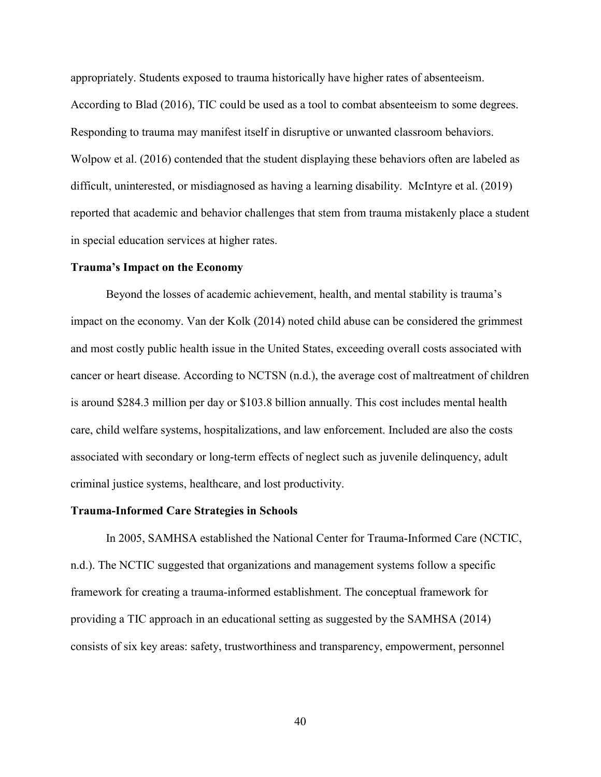appropriately. Students exposed to trauma historically have higher rates of absenteeism. According to Blad (2016), TIC could be used as a tool to combat absenteeism to some degrees. Responding to trauma may manifest itself in disruptive or unwanted classroom behaviors. Wolpow et al. (2016) contended that the student displaying these behaviors often are labeled as difficult, uninterested, or misdiagnosed as having a learning disability. McIntyre et al. (2019) reported that academic and behavior challenges that stem from trauma mistakenly place a student in special education services at higher rates.

#### **Trauma's Impact on the Economy**

Beyond the losses of academic achievement, health, and mental stability is trauma's impact on the economy. Van der Kolk (2014) noted child abuse can be considered the grimmest and most costly public health issue in the United States, exceeding overall costs associated with cancer or heart disease. According to NCTSN (n.d.), the average cost of maltreatment of children is around \$284.3 million per day or \$103.8 billion annually. This cost includes mental health care, child welfare systems, hospitalizations, and law enforcement. Included are also the costs associated with secondary or long-term effects of neglect such as juvenile delinquency, adult criminal justice systems, healthcare, and lost productivity.

## **Trauma-Informed Care Strategies in Schools**

In 2005, SAMHSA established the National Center for Trauma-Informed Care (NCTIC, n.d.). The NCTIC suggested that organizations and management systems follow a specific framework for creating a trauma-informed establishment. The conceptual framework for providing a TIC approach in an educational setting as suggested by the SAMHSA (2014) consists of six key areas: safety, trustworthiness and transparency, empowerment, personnel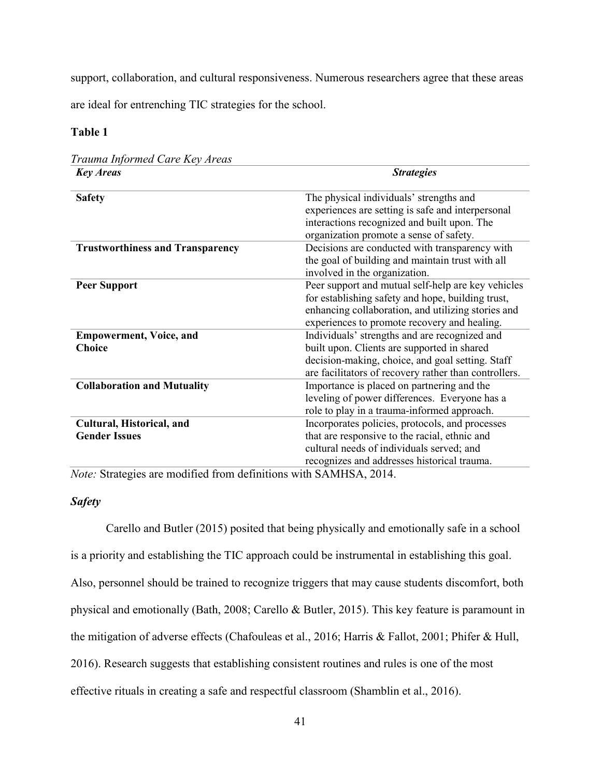support, collaboration, and cultural responsiveness. Numerous researchers agree that these areas

are ideal for entrenching TIC strategies for the school.

# **Table 1**

| trauma injormea Care Key Areas          |                                                                                                                                                                                                               |
|-----------------------------------------|---------------------------------------------------------------------------------------------------------------------------------------------------------------------------------------------------------------|
| <b>Key Areas</b>                        | <b>Strategies</b>                                                                                                                                                                                             |
| <b>Safety</b>                           | The physical individuals' strengths and<br>experiences are setting is safe and interpersonal                                                                                                                  |
|                                         | interactions recognized and built upon. The<br>organization promote a sense of safety.                                                                                                                        |
| <b>Trustworthiness and Transparency</b> | Decisions are conducted with transparency with<br>the goal of building and maintain trust with all<br>involved in the organization.                                                                           |
| <b>Peer Support</b>                     | Peer support and mutual self-help are key vehicles<br>for establishing safety and hope, building trust,<br>enhancing collaboration, and utilizing stories and<br>experiences to promote recovery and healing. |
| <b>Empowerment, Voice, and</b>          | Individuals' strengths and are recognized and                                                                                                                                                                 |
| <b>Choice</b>                           | built upon. Clients are supported in shared                                                                                                                                                                   |
|                                         | decision-making, choice, and goal setting. Staff<br>are facilitators of recovery rather than controllers.                                                                                                     |
| <b>Collaboration and Mutuality</b>      | Importance is placed on partnering and the<br>leveling of power differences. Everyone has a<br>role to play in a trauma-informed approach.                                                                    |
| Cultural, Historical, and               | Incorporates policies, protocols, and processes                                                                                                                                                               |
| <b>Gender Issues</b>                    | that are responsive to the racial, ethnic and<br>cultural needs of individuals served; and                                                                                                                    |
|                                         | recognizes and addresses historical trauma.                                                                                                                                                                   |

*Trauma Informed Care Key Areas*

*Note:* Strategies are modified from definitions with SAMHSA, 2014.

# *Safety*

Carello and Butler (2015) posited that being physically and emotionally safe in a school is a priority and establishing the TIC approach could be instrumental in establishing this goal. Also, personnel should be trained to recognize triggers that may cause students discomfort, both physical and emotionally (Bath, 2008; Carello & Butler, 2015). This key feature is paramount in the mitigation of adverse effects (Chafouleas et al., 2016; Harris & Fallot, 2001; Phifer & Hull, 2016). Research suggests that establishing consistent routines and rules is one of the most effective rituals in creating a safe and respectful classroom (Shamblin et al., 2016).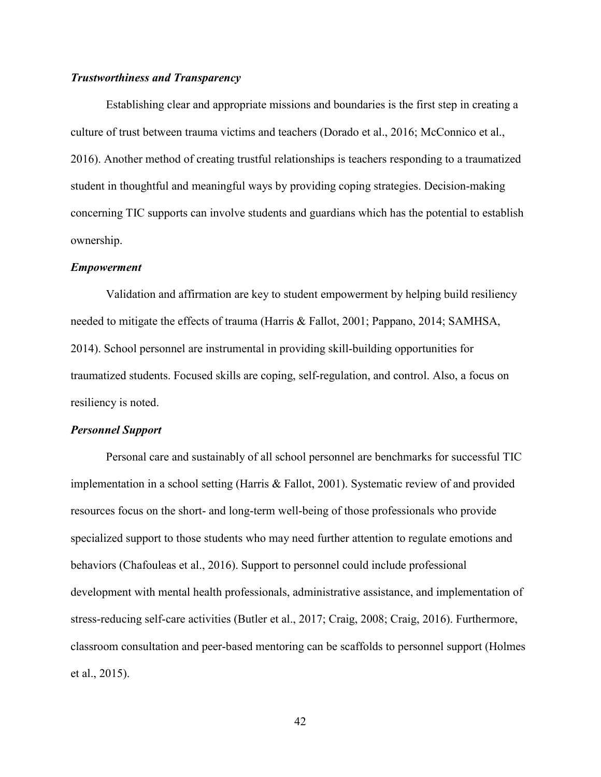# *Trustworthiness and Transparency*

Establishing clear and appropriate missions and boundaries is the first step in creating a culture of trust between trauma victims and teachers (Dorado et al., 2016; McConnico et al., 2016). Another method of creating trustful relationships is teachers responding to a traumatized student in thoughtful and meaningful ways by providing coping strategies. Decision-making concerning TIC supports can involve students and guardians which has the potential to establish ownership.

#### *Empowerment*

Validation and affirmation are key to student empowerment by helping build resiliency needed to mitigate the effects of trauma (Harris & Fallot, 2001; Pappano, 2014; SAMHSA, 2014). School personnel are instrumental in providing skill-building opportunities for traumatized students. Focused skills are coping, self-regulation, and control. Also, a focus on resiliency is noted.

#### *Personnel Support*

Personal care and sustainably of all school personnel are benchmarks for successful TIC implementation in a school setting (Harris & Fallot, 2001). Systematic review of and provided resources focus on the short- and long-term well-being of those professionals who provide specialized support to those students who may need further attention to regulate emotions and behaviors (Chafouleas et al., 2016). Support to personnel could include professional development with mental health professionals, administrative assistance, and implementation of stress-reducing self-care activities (Butler et al., 2017; Craig, 2008; Craig, 2016). Furthermore, classroom consultation and peer-based mentoring can be scaffolds to personnel support (Holmes et al., 2015).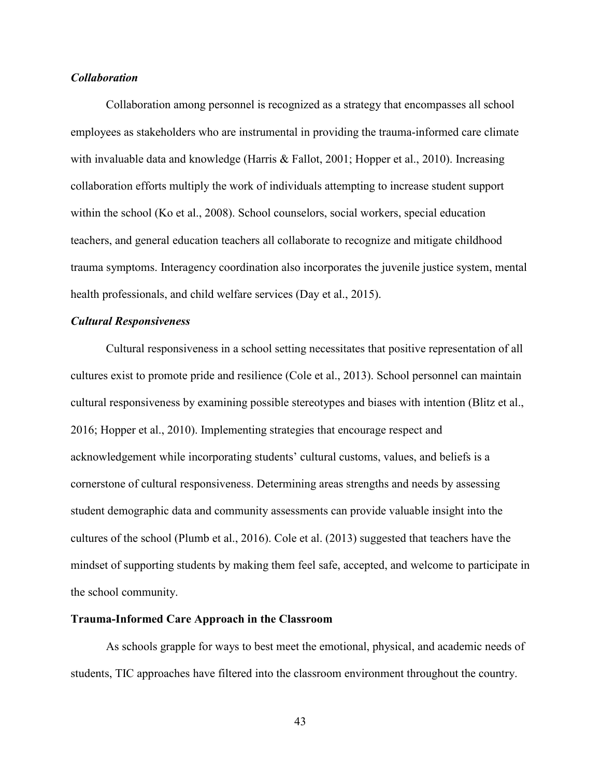## *Collaboration*

Collaboration among personnel is recognized as a strategy that encompasses all school employees as stakeholders who are instrumental in providing the trauma-informed care climate with invaluable data and knowledge (Harris & Fallot, 2001; Hopper et al., 2010). Increasing collaboration efforts multiply the work of individuals attempting to increase student support within the school (Ko et al., 2008). School counselors, social workers, special education teachers, and general education teachers all collaborate to recognize and mitigate childhood trauma symptoms. Interagency coordination also incorporates the juvenile justice system, mental health professionals, and child welfare services (Day et al., 2015).

# *Cultural Responsiveness*

Cultural responsiveness in a school setting necessitates that positive representation of all cultures exist to promote pride and resilience (Cole et al., 2013). School personnel can maintain cultural responsiveness by examining possible stereotypes and biases with intention (Blitz et al., 2016; Hopper et al., 2010). Implementing strategies that encourage respect and acknowledgement while incorporating students' cultural customs, values, and beliefs is a cornerstone of cultural responsiveness. Determining areas strengths and needs by assessing student demographic data and community assessments can provide valuable insight into the cultures of the school (Plumb et al., 2016). Cole et al. (2013) suggested that teachers have the mindset of supporting students by making them feel safe, accepted, and welcome to participate in the school community.

#### **Trauma-Informed Care Approach in the Classroom**

As schools grapple for ways to best meet the emotional, physical, and academic needs of students, TIC approaches have filtered into the classroom environment throughout the country.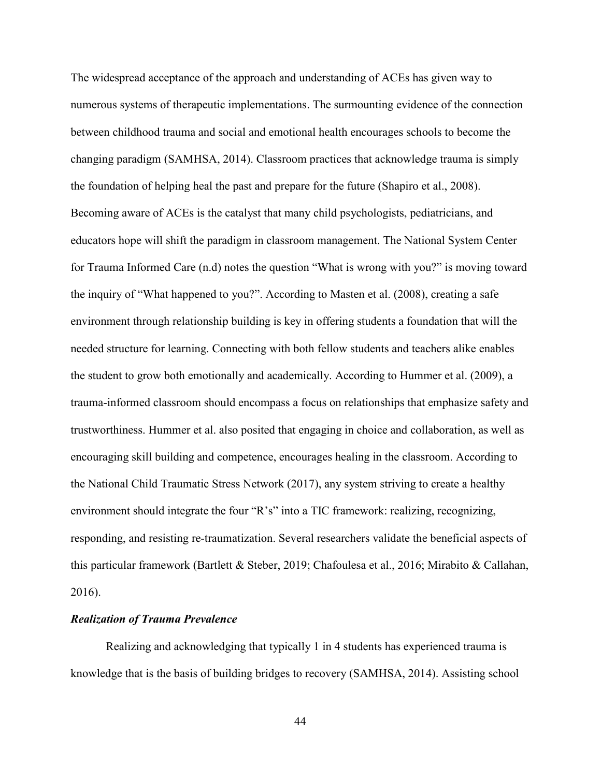The widespread acceptance of the approach and understanding of ACEs has given way to numerous systems of therapeutic implementations. The surmounting evidence of the connection between childhood trauma and social and emotional health encourages schools to become the changing paradigm (SAMHSA, 2014). Classroom practices that acknowledge trauma is simply the foundation of helping heal the past and prepare for the future (Shapiro et al., 2008). Becoming aware of ACEs is the catalyst that many child psychologists, pediatricians, and educators hope will shift the paradigm in classroom management. The National System Center for Trauma Informed Care (n.d) notes the question "What is wrong with you?" is moving toward the inquiry of "What happened to you?". According to Masten et al. (2008), creating a safe environment through relationship building is key in offering students a foundation that will the needed structure for learning. Connecting with both fellow students and teachers alike enables the student to grow both emotionally and academically. According to Hummer et al. (2009), a trauma-informed classroom should encompass a focus on relationships that emphasize safety and trustworthiness. Hummer et al. also posited that engaging in choice and collaboration, as well as encouraging skill building and competence, encourages healing in the classroom. According to the National Child Traumatic Stress Network (2017), any system striving to create a healthy environment should integrate the four "R's" into a TIC framework: realizing, recognizing, responding, and resisting re-traumatization. Several researchers validate the beneficial aspects of this particular framework (Bartlett & Steber, 2019; Chafoulesa et al., 2016; Mirabito & Callahan, 2016).

## *Realization of Trauma Prevalence*

Realizing and acknowledging that typically 1 in 4 students has experienced trauma is knowledge that is the basis of building bridges to recovery (SAMHSA, 2014). Assisting school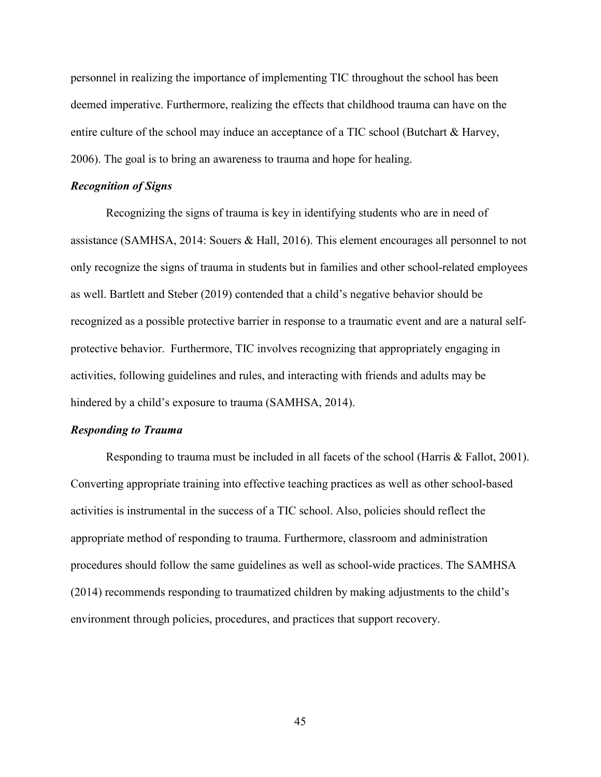personnel in realizing the importance of implementing TIC throughout the school has been deemed imperative. Furthermore, realizing the effects that childhood trauma can have on the entire culture of the school may induce an acceptance of a TIC school (Butchart & Harvey, 2006). The goal is to bring an awareness to trauma and hope for healing.

#### *Recognition of Signs*

Recognizing the signs of trauma is key in identifying students who are in need of assistance (SAMHSA, 2014: Souers & Hall, 2016). This element encourages all personnel to not only recognize the signs of trauma in students but in families and other school-related employees as well. Bartlett and Steber (2019) contended that a child's negative behavior should be recognized as a possible protective barrier in response to a traumatic event and are a natural selfprotective behavior. Furthermore, TIC involves recognizing that appropriately engaging in activities, following guidelines and rules, and interacting with friends and adults may be hindered by a child's exposure to trauma (SAMHSA, 2014).

#### *Responding to Trauma*

Responding to trauma must be included in all facets of the school (Harris & Fallot, 2001). Converting appropriate training into effective teaching practices as well as other school-based activities is instrumental in the success of a TIC school. Also, policies should reflect the appropriate method of responding to trauma. Furthermore, classroom and administration procedures should follow the same guidelines as well as school-wide practices. The SAMHSA (2014) recommends responding to traumatized children by making adjustments to the child's environment through policies, procedures, and practices that support recovery.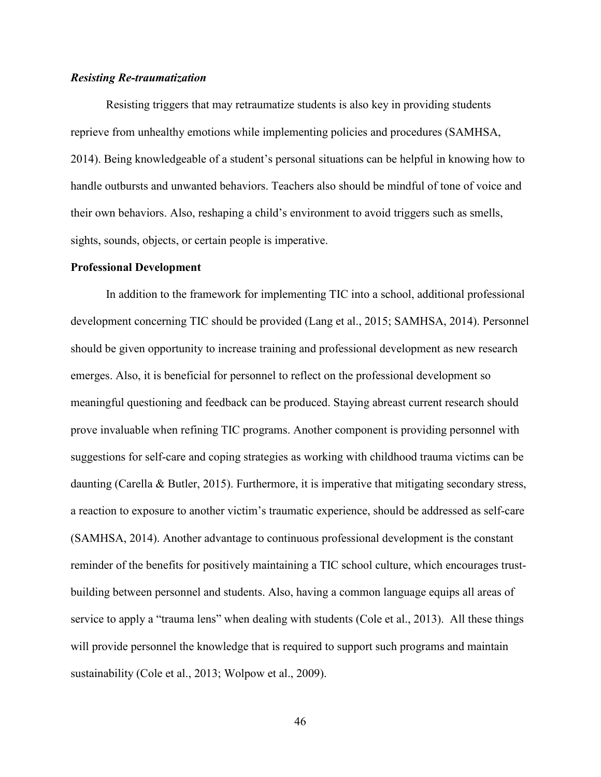## *Resisting Re-traumatization*

Resisting triggers that may retraumatize students is also key in providing students reprieve from unhealthy emotions while implementing policies and procedures (SAMHSA, 2014). Being knowledgeable of a student's personal situations can be helpful in knowing how to handle outbursts and unwanted behaviors. Teachers also should be mindful of tone of voice and their own behaviors. Also, reshaping a child's environment to avoid triggers such as smells, sights, sounds, objects, or certain people is imperative.

#### **Professional Development**

In addition to the framework for implementing TIC into a school, additional professional development concerning TIC should be provided (Lang et al., 2015; SAMHSA, 2014). Personnel should be given opportunity to increase training and professional development as new research emerges. Also, it is beneficial for personnel to reflect on the professional development so meaningful questioning and feedback can be produced. Staying abreast current research should prove invaluable when refining TIC programs. Another component is providing personnel with suggestions for self-care and coping strategies as working with childhood trauma victims can be daunting (Carella & Butler, 2015). Furthermore, it is imperative that mitigating secondary stress, a reaction to exposure to another victim's traumatic experience, should be addressed as self-care (SAMHSA, 2014). Another advantage to continuous professional development is the constant reminder of the benefits for positively maintaining a TIC school culture, which encourages trustbuilding between personnel and students. Also, having a common language equips all areas of service to apply a "trauma lens" when dealing with students (Cole et al., 2013). All these things will provide personnel the knowledge that is required to support such programs and maintain sustainability (Cole et al., 2013; Wolpow et al., 2009).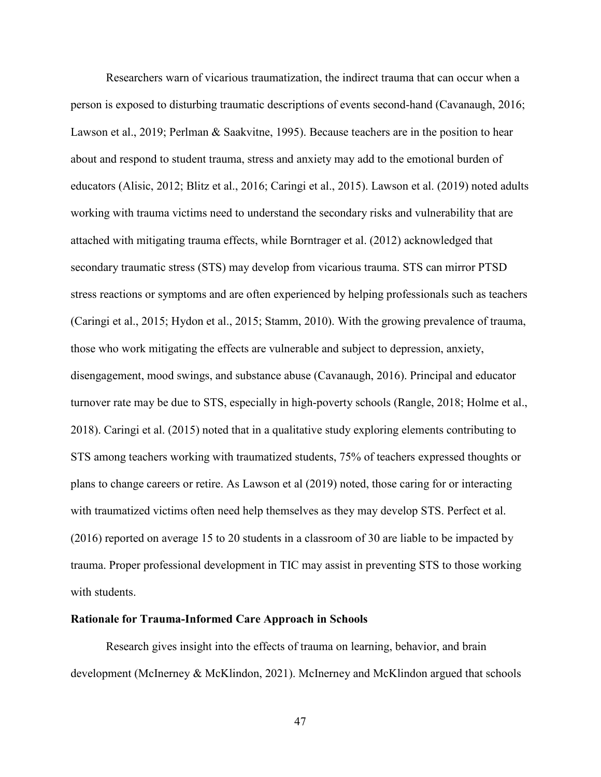Researchers warn of vicarious traumatization, the indirect trauma that can occur when a person is exposed to disturbing traumatic descriptions of events second-hand (Cavanaugh, 2016; Lawson et al., 2019; Perlman & Saakvitne, 1995). Because teachers are in the position to hear about and respond to student trauma, stress and anxiety may add to the emotional burden of educators (Alisic, 2012; Blitz et al., 2016; Caringi et al., 2015). Lawson et al. (2019) noted adults working with trauma victims need to understand the secondary risks and vulnerability that are attached with mitigating trauma effects, while Borntrager et al. (2012) acknowledged that secondary traumatic stress (STS) may develop from vicarious trauma. STS can mirror PTSD stress reactions or symptoms and are often experienced by helping professionals such as teachers (Caringi et al., 2015; Hydon et al., 2015; Stamm, 2010). With the growing prevalence of trauma, those who work mitigating the effects are vulnerable and subject to depression, anxiety, disengagement, mood swings, and substance abuse (Cavanaugh, 2016). Principal and educator turnover rate may be due to STS, especially in high-poverty schools (Rangle, 2018; Holme et al., 2018). Caringi et al. (2015) noted that in a qualitative study exploring elements contributing to STS among teachers working with traumatized students, 75% of teachers expressed thoughts or plans to change careers or retire. As Lawson et al (2019) noted, those caring for or interacting with traumatized victims often need help themselves as they may develop STS. Perfect et al. (2016) reported on average 15 to 20 students in a classroom of 30 are liable to be impacted by trauma. Proper professional development in TIC may assist in preventing STS to those working with students.

#### **Rationale for Trauma-Informed Care Approach in Schools**

Research gives insight into the effects of trauma on learning, behavior, and brain development (McInerney & McKlindon, 2021). McInerney and McKlindon argued that schools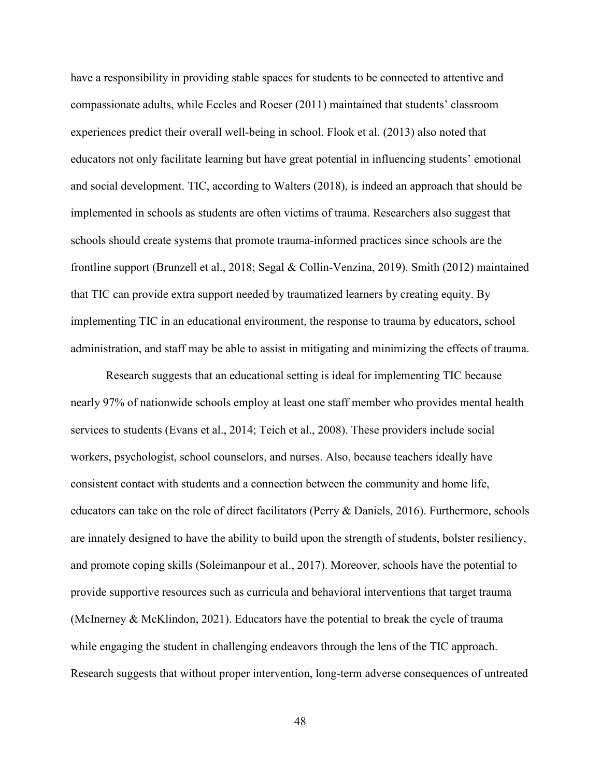have a responsibility in providing stable spaces for students to be connected to attentive and compassionate adults, while Eccles and Roeser (2011) maintained that students' classroom experiences predict their overall well-being in school. Flook et al. (2013) also noted that educators not only facilitate learning but have great potential in influencing students' emotional and social development. TIC, according to Walters (2018), is indeed an approach that should be implemented in schools as students are often victims of trauma. Researchers also suggest that schools should create systems that promote trauma-informed practices since schools are the frontline support (Brunzell et al., 2018; Segal & Collin-Venzina, 2019). Smith (2012) maintained that TIC can provide extra support needed by traumatized learners by creating equity. By implementing TIC in an educational environment, the response to trauma by educators, school administration, and staff may be able to assist in mitigating and minimizing the effects of trauma.

Research suggests that an educational setting is ideal for implementing TIC because nearly 97% of nationwide schools employ at least one staff member who provides mental health services to students (Evans et al., 2014; Teich et al., 2008). These providers include social workers, psychologist, school counselors, and nurses. Also, because teachers ideally have consistent contact with students and a connection between the community and home life, educators can take on the role of direct facilitators (Perry & Daniels, 2016). Furthermore, schools are innately designed to have the ability to build upon the strength of students, bolster resiliency, and promote coping skills (Soleimanpour et al., 2017). Moreover, schools have the potential to provide supportive resources such as curricula and behavioral interventions that target trauma (McInerney & McKlindon, 2021). Educators have the potential to break the cycle of trauma while engaging the student in challenging endeavors through the lens of the TIC approach. Research suggests that without proper intervention, long-term adverse consequences of untreated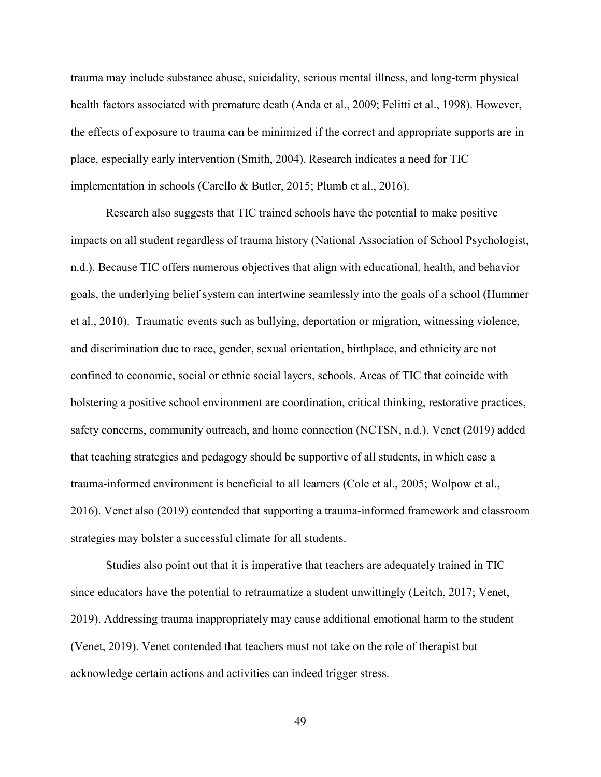trauma may include substance abuse, suicidality, serious mental illness, and long-term physical health factors associated with premature death (Anda et al., 2009; Felitti et al., 1998). However, the effects of exposure to trauma can be minimized if the correct and appropriate supports are in place, especially early intervention (Smith, 2004). Research indicates a need for TIC implementation in schools (Carello & Butler, 2015; Plumb et al., 2016).

Research also suggests that TIC trained schools have the potential to make positive impacts on all student regardless of trauma history (National Association of School Psychologist, n.d.). Because TIC offers numerous objectives that align with educational, health, and behavior goals, the underlying belief system can intertwine seamlessly into the goals of a school (Hummer et al., 2010). Traumatic events such as bullying, deportation or migration, witnessing violence, and discrimination due to race, gender, sexual orientation, birthplace, and ethnicity are not confined to economic, social or ethnic social layers, schools. Areas of TIC that coincide with bolstering a positive school environment are coordination, critical thinking, restorative practices, safety concerns, community outreach, and home connection (NCTSN, n.d.). Venet (2019) added that teaching strategies and pedagogy should be supportive of all students, in which case a trauma-informed environment is beneficial to all learners (Cole et al., 2005; Wolpow et al., 2016). Venet also (2019) contended that supporting a trauma-informed framework and classroom strategies may bolster a successful climate for all students.

Studies also point out that it is imperative that teachers are adequately trained in TIC since educators have the potential to retraumatize a student unwittingly (Leitch, 2017; Venet, 2019). Addressing trauma inappropriately may cause additional emotional harm to the student (Venet, 2019). Venet contended that teachers must not take on the role of therapist but acknowledge certain actions and activities can indeed trigger stress.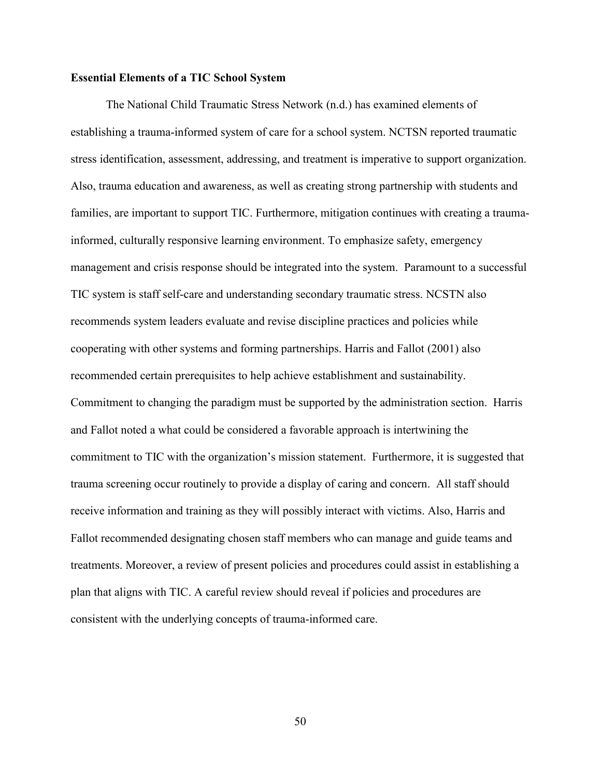## **Essential Elements of a TIC School System**

The National Child Traumatic Stress Network (n.d.) has examined elements of establishing a trauma-informed system of care for a school system. NCTSN reported traumatic stress identification, assessment, addressing, and treatment is imperative to support organization. Also, trauma education and awareness, as well as creating strong partnership with students and families, are important to support TIC. Furthermore, mitigation continues with creating a traumainformed, culturally responsive learning environment. To emphasize safety, emergency management and crisis response should be integrated into the system. Paramount to a successful TIC system is staff self-care and understanding secondary traumatic stress. NCSTN also recommends system leaders evaluate and revise discipline practices and policies while cooperating with other systems and forming partnerships. Harris and Fallot (2001) also recommended certain prerequisites to help achieve establishment and sustainability. Commitment to changing the paradigm must be supported by the administration section. Harris and Fallot noted a what could be considered a favorable approach is intertwining the commitment to TIC with the organization's mission statement. Furthermore, it is suggested that trauma screening occur routinely to provide a display of caring and concern. All staff should receive information and training as they will possibly interact with victims. Also, Harris and Fallot recommended designating chosen staff members who can manage and guide teams and treatments. Moreover, a review of present policies and procedures could assist in establishing a plan that aligns with TIC. A careful review should reveal if policies and procedures are consistent with the underlying concepts of trauma-informed care.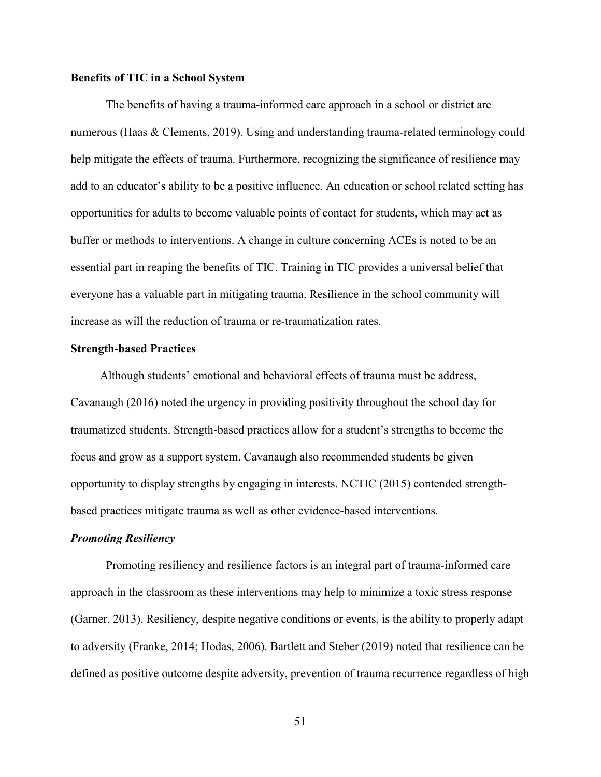## **Benefits of TIC in a School System**

The benefits of having a trauma-informed care approach in a school or district are numerous (Haas & Clements, 2019). Using and understanding trauma-related terminology could help mitigate the effects of trauma. Furthermore, recognizing the significance of resilience may add to an educator's ability to be a positive influence. An education or school related setting has opportunities for adults to become valuable points of contact for students, which may act as buffer or methods to interventions. A change in culture concerning ACEs is noted to be an essential part in reaping the benefits of TIC. Training in TIC provides a universal belief that everyone has a valuable part in mitigating trauma. Resilience in the school community will increase as will the reduction of trauma or re-traumatization rates.

#### **Strength-based Practices**

Although students' emotional and behavioral effects of trauma must be address, Cavanaugh (2016) noted the urgency in providing positivity throughout the school day for traumatized students. Strength-based practices allow for a student's strengths to become the focus and grow as a support system. Cavanaugh also recommended students be given opportunity to display strengths by engaging in interests. NCTIC (2015) contended strengthbased practices mitigate trauma as well as other evidence-based interventions.

#### *Promoting Resiliency*

Promoting resiliency and resilience factors is an integral part of trauma-informed care approach in the classroom as these interventions may help to minimize a toxic stress response (Garner, 2013). Resiliency, despite negative conditions or events, is the ability to properly adapt to adversity (Franke, 2014; Hodas, 2006). Bartlett and Steber (2019) noted that resilience can be defined as positive outcome despite adversity, prevention of trauma recurrence regardless of high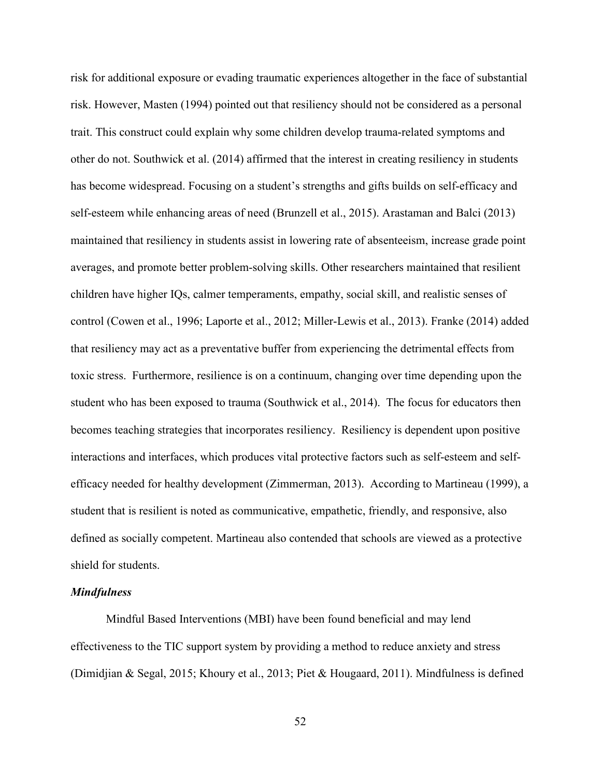risk for additional exposure or evading traumatic experiences altogether in the face of substantial risk. However, Masten (1994) pointed out that resiliency should not be considered as a personal trait. This construct could explain why some children develop trauma-related symptoms and other do not. Southwick et al. (2014) affirmed that the interest in creating resiliency in students has become widespread. Focusing on a student's strengths and gifts builds on self-efficacy and self-esteem while enhancing areas of need (Brunzell et al., 2015). Arastaman and Balci (2013) maintained that resiliency in students assist in lowering rate of absenteeism, increase grade point averages, and promote better problem-solving skills. Other researchers maintained that resilient children have higher IQs, calmer temperaments, empathy, social skill, and realistic senses of control (Cowen et al., 1996; Laporte et al., 2012; Miller-Lewis et al., 2013). Franke (2014) added that resiliency may act as a preventative buffer from experiencing the detrimental effects from toxic stress. Furthermore, resilience is on a continuum, changing over time depending upon the student who has been exposed to trauma (Southwick et al., 2014). The focus for educators then becomes teaching strategies that incorporates resiliency. Resiliency is dependent upon positive interactions and interfaces, which produces vital protective factors such as self-esteem and selfefficacy needed for healthy development (Zimmerman, 2013). According to Martineau (1999), a student that is resilient is noted as communicative, empathetic, friendly, and responsive, also defined as socially competent. Martineau also contended that schools are viewed as a protective shield for students.

#### *Mindfulness*

Mindful Based Interventions (MBI) have been found beneficial and may lend effectiveness to the TIC support system by providing a method to reduce anxiety and stress (Dimidjian & Segal, 2015; Khoury et al., 2013; Piet & Hougaard, 2011). Mindfulness is defined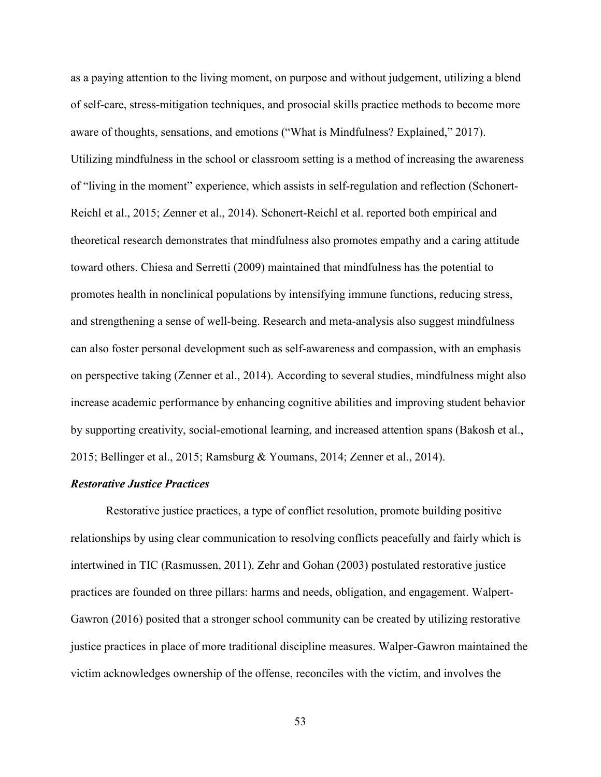as a paying attention to the living moment, on purpose and without judgement, utilizing a blend of self-care, stress-mitigation techniques, and prosocial skills practice methods to become more aware of thoughts, sensations, and emotions ("What is Mindfulness? Explained," 2017). Utilizing mindfulness in the school or classroom setting is a method of increasing the awareness of "living in the moment" experience, which assists in self-regulation and reflection (Schonert-Reichl et al., 2015; Zenner et al., 2014). Schonert-Reichl et al. reported both empirical and theoretical research demonstrates that mindfulness also promotes empathy and a caring attitude toward others. Chiesa and Serretti (2009) maintained that mindfulness has the potential to promotes health in nonclinical populations by intensifying immune functions, reducing stress, and strengthening a sense of well-being. Research and meta-analysis also suggest mindfulness can also foster personal development such as self-awareness and compassion, with an emphasis on perspective taking (Zenner et al., 2014). According to several studies, mindfulness might also increase academic performance by enhancing cognitive abilities and improving student behavior by supporting creativity, social-emotional learning, and increased attention spans (Bakosh et al., 2015; Bellinger et al., 2015; Ramsburg & Youmans, 2014; Zenner et al., 2014).

### *Restorative Justice Practices*

Restorative justice practices, a type of conflict resolution, promote building positive relationships by using clear communication to resolving conflicts peacefully and fairly which is intertwined in TIC (Rasmussen, 2011). Zehr and Gohan (2003) postulated restorative justice practices are founded on three pillars: harms and needs, obligation, and engagement. Walpert-Gawron (2016) posited that a stronger school community can be created by utilizing restorative justice practices in place of more traditional discipline measures. Walper-Gawron maintained the victim acknowledges ownership of the offense, reconciles with the victim, and involves the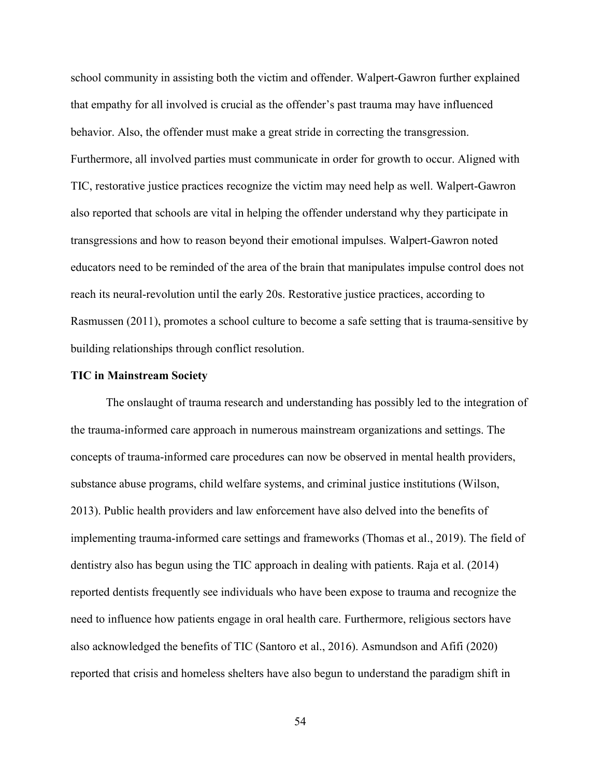school community in assisting both the victim and offender. Walpert-Gawron further explained that empathy for all involved is crucial as the offender's past trauma may have influenced behavior. Also, the offender must make a great stride in correcting the transgression. Furthermore, all involved parties must communicate in order for growth to occur. Aligned with TIC, restorative justice practices recognize the victim may need help as well. Walpert-Gawron also reported that schools are vital in helping the offender understand why they participate in transgressions and how to reason beyond their emotional impulses. Walpert-Gawron noted educators need to be reminded of the area of the brain that manipulates impulse control does not reach its neural-revolution until the early 20s. Restorative justice practices, according to Rasmussen (2011), promotes a school culture to become a safe setting that is trauma-sensitive by building relationships through conflict resolution.

#### **TIC in Mainstream Society**

The onslaught of trauma research and understanding has possibly led to the integration of the trauma-informed care approach in numerous mainstream organizations and settings. The concepts of trauma-informed care procedures can now be observed in mental health providers, substance abuse programs, child welfare systems, and criminal justice institutions (Wilson, 2013). Public health providers and law enforcement have also delved into the benefits of implementing trauma-informed care settings and frameworks (Thomas et al., 2019). The field of dentistry also has begun using the TIC approach in dealing with patients. Raja et al. (2014) reported dentists frequently see individuals who have been expose to trauma and recognize the need to influence how patients engage in oral health care. Furthermore, religious sectors have also acknowledged the benefits of TIC (Santoro et al., 2016). Asmundson and Afifi (2020) reported that crisis and homeless shelters have also begun to understand the paradigm shift in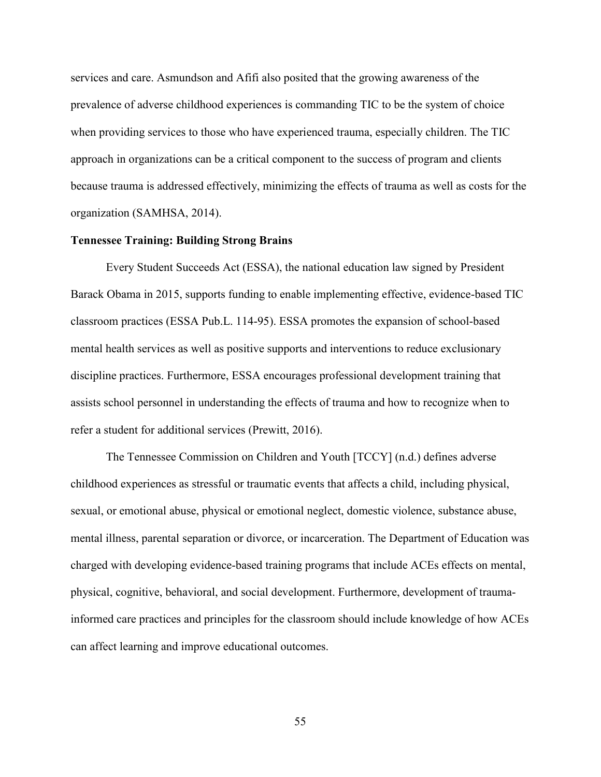services and care. Asmundson and Afifi also posited that the growing awareness of the prevalence of adverse childhood experiences is commanding TIC to be the system of choice when providing services to those who have experienced trauma, especially children. The TIC approach in organizations can be a critical component to the success of program and clients because trauma is addressed effectively, minimizing the effects of trauma as well as costs for the organization (SAMHSA, 2014).

## **Tennessee Training: Building Strong Brains**

Every Student Succeeds Act (ESSA), the national education law signed by President Barack Obama in 2015, supports funding to enable implementing effective, evidence-based TIC classroom practices (ESSA Pub.L. 114-95). ESSA promotes the expansion of school-based mental health services as well as positive supports and interventions to reduce exclusionary discipline practices. Furthermore, ESSA encourages professional development training that assists school personnel in understanding the effects of trauma and how to recognize when to refer a student for additional services (Prewitt, 2016).

The Tennessee Commission on Children and Youth [TCCY] (n.d.) defines adverse childhood experiences as stressful or traumatic events that affects a child, including physical, sexual, or emotional abuse, physical or emotional neglect, domestic violence, substance abuse, mental illness, parental separation or divorce, or incarceration. The Department of Education was charged with developing evidence-based training programs that include ACEs effects on mental, physical, cognitive, behavioral, and social development. Furthermore, development of traumainformed care practices and principles for the classroom should include knowledge of how ACEs can affect learning and improve educational outcomes.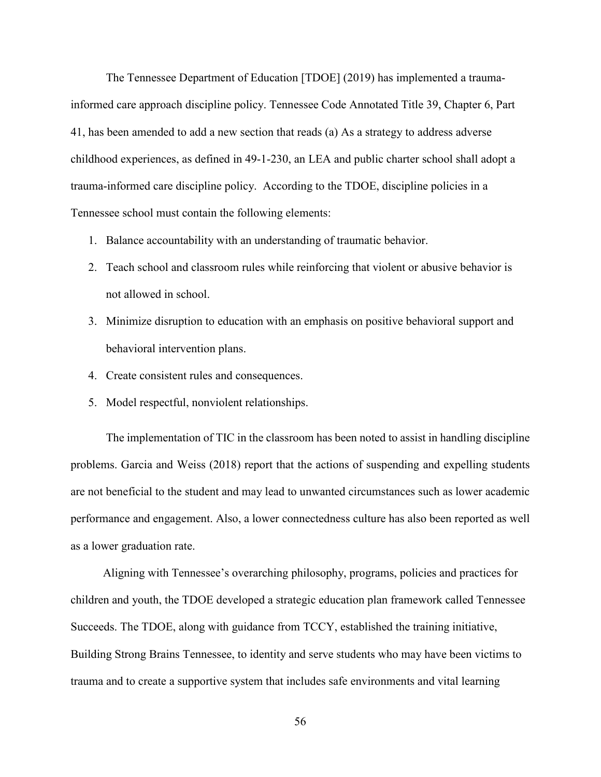The Tennessee Department of Education [TDOE] (2019) has implemented a traumainformed care approach discipline policy. Tennessee Code Annotated Title 39, Chapter 6, Part 41, has been amended to add a new section that reads (a) As a strategy to address adverse childhood experiences, as defined in 49-1-230, an LEA and public charter school shall adopt a trauma-informed care discipline policy. According to the TDOE, discipline policies in a Tennessee school must contain the following elements:

- 1. Balance accountability with an understanding of traumatic behavior.
- 2. Teach school and classroom rules while reinforcing that violent or abusive behavior is not allowed in school.
- 3. Minimize disruption to education with an emphasis on positive behavioral support and behavioral intervention plans.
- 4. Create consistent rules and consequences.
- 5. Model respectful, nonviolent relationships.

The implementation of TIC in the classroom has been noted to assist in handling discipline problems. Garcia and Weiss (2018) report that the actions of suspending and expelling students are not beneficial to the student and may lead to unwanted circumstances such as lower academic performance and engagement. Also, a lower connectedness culture has also been reported as well as a lower graduation rate.

 Aligning with Tennessee's overarching philosophy, programs, policies and practices for children and youth, the TDOE developed a strategic education plan framework called Tennessee Succeeds. The TDOE, along with guidance from TCCY, established the training initiative, Building Strong Brains Tennessee, to identity and serve students who may have been victims to trauma and to create a supportive system that includes safe environments and vital learning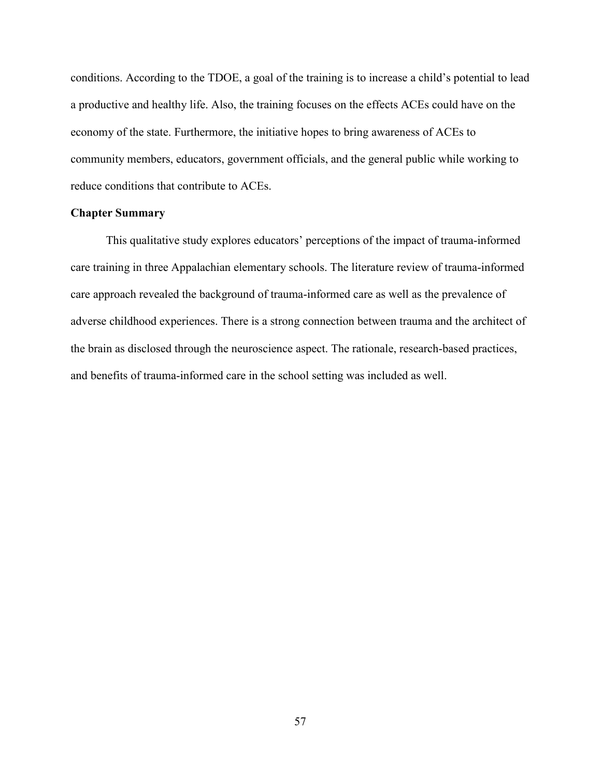conditions. According to the TDOE, a goal of the training is to increase a child's potential to lead a productive and healthy life. Also, the training focuses on the effects ACEs could have on the economy of the state. Furthermore, the initiative hopes to bring awareness of ACEs to community members, educators, government officials, and the general public while working to reduce conditions that contribute to ACEs.

## **Chapter Summary**

This qualitative study explores educators' perceptions of the impact of trauma-informed care training in three Appalachian elementary schools. The literature review of trauma-informed care approach revealed the background of trauma-informed care as well as the prevalence of adverse childhood experiences. There is a strong connection between trauma and the architect of the brain as disclosed through the neuroscience aspect. The rationale, research-based practices, and benefits of trauma-informed care in the school setting was included as well.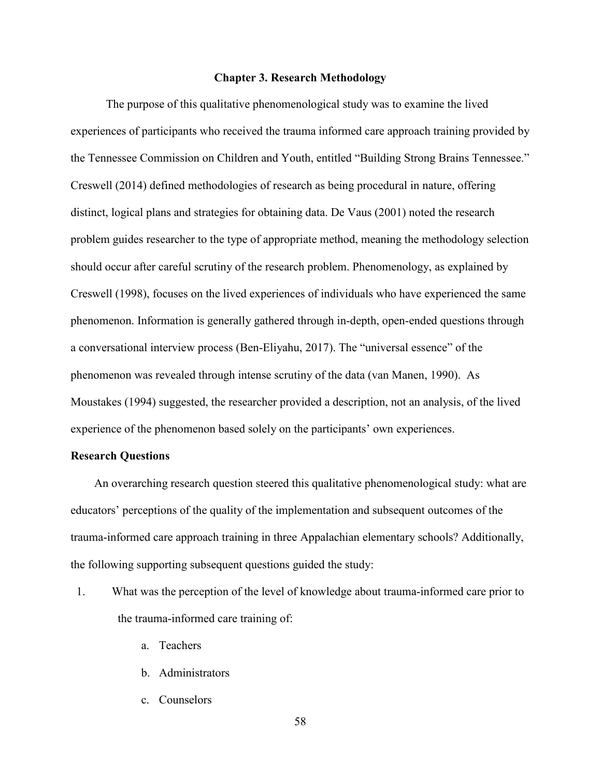### **Chapter 3. Research Methodology**

The purpose of this qualitative phenomenological study was to examine the lived experiences of participants who received the trauma informed care approach training provided by the Tennessee Commission on Children and Youth, entitled "Building Strong Brains Tennessee." Creswell (2014) defined methodologies of research as being procedural in nature, offering distinct, logical plans and strategies for obtaining data. De Vaus (2001) noted the research problem guides researcher to the type of appropriate method, meaning the methodology selection should occur after careful scrutiny of the research problem. Phenomenology, as explained by Creswell (1998), focuses on the lived experiences of individuals who have experienced the same phenomenon. Information is generally gathered through in-depth, open-ended questions through a conversational interview process (Ben-Eliyahu, 2017). The "universal essence" of the phenomenon was revealed through intense scrutiny of the data (van Manen, 1990). As Moustakes (1994) suggested, the researcher provided a description, not an analysis, of the lived experience of the phenomenon based solely on the participants' own experiences.

## **Research Questions**

An overarching research question steered this qualitative phenomenological study: what are educators' perceptions of the quality of the implementation and subsequent outcomes of the trauma-informed care approach training in three Appalachian elementary schools? Additionally, the following supporting subsequent questions guided the study:

- 1. What was the perception of the level of knowledge about trauma-informed care prior to the trauma-informed care training of:
	- a. Teachers
	- b. Administrators
	- c. Counselors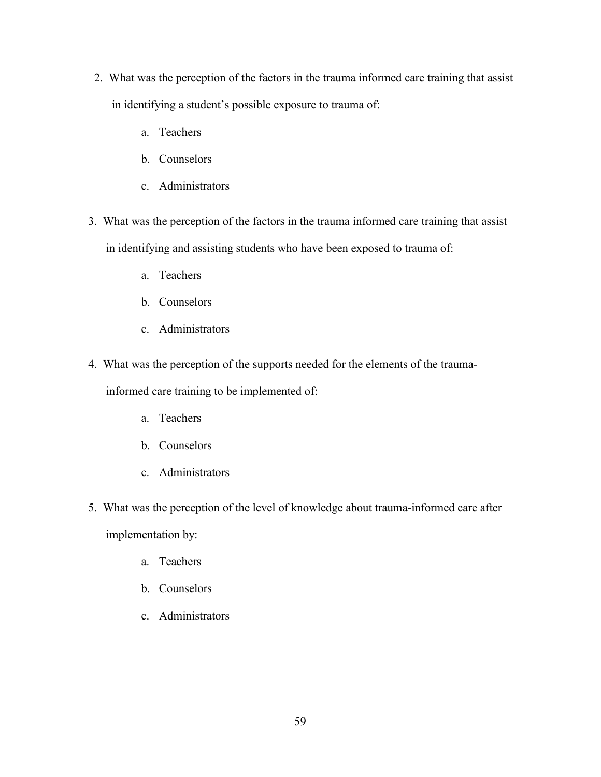- 2. What was the perception of the factors in the trauma informed care training that assist in identifying a student's possible exposure to trauma of:
	- a. Teachers
	- b. Counselors
	- c. Administrators
- 3. What was the perception of the factors in the trauma informed care training that assist in identifying and assisting students who have been exposed to trauma of:
	- a. Teachers
	- b. Counselors
	- c. Administrators
- 4. What was the perception of the supports needed for the elements of the trauma-

informed care training to be implemented of:

- a. Teachers
- b. Counselors
- c. Administrators
- 5. What was the perception of the level of knowledge about trauma-informed care after implementation by:
	- a. Teachers
	- b. Counselors
	- c. Administrators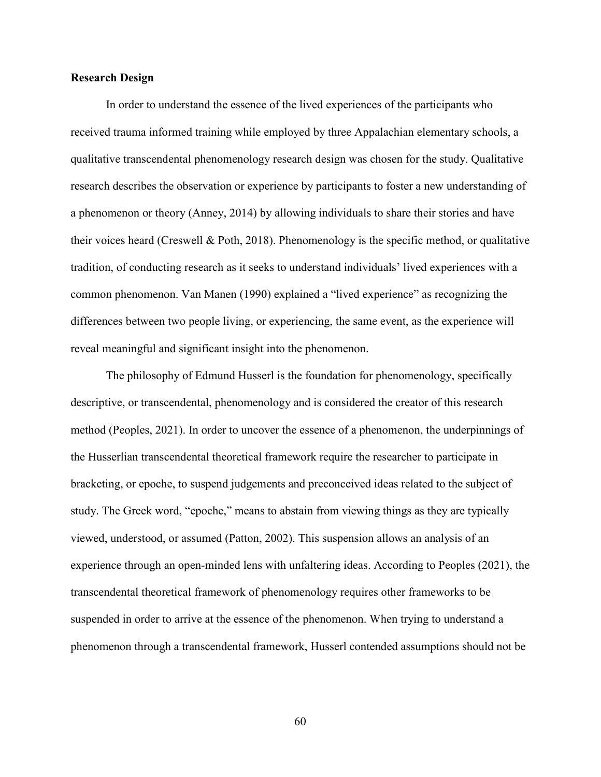## **Research Design**

In order to understand the essence of the lived experiences of the participants who received trauma informed training while employed by three Appalachian elementary schools, a qualitative transcendental phenomenology research design was chosen for the study. Qualitative research describes the observation or experience by participants to foster a new understanding of a phenomenon or theory (Anney, 2014) by allowing individuals to share their stories and have their voices heard (Creswell & Poth, 2018). Phenomenology is the specific method, or qualitative tradition, of conducting research as it seeks to understand individuals' lived experiences with a common phenomenon. Van Manen (1990) explained a "lived experience" as recognizing the differences between two people living, or experiencing, the same event, as the experience will reveal meaningful and significant insight into the phenomenon.

The philosophy of Edmund Husserl is the foundation for phenomenology, specifically descriptive, or transcendental, phenomenology and is considered the creator of this research method (Peoples, 2021). In order to uncover the essence of a phenomenon, the underpinnings of the Husserlian transcendental theoretical framework require the researcher to participate in bracketing, or epoche, to suspend judgements and preconceived ideas related to the subject of study. The Greek word, "epoche," means to abstain from viewing things as they are typically viewed, understood, or assumed (Patton, 2002). This suspension allows an analysis of an experience through an open-minded lens with unfaltering ideas. According to Peoples (2021), the transcendental theoretical framework of phenomenology requires other frameworks to be suspended in order to arrive at the essence of the phenomenon. When trying to understand a phenomenon through a transcendental framework, Husserl contended assumptions should not be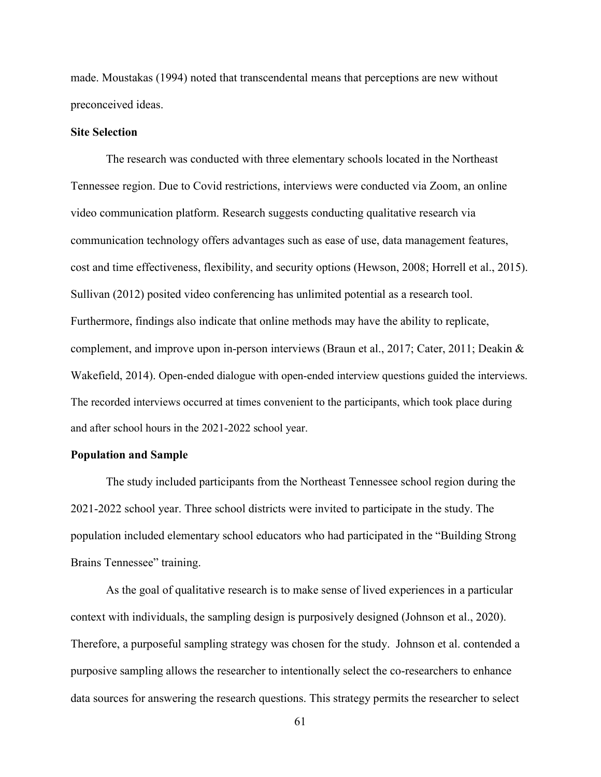made. Moustakas (1994) noted that transcendental means that perceptions are new without preconceived ideas.

# **Site Selection**

The research was conducted with three elementary schools located in the Northeast Tennessee region. Due to Covid restrictions, interviews were conducted via Zoom, an online video communication platform. Research suggests conducting qualitative research via communication technology offers advantages such as ease of use, data management features, cost and time effectiveness, flexibility, and security options (Hewson, 2008; Horrell et al., 2015). Sullivan (2012) posited video conferencing has unlimited potential as a research tool. Furthermore, findings also indicate that online methods may have the ability to replicate, complement, and improve upon in-person interviews (Braun et al., 2017; Cater, 2011; Deakin & Wakefield, 2014). Open-ended dialogue with open-ended interview questions guided the interviews. The recorded interviews occurred at times convenient to the participants, which took place during and after school hours in the 2021-2022 school year.

## **Population and Sample**

The study included participants from the Northeast Tennessee school region during the 2021-2022 school year. Three school districts were invited to participate in the study. The population included elementary school educators who had participated in the "Building Strong Brains Tennessee" training.

As the goal of qualitative research is to make sense of lived experiences in a particular context with individuals, the sampling design is purposively designed (Johnson et al., 2020). Therefore, a purposeful sampling strategy was chosen for the study. Johnson et al. contended a purposive sampling allows the researcher to intentionally select the co-researchers to enhance data sources for answering the research questions. This strategy permits the researcher to select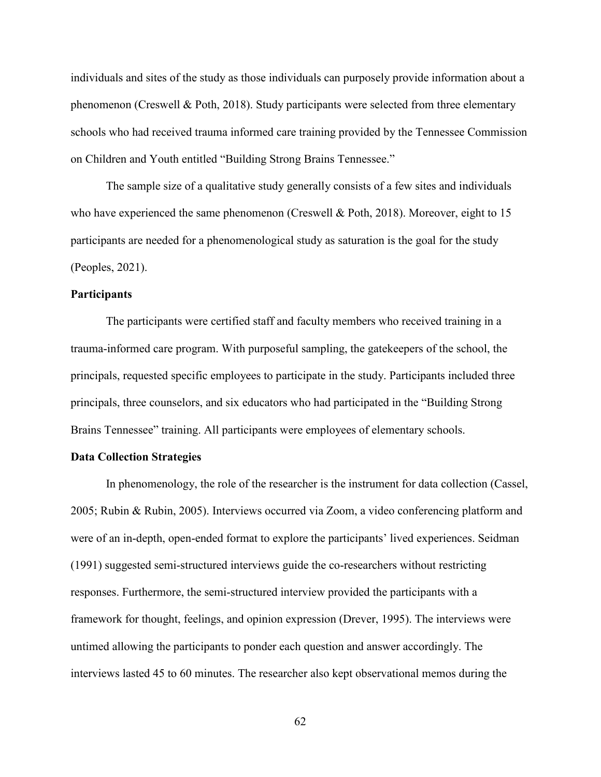individuals and sites of the study as those individuals can purposely provide information about a phenomenon (Creswell & Poth, 2018). Study participants were selected from three elementary schools who had received trauma informed care training provided by the Tennessee Commission on Children and Youth entitled "Building Strong Brains Tennessee."

The sample size of a qualitative study generally consists of a few sites and individuals who have experienced the same phenomenon (Creswell & Poth, 2018). Moreover, eight to 15 participants are needed for a phenomenological study as saturation is the goal for the study (Peoples, 2021).

#### **Participants**

The participants were certified staff and faculty members who received training in a trauma-informed care program. With purposeful sampling, the gatekeepers of the school, the principals, requested specific employees to participate in the study. Participants included three principals, three counselors, and six educators who had participated in the "Building Strong Brains Tennessee" training. All participants were employees of elementary schools.

#### **Data Collection Strategies**

In phenomenology, the role of the researcher is the instrument for data collection (Cassel, 2005; Rubin & Rubin, 2005). Interviews occurred via Zoom, a video conferencing platform and were of an in-depth, open-ended format to explore the participants' lived experiences. Seidman (1991) suggested semi-structured interviews guide the co-researchers without restricting responses. Furthermore, the semi-structured interview provided the participants with a framework for thought, feelings, and opinion expression (Drever, 1995). The interviews were untimed allowing the participants to ponder each question and answer accordingly. The interviews lasted 45 to 60 minutes. The researcher also kept observational memos during the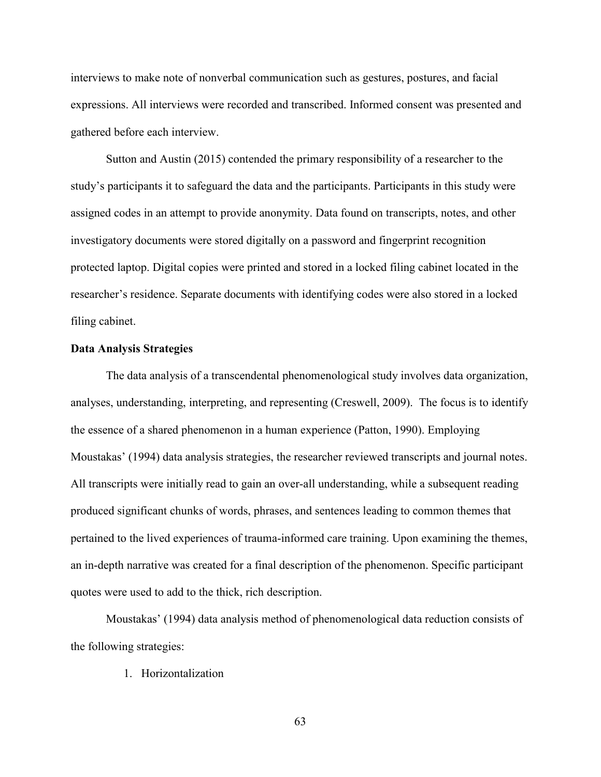interviews to make note of nonverbal communication such as gestures, postures, and facial expressions. All interviews were recorded and transcribed. Informed consent was presented and gathered before each interview.

Sutton and Austin (2015) contended the primary responsibility of a researcher to the study's participants it to safeguard the data and the participants. Participants in this study were assigned codes in an attempt to provide anonymity. Data found on transcripts, notes, and other investigatory documents were stored digitally on a password and fingerprint recognition protected laptop. Digital copies were printed and stored in a locked filing cabinet located in the researcher's residence. Separate documents with identifying codes were also stored in a locked filing cabinet.

#### **Data Analysis Strategies**

The data analysis of a transcendental phenomenological study involves data organization, analyses, understanding, interpreting, and representing (Creswell, 2009). The focus is to identify the essence of a shared phenomenon in a human experience (Patton, 1990). Employing Moustakas' (1994) data analysis strategies, the researcher reviewed transcripts and journal notes. All transcripts were initially read to gain an over-all understanding, while a subsequent reading produced significant chunks of words, phrases, and sentences leading to common themes that pertained to the lived experiences of trauma-informed care training. Upon examining the themes, an in-depth narrative was created for a final description of the phenomenon. Specific participant quotes were used to add to the thick, rich description.

Moustakas' (1994) data analysis method of phenomenological data reduction consists of the following strategies:

1. Horizontalization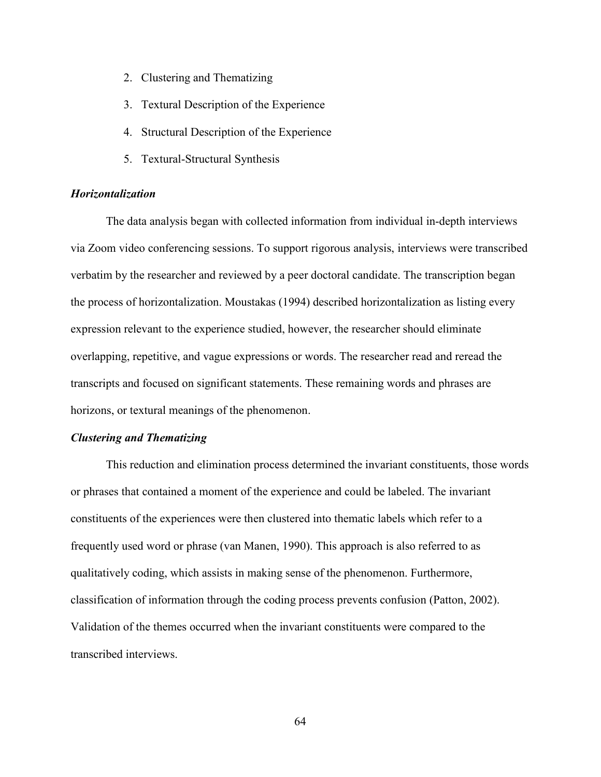- 2. Clustering and Thematizing
- 3. Textural Description of the Experience
- 4. Structural Description of the Experience
- 5. Textural-Structural Synthesis

# *Horizontalization*

The data analysis began with collected information from individual in-depth interviews via Zoom video conferencing sessions. To support rigorous analysis, interviews were transcribed verbatim by the researcher and reviewed by a peer doctoral candidate. The transcription began the process of horizontalization. Moustakas (1994) described horizontalization as listing every expression relevant to the experience studied, however, the researcher should eliminate overlapping, repetitive, and vague expressions or words. The researcher read and reread the transcripts and focused on significant statements. These remaining words and phrases are horizons, or textural meanings of the phenomenon.

## *Clustering and Thematizing*

This reduction and elimination process determined the invariant constituents, those words or phrases that contained a moment of the experience and could be labeled. The invariant constituents of the experiences were then clustered into thematic labels which refer to a frequently used word or phrase (van Manen, 1990). This approach is also referred to as qualitatively coding, which assists in making sense of the phenomenon. Furthermore, classification of information through the coding process prevents confusion (Patton, 2002). Validation of the themes occurred when the invariant constituents were compared to the transcribed interviews.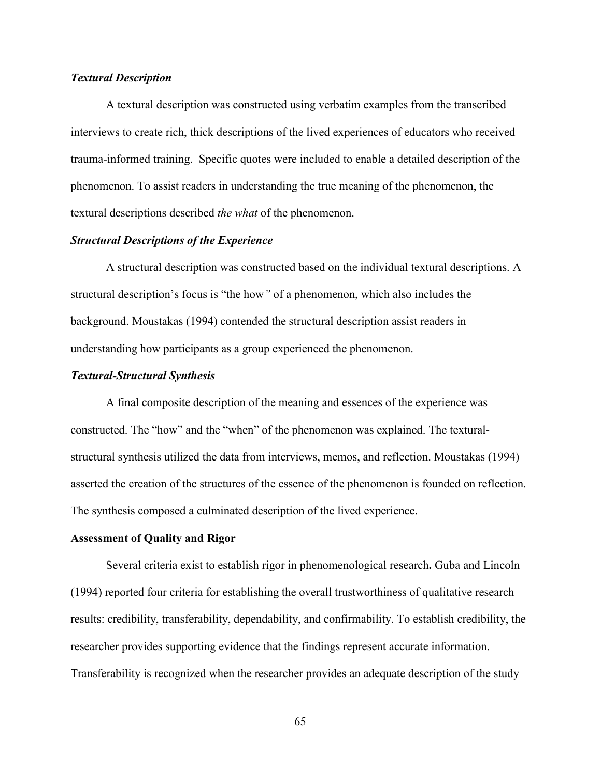## *Textural Description*

A textural description was constructed using verbatim examples from the transcribed interviews to create rich, thick descriptions of the lived experiences of educators who received trauma-informed training. Specific quotes were included to enable a detailed description of the phenomenon. To assist readers in understanding the true meaning of the phenomenon, the textural descriptions described *the what* of the phenomenon.

## *Structural Descriptions of the Experience*

A structural description was constructed based on the individual textural descriptions. A structural description's focus is "the how*"* of a phenomenon, which also includes the background. Moustakas (1994) contended the structural description assist readers in understanding how participants as a group experienced the phenomenon.

#### *Textural-Structural Synthesis*

A final composite description of the meaning and essences of the experience was constructed. The "how" and the "when" of the phenomenon was explained. The texturalstructural synthesis utilized the data from interviews, memos, and reflection. Moustakas (1994) asserted the creation of the structures of the essence of the phenomenon is founded on reflection. The synthesis composed a culminated description of the lived experience.

#### **Assessment of Quality and Rigor**

Several criteria exist to establish rigor in phenomenological research**.** Guba and Lincoln (1994) reported four criteria for establishing the overall trustworthiness of qualitative research results: credibility, transferability, dependability, and confirmability. To establish credibility, the researcher provides supporting evidence that the findings represent accurate information. Transferability is recognized when the researcher provides an adequate description of the study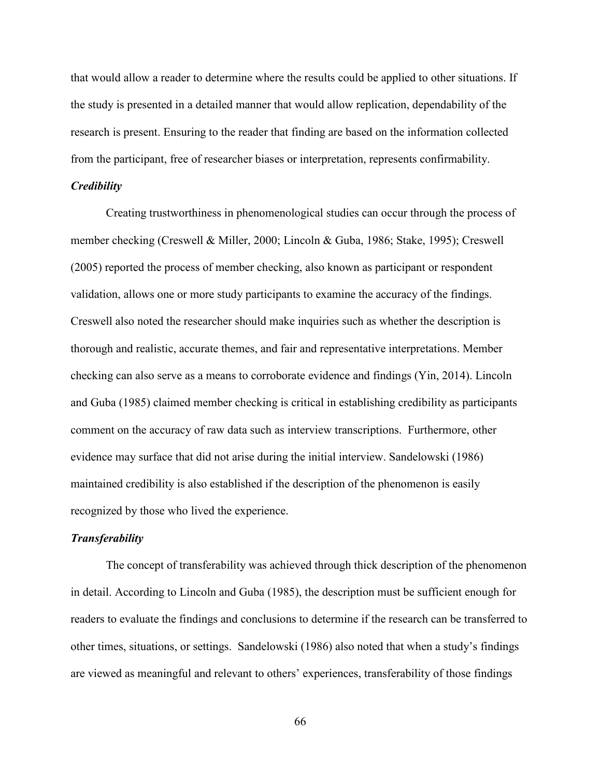that would allow a reader to determine where the results could be applied to other situations. If the study is presented in a detailed manner that would allow replication, dependability of the research is present. Ensuring to the reader that finding are based on the information collected from the participant, free of researcher biases or interpretation, represents confirmability.

## *Credibility*

Creating trustworthiness in phenomenological studies can occur through the process of member checking (Creswell & Miller, 2000; Lincoln & Guba, 1986; Stake, 1995); Creswell (2005) reported the process of member checking, also known as participant or respondent validation, allows one or more study participants to examine the accuracy of the findings. Creswell also noted the researcher should make inquiries such as whether the description is thorough and realistic, accurate themes, and fair and representative interpretations. Member checking can also serve as a means to corroborate evidence and findings (Yin, 2014). Lincoln and Guba (1985) claimed member checking is critical in establishing credibility as participants comment on the accuracy of raw data such as interview transcriptions. Furthermore, other evidence may surface that did not arise during the initial interview. Sandelowski (1986) maintained credibility is also established if the description of the phenomenon is easily recognized by those who lived the experience.

#### *Transferability*

The concept of transferability was achieved through thick description of the phenomenon in detail. According to Lincoln and Guba (1985), the description must be sufficient enough for readers to evaluate the findings and conclusions to determine if the research can be transferred to other times, situations, or settings. Sandelowski (1986) also noted that when a study's findings are viewed as meaningful and relevant to others' experiences, transferability of those findings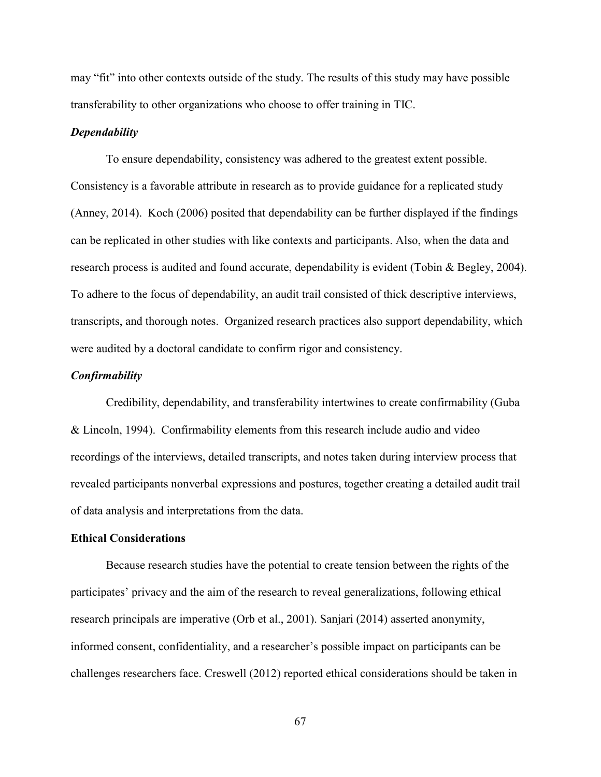may "fit" into other contexts outside of the study. The results of this study may have possible transferability to other organizations who choose to offer training in TIC.

#### *Dependability*

To ensure dependability, consistency was adhered to the greatest extent possible. Consistency is a favorable attribute in research as to provide guidance for a replicated study (Anney, 2014). Koch (2006) posited that dependability can be further displayed if the findings can be replicated in other studies with like contexts and participants. Also, when the data and research process is audited and found accurate, dependability is evident (Tobin & Begley, 2004). To adhere to the focus of dependability, an audit trail consisted of thick descriptive interviews, transcripts, and thorough notes. Organized research practices also support dependability, which were audited by a doctoral candidate to confirm rigor and consistency.

#### *Confirmability*

Credibility, dependability, and transferability intertwines to create confirmability (Guba & Lincoln, 1994). Confirmability elements from this research include audio and video recordings of the interviews, detailed transcripts, and notes taken during interview process that revealed participants nonverbal expressions and postures, together creating a detailed audit trail of data analysis and interpretations from the data.

## **Ethical Considerations**

Because research studies have the potential to create tension between the rights of the participates' privacy and the aim of the research to reveal generalizations, following ethical research principals are imperative (Orb et al., 2001). Sanjari (2014) asserted anonymity, informed consent, confidentiality, and a researcher's possible impact on participants can be challenges researchers face. Creswell (2012) reported ethical considerations should be taken in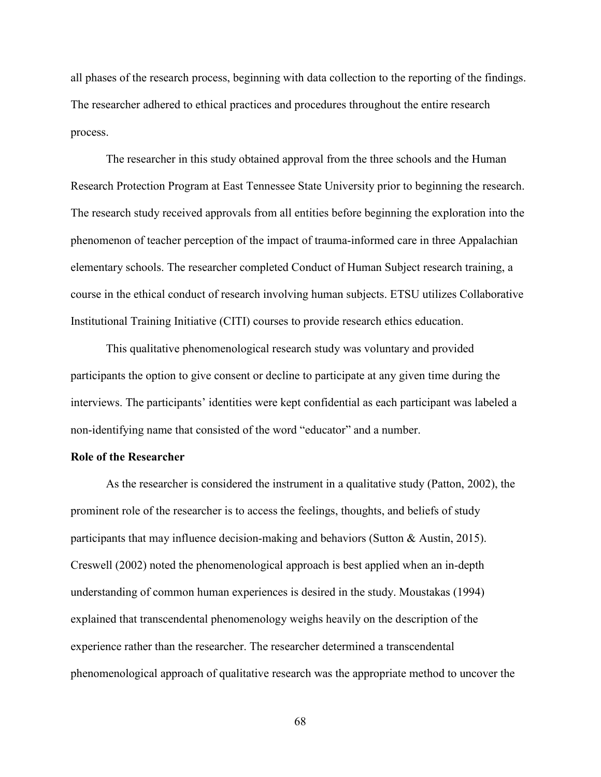all phases of the research process, beginning with data collection to the reporting of the findings. The researcher adhered to ethical practices and procedures throughout the entire research process.

The researcher in this study obtained approval from the three schools and the Human Research Protection Program at East Tennessee State University prior to beginning the research. The research study received approvals from all entities before beginning the exploration into the phenomenon of teacher perception of the impact of trauma-informed care in three Appalachian elementary schools. The researcher completed Conduct of Human Subject research training, a course in the ethical conduct of research involving human subjects. ETSU utilizes Collaborative Institutional Training Initiative (CITI) courses to provide research ethics education.

This qualitative phenomenological research study was voluntary and provided participants the option to give consent or decline to participate at any given time during the interviews. The participants' identities were kept confidential as each participant was labeled a non-identifying name that consisted of the word "educator" and a number.

## **Role of the Researcher**

As the researcher is considered the instrument in a qualitative study (Patton, 2002), the prominent role of the researcher is to access the feelings, thoughts, and beliefs of study participants that may influence decision-making and behaviors (Sutton & Austin, 2015). Creswell (2002) noted the phenomenological approach is best applied when an in-depth understanding of common human experiences is desired in the study. Moustakas (1994) explained that transcendental phenomenology weighs heavily on the description of the experience rather than the researcher. The researcher determined a transcendental phenomenological approach of qualitative research was the appropriate method to uncover the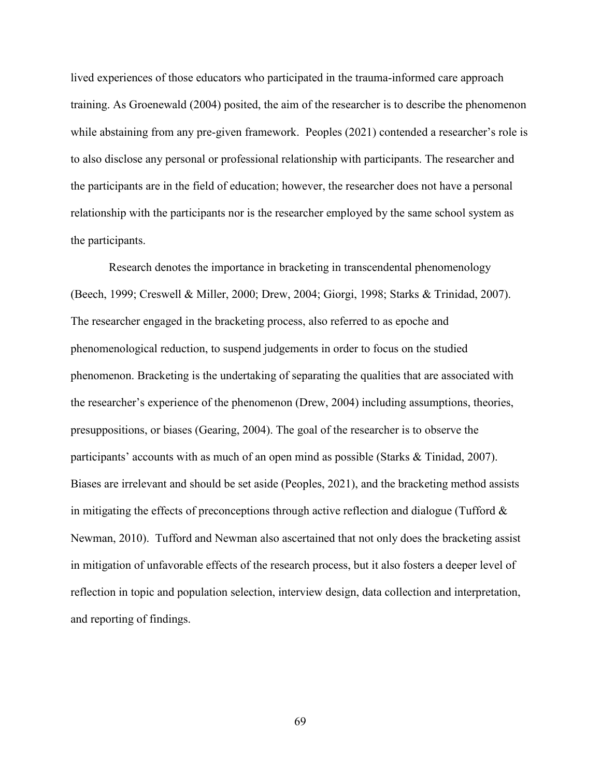lived experiences of those educators who participated in the trauma-informed care approach training. As Groenewald (2004) posited, the aim of the researcher is to describe the phenomenon while abstaining from any pre-given framework. Peoples (2021) contended a researcher's role is to also disclose any personal or professional relationship with participants. The researcher and the participants are in the field of education; however, the researcher does not have a personal relationship with the participants nor is the researcher employed by the same school system as the participants.

Research denotes the importance in bracketing in transcendental phenomenology (Beech, 1999; Creswell & Miller, 2000; Drew, 2004; Giorgi, 1998; Starks & Trinidad, 2007). The researcher engaged in the bracketing process, also referred to as epoche and phenomenological reduction, to suspend judgements in order to focus on the studied phenomenon. Bracketing is the undertaking of separating the qualities that are associated with the researcher's experience of the phenomenon (Drew, 2004) including assumptions, theories, presuppositions, or biases (Gearing, 2004). The goal of the researcher is to observe the participants' accounts with as much of an open mind as possible (Starks & Tinidad, 2007). Biases are irrelevant and should be set aside (Peoples, 2021), and the bracketing method assists in mitigating the effects of preconceptions through active reflection and dialogue (Tufford  $\&$ Newman, 2010). Tufford and Newman also ascertained that not only does the bracketing assist in mitigation of unfavorable effects of the research process, but it also fosters a deeper level of reflection in topic and population selection, interview design, data collection and interpretation, and reporting of findings.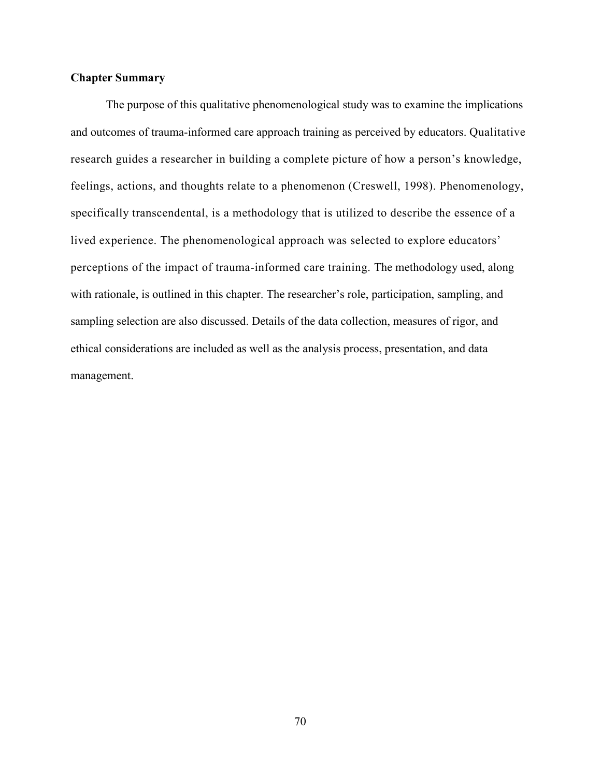# **Chapter Summary**

The purpose of this qualitative phenomenological study was to examine the implications and outcomes of trauma-informed care approach training as perceived by educators. Qualitative research guides a researcher in building a complete picture of how a person's knowledge, feelings, actions, and thoughts relate to a phenomenon (Creswell, 1998). Phenomenology, specifically transcendental, is a methodology that is utilized to describe the essence of a lived experience. The phenomenological approach was selected to explore educators' perceptions of the impact of trauma-informed care training. The methodology used, along with rationale, is outlined in this chapter. The researcher's role, participation, sampling, and sampling selection are also discussed. Details of the data collection, measures of rigor, and ethical considerations are included as well as the analysis process, presentation, and data management.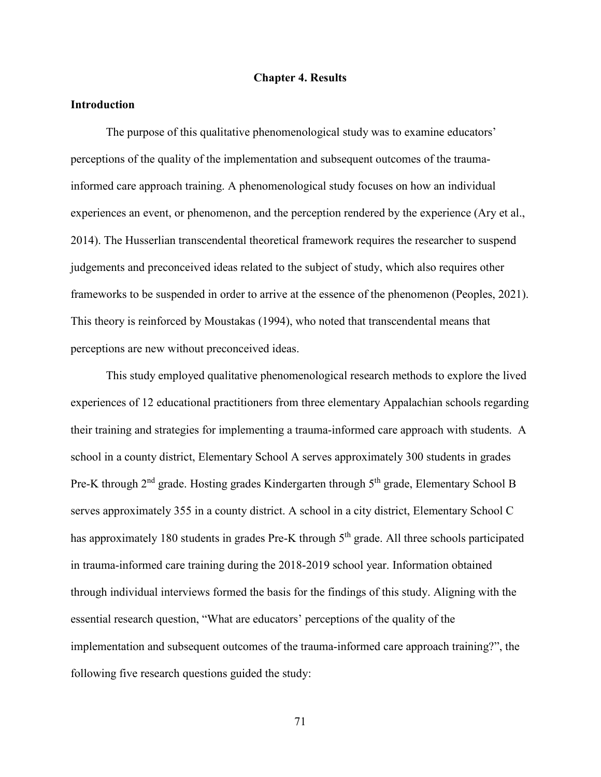### **Chapter 4. Results**

### **Introduction**

The purpose of this qualitative phenomenological study was to examine educators' perceptions of the quality of the implementation and subsequent outcomes of the traumainformed care approach training. A phenomenological study focuses on how an individual experiences an event, or phenomenon, and the perception rendered by the experience (Ary et al., 2014). The Husserlian transcendental theoretical framework requires the researcher to suspend judgements and preconceived ideas related to the subject of study, which also requires other frameworks to be suspended in order to arrive at the essence of the phenomenon (Peoples, 2021). This theory is reinforced by Moustakas (1994), who noted that transcendental means that perceptions are new without preconceived ideas.

This study employed qualitative phenomenological research methods to explore the lived experiences of 12 educational practitioners from three elementary Appalachian schools regarding their training and strategies for implementing a trauma-informed care approach with students. A school in a county district, Elementary School A serves approximately 300 students in grades Pre-K through 2<sup>nd</sup> grade. Hosting grades Kindergarten through 5<sup>th</sup> grade, Elementary School B serves approximately 355 in a county district. A school in a city district, Elementary School C has approximately 180 students in grades Pre-K through 5<sup>th</sup> grade. All three schools participated in trauma-informed care training during the 2018-2019 school year. Information obtained through individual interviews formed the basis for the findings of this study. Aligning with the essential research question, "What are educators' perceptions of the quality of the implementation and subsequent outcomes of the trauma-informed care approach training?", the following five research questions guided the study: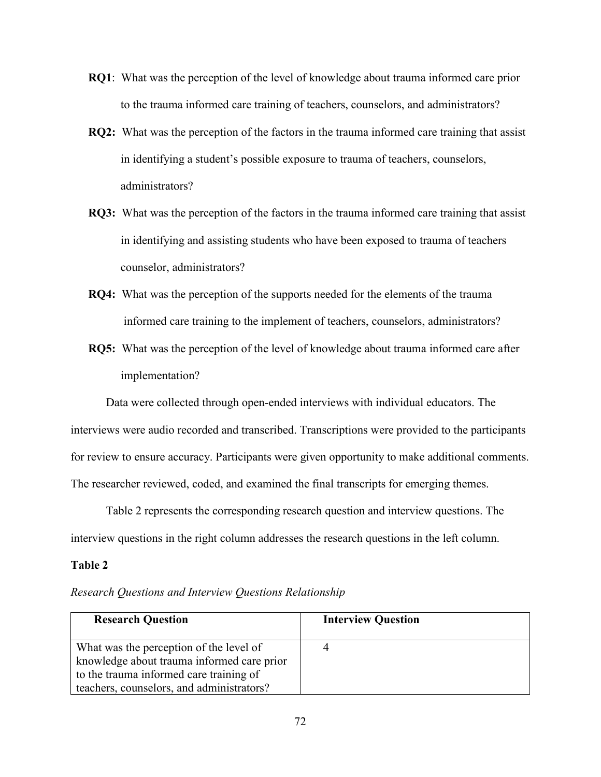- **RQ1**: What was the perception of the level of knowledge about trauma informed care prior to the trauma informed care training of teachers, counselors, and administrators?
- **RQ2:** What was the perception of the factors in the trauma informed care training that assist in identifying a student's possible exposure to trauma of teachers, counselors, administrators?
- **RQ3:** What was the perception of the factors in the trauma informed care training that assist in identifying and assisting students who have been exposed to trauma of teachers counselor, administrators?
- **RQ4:** What was the perception of the supports needed for the elements of the trauma informed care training to the implement of teachers, counselors, administrators?
- **RQ5:** What was the perception of the level of knowledge about trauma informed care after implementation?

Data were collected through open-ended interviews with individual educators. The interviews were audio recorded and transcribed. Transcriptions were provided to the participants for review to ensure accuracy. Participants were given opportunity to make additional comments. The researcher reviewed, coded, and examined the final transcripts for emerging themes.

Table 2 represents the corresponding research question and interview questions. The interview questions in the right column addresses the research questions in the left column.

# **Table 2**

|  |  |  |  |  | Research Questions and Interview Questions Relationship |
|--|--|--|--|--|---------------------------------------------------------|
|--|--|--|--|--|---------------------------------------------------------|

| <b>Research Question</b>                                                              | <b>Interview Question</b> |
|---------------------------------------------------------------------------------------|---------------------------|
| What was the perception of the level of<br>knowledge about trauma informed care prior |                           |
| to the trauma informed care training of<br>teachers, counselors, and administrators?  |                           |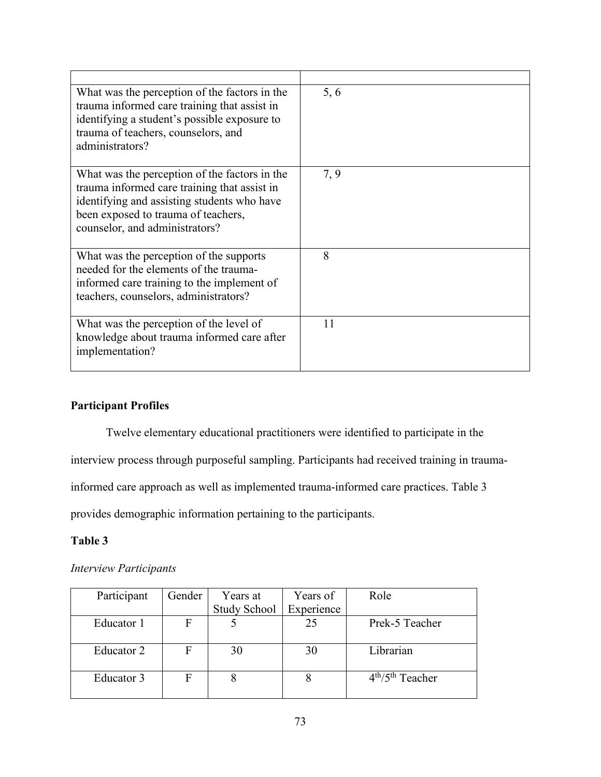| What was the perception of the factors in the<br>trauma informed care training that assist in<br>identifying a student's possible exposure to<br>trauma of teachers, counselors, and<br>administrators?               | 5, 6 |
|-----------------------------------------------------------------------------------------------------------------------------------------------------------------------------------------------------------------------|------|
| What was the perception of the factors in the<br>trauma informed care training that assist in<br>identifying and assisting students who have<br>been exposed to trauma of teachers,<br>counselor, and administrators? | 7, 9 |
| What was the perception of the supports<br>needed for the elements of the trauma-<br>informed care training to the implement of<br>teachers, counselors, administrators?                                              | 8    |
| What was the perception of the level of<br>knowledge about trauma informed care after<br>implementation?                                                                                                              | 11   |

# **Participant Profiles**

Twelve elementary educational practitioners were identified to participate in the

interview process through purposeful sampling. Participants had received training in trauma-

informed care approach as well as implemented trauma-informed care practices. Table 3

provides demographic information pertaining to the participants.

# **Table 3**

# *Interview Participants*

| Participant | Gender | Years at            | Years of   | Role              |
|-------------|--------|---------------------|------------|-------------------|
|             |        | <b>Study School</b> | Experience |                   |
| Educator 1  | F      |                     | 25         | Prek-5 Teacher    |
|             |        |                     |            |                   |
| Educator 2  |        | 30                  | 30         | Librarian         |
|             |        |                     |            |                   |
| Educator 3  |        |                     |            | $4th/5th$ Teacher |
|             |        |                     |            |                   |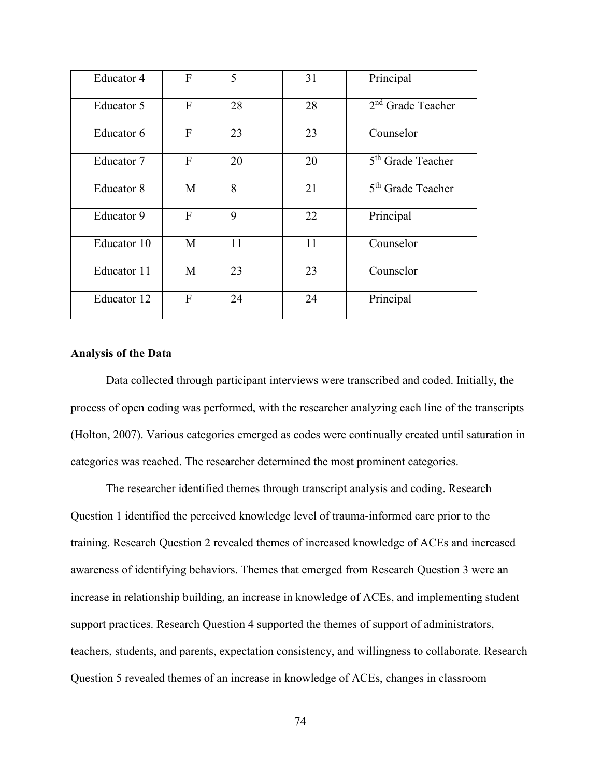| Educator 4  | F | 5  | 31 | Principal                     |
|-------------|---|----|----|-------------------------------|
| Educator 5  | F | 28 | 28 | $2nd$ Grade Teacher           |
| Educator 6  | F | 23 | 23 | Counselor                     |
| Educator 7  | F | 20 | 20 | 5 <sup>th</sup> Grade Teacher |
| Educator 8  | M | 8  | 21 | 5 <sup>th</sup> Grade Teacher |
| Educator 9  | F | 9  | 22 | Principal                     |
| Educator 10 | M | 11 | 11 | Counselor                     |
| Educator 11 | M | 23 | 23 | Counselor                     |
| Educator 12 | F | 24 | 24 | Principal                     |
|             |   |    |    |                               |

# **Analysis of the Data**

Data collected through participant interviews were transcribed and coded. Initially, the process of open coding was performed, with the researcher analyzing each line of the transcripts (Holton, 2007). Various categories emerged as codes were continually created until saturation in categories was reached. The researcher determined the most prominent categories.

The researcher identified themes through transcript analysis and coding. Research Question 1 identified the perceived knowledge level of trauma-informed care prior to the training. Research Question 2 revealed themes of increased knowledge of ACEs and increased awareness of identifying behaviors. Themes that emerged from Research Question 3 were an increase in relationship building, an increase in knowledge of ACEs, and implementing student support practices. Research Question 4 supported the themes of support of administrators, teachers, students, and parents, expectation consistency, and willingness to collaborate. Research Question 5 revealed themes of an increase in knowledge of ACEs, changes in classroom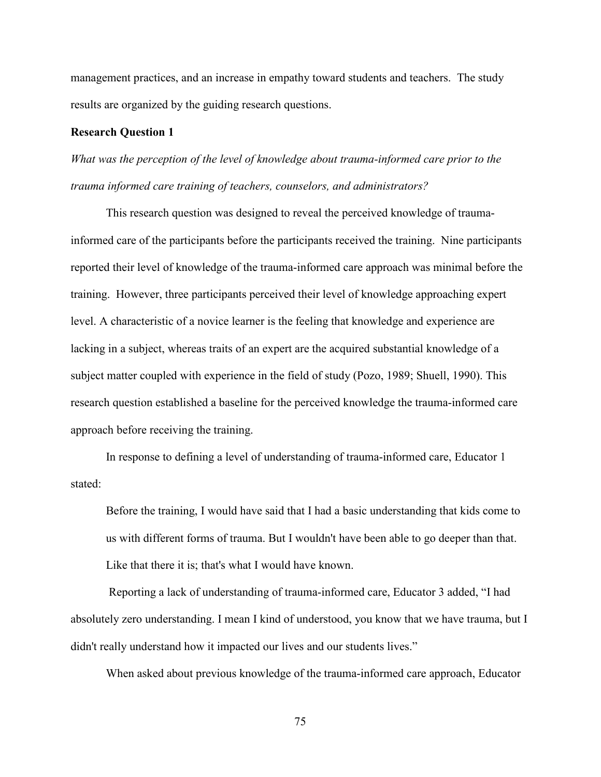management practices, and an increase in empathy toward students and teachers. The study results are organized by the guiding research questions.

# **Research Question 1**

*What was the perception of the level of knowledge about trauma-informed care prior to the trauma informed care training of teachers, counselors, and administrators?*

This research question was designed to reveal the perceived knowledge of traumainformed care of the participants before the participants received the training. Nine participants reported their level of knowledge of the trauma-informed care approach was minimal before the training. However, three participants perceived their level of knowledge approaching expert level. A characteristic of a novice learner is the feeling that knowledge and experience are lacking in a subject, whereas traits of an expert are the acquired substantial knowledge of a subject matter coupled with experience in the field of study (Pozo, 1989; Shuell, 1990). This research question established a baseline for the perceived knowledge the trauma-informed care approach before receiving the training.

In response to defining a level of understanding of trauma-informed care, Educator 1 stated:

Before the training, I would have said that I had a basic understanding that kids come to us with different forms of trauma. But I wouldn't have been able to go deeper than that. Like that there it is; that's what I would have known.

 Reporting a lack of understanding of trauma-informed care, Educator 3 added, "I had absolutely zero understanding. I mean I kind of understood, you know that we have trauma, but I didn't really understand how it impacted our lives and our students lives."

When asked about previous knowledge of the trauma-informed care approach, Educator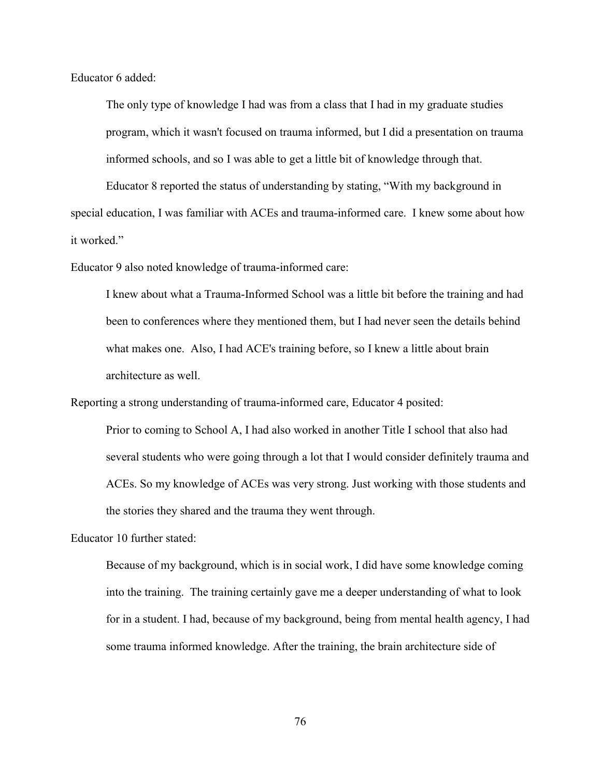Educator 6 added:

The only type of knowledge I had was from a class that I had in my graduate studies program, which it wasn't focused on trauma informed, but I did a presentation on trauma informed schools, and so I was able to get a little bit of knowledge through that.

Educator 8 reported the status of understanding by stating, "With my background in special education, I was familiar with ACEs and trauma-informed care. I knew some about how it worked."

Educator 9 also noted knowledge of trauma-informed care:

I knew about what a Trauma-Informed School was a little bit before the training and had been to conferences where they mentioned them, but I had never seen the details behind what makes one. Also, I had ACE's training before, so I knew a little about brain architecture as well.

Reporting a strong understanding of trauma-informed care, Educator 4 posited:

Prior to coming to School A, I had also worked in another Title I school that also had several students who were going through a lot that I would consider definitely trauma and ACEs. So my knowledge of ACEs was very strong. Just working with those students and the stories they shared and the trauma they went through.

Educator 10 further stated:

Because of my background, which is in social work, I did have some knowledge coming into the training. The training certainly gave me a deeper understanding of what to look for in a student. I had, because of my background, being from mental health agency, I had some trauma informed knowledge. After the training, the brain architecture side of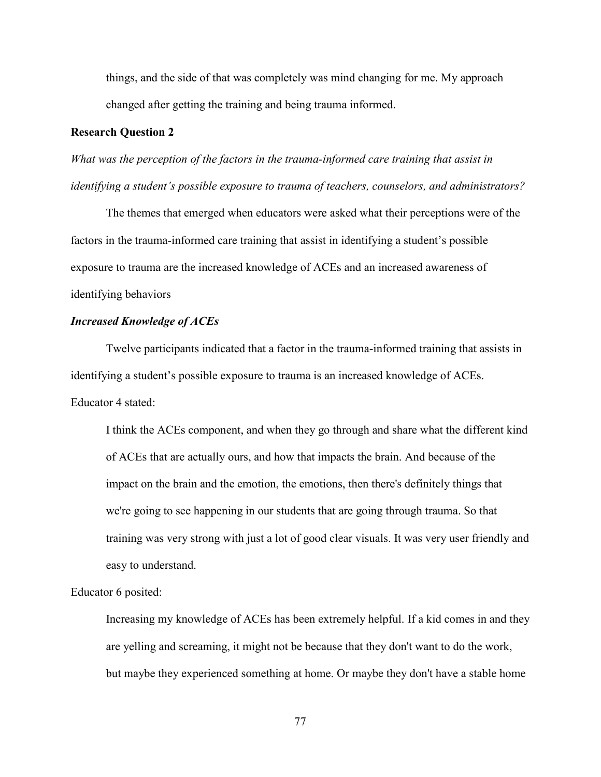things, and the side of that was completely was mind changing for me. My approach changed after getting the training and being trauma informed.

## **Research Question 2**

*What was the perception of the factors in the trauma-informed care training that assist in identifying a student's possible exposure to trauma of teachers, counselors, and administrators?*

The themes that emerged when educators were asked what their perceptions were of the factors in the trauma-informed care training that assist in identifying a student's possible exposure to trauma are the increased knowledge of ACEs and an increased awareness of identifying behaviors

# *Increased Knowledge of ACEs*

Twelve participants indicated that a factor in the trauma-informed training that assists in identifying a student's possible exposure to trauma is an increased knowledge of ACEs. Educator 4 stated:

I think the ACEs component, and when they go through and share what the different kind of ACEs that are actually ours, and how that impacts the brain. And because of the impact on the brain and the emotion, the emotions, then there's definitely things that we're going to see happening in our students that are going through trauma. So that training was very strong with just a lot of good clear visuals. It was very user friendly and easy to understand.

### Educator 6 posited:

Increasing my knowledge of ACEs has been extremely helpful. If a kid comes in and they are yelling and screaming, it might not be because that they don't want to do the work, but maybe they experienced something at home. Or maybe they don't have a stable home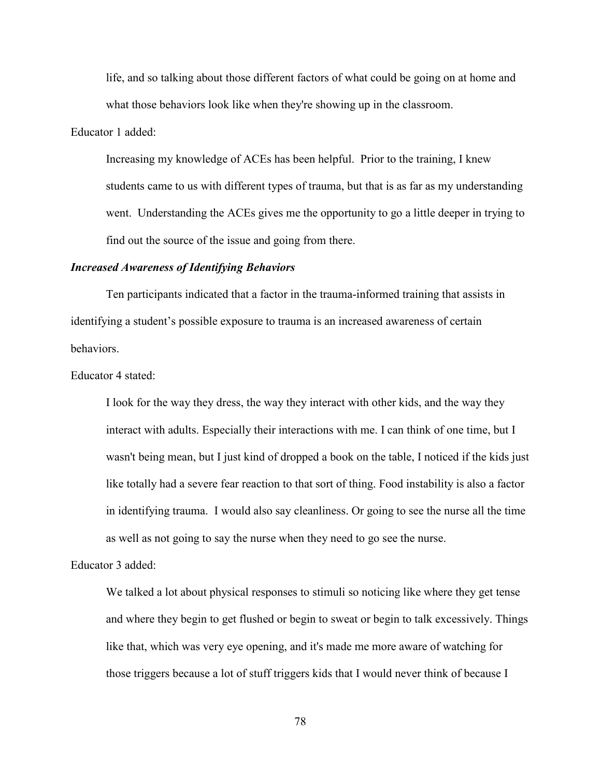life, and so talking about those different factors of what could be going on at home and what those behaviors look like when they're showing up in the classroom.

Educator 1 added:

Increasing my knowledge of ACEs has been helpful. Prior to the training, I knew students came to us with different types of trauma, but that is as far as my understanding went. Understanding the ACEs gives me the opportunity to go a little deeper in trying to find out the source of the issue and going from there.

### *Increased Awareness of Identifying Behaviors*

Ten participants indicated that a factor in the trauma-informed training that assists in identifying a student's possible exposure to trauma is an increased awareness of certain behaviors.

### Educator 4 stated:

I look for the way they dress, the way they interact with other kids, and the way they interact with adults. Especially their interactions with me. I can think of one time, but I wasn't being mean, but I just kind of dropped a book on the table, I noticed if the kids just like totally had a severe fear reaction to that sort of thing. Food instability is also a factor in identifying trauma. I would also say cleanliness. Or going to see the nurse all the time as well as not going to say the nurse when they need to go see the nurse.

# Educator 3 added:

We talked a lot about physical responses to stimuli so noticing like where they get tense and where they begin to get flushed or begin to sweat or begin to talk excessively. Things like that, which was very eye opening, and it's made me more aware of watching for those triggers because a lot of stuff triggers kids that I would never think of because I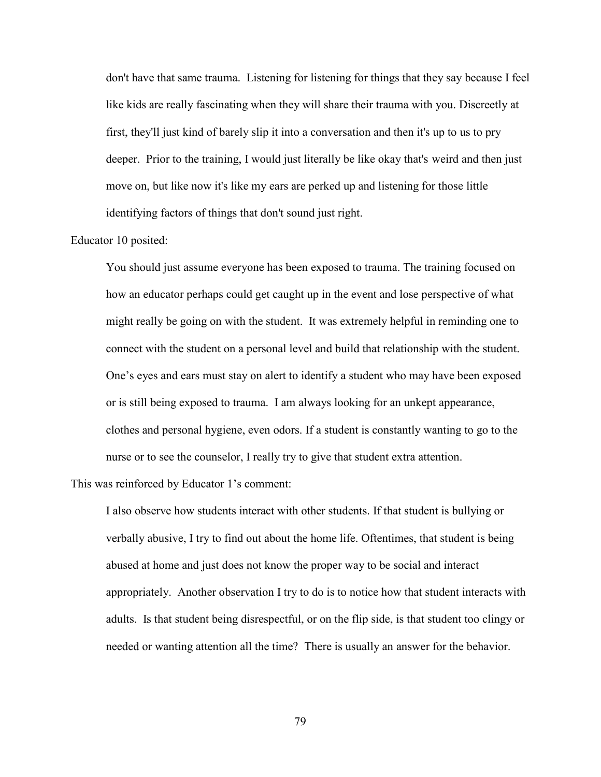don't have that same trauma. Listening for listening for things that they say because I feel like kids are really fascinating when they will share their trauma with you. Discreetly at first, they'll just kind of barely slip it into a conversation and then it's up to us to pry deeper. Prior to the training, I would just literally be like okay that's weird and then just move on, but like now it's like my ears are perked up and listening for those little identifying factors of things that don't sound just right.

# Educator 10 posited:

You should just assume everyone has been exposed to trauma. The training focused on how an educator perhaps could get caught up in the event and lose perspective of what might really be going on with the student. It was extremely helpful in reminding one to connect with the student on a personal level and build that relationship with the student. One's eyes and ears must stay on alert to identify a student who may have been exposed or is still being exposed to trauma. I am always looking for an unkept appearance, clothes and personal hygiene, even odors. If a student is constantly wanting to go to the nurse or to see the counselor, I really try to give that student extra attention.

This was reinforced by Educator 1's comment:

I also observe how students interact with other students. If that student is bullying or verbally abusive, I try to find out about the home life. Oftentimes, that student is being abused at home and just does not know the proper way to be social and interact appropriately. Another observation I try to do is to notice how that student interacts with adults. Is that student being disrespectful, or on the flip side, is that student too clingy or needed or wanting attention all the time? There is usually an answer for the behavior.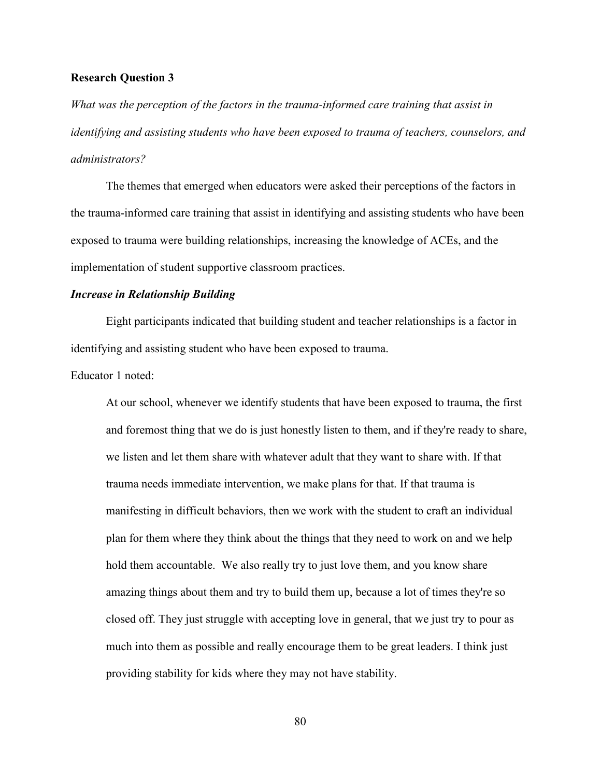#### **Research Question 3**

*What was the perception of the factors in the trauma-informed care training that assist in identifying and assisting students who have been exposed to trauma of teachers, counselors, and administrators?*

The themes that emerged when educators were asked their perceptions of the factors in the trauma-informed care training that assist in identifying and assisting students who have been exposed to trauma were building relationships, increasing the knowledge of ACEs, and the implementation of student supportive classroom practices.

### *Increase in Relationship Building*

Eight participants indicated that building student and teacher relationships is a factor in identifying and assisting student who have been exposed to trauma.

### Educator 1 noted:

At our school, whenever we identify students that have been exposed to trauma, the first and foremost thing that we do is just honestly listen to them, and if they're ready to share, we listen and let them share with whatever adult that they want to share with. If that trauma needs immediate intervention, we make plans for that. If that trauma is manifesting in difficult behaviors, then we work with the student to craft an individual plan for them where they think about the things that they need to work on and we help hold them accountable. We also really try to just love them, and you know share amazing things about them and try to build them up, because a lot of times they're so closed off. They just struggle with accepting love in general, that we just try to pour as much into them as possible and really encourage them to be great leaders. I think just providing stability for kids where they may not have stability.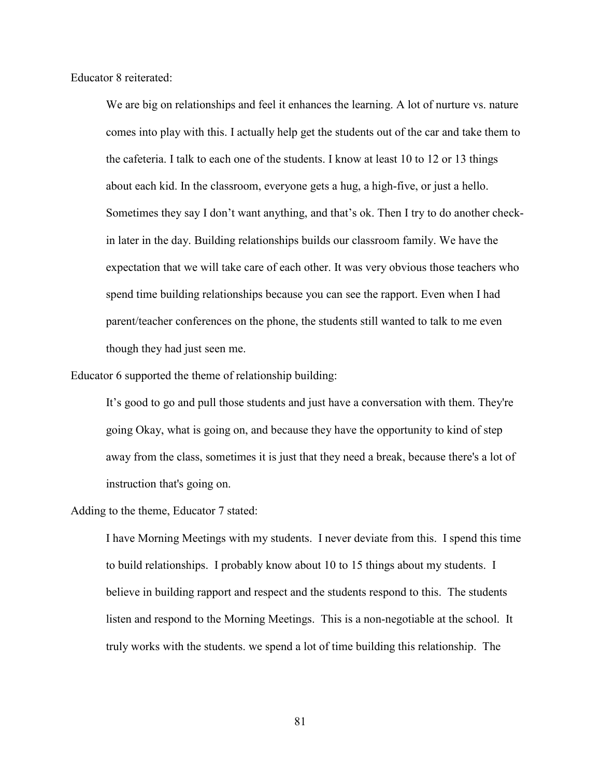Educator 8 reiterated:

We are big on relationships and feel it enhances the learning. A lot of nurture vs. nature comes into play with this. I actually help get the students out of the car and take them to the cafeteria. I talk to each one of the students. I know at least 10 to 12 or 13 things about each kid. In the classroom, everyone gets a hug, a high-five, or just a hello. Sometimes they say I don't want anything, and that's ok. Then I try to do another checkin later in the day. Building relationships builds our classroom family. We have the expectation that we will take care of each other. It was very obvious those teachers who spend time building relationships because you can see the rapport. Even when I had parent/teacher conferences on the phone, the students still wanted to talk to me even though they had just seen me.

Educator 6 supported the theme of relationship building:

It's good to go and pull those students and just have a conversation with them. They're going Okay, what is going on, and because they have the opportunity to kind of step away from the class, sometimes it is just that they need a break, because there's a lot of instruction that's going on.

Adding to the theme, Educator 7 stated:

I have Morning Meetings with my students. I never deviate from this. I spend this time to build relationships. I probably know about 10 to 15 things about my students. I believe in building rapport and respect and the students respond to this. The students listen and respond to the Morning Meetings. This is a non-negotiable at the school. It truly works with the students. we spend a lot of time building this relationship. The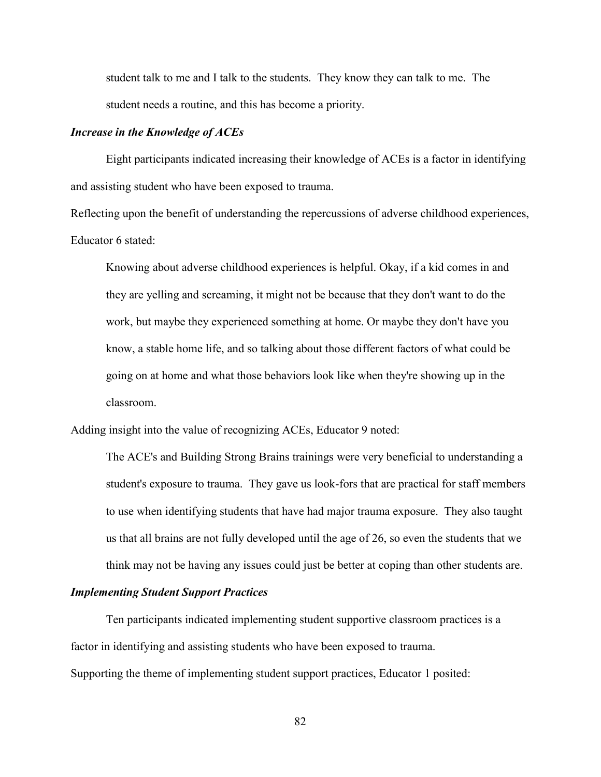student talk to me and I talk to the students. They know they can talk to me. The student needs a routine, and this has become a priority.

#### *Increase in the Knowledge of ACEs*

Eight participants indicated increasing their knowledge of ACEs is a factor in identifying and assisting student who have been exposed to trauma.

Reflecting upon the benefit of understanding the repercussions of adverse childhood experiences, Educator 6 stated:

Knowing about adverse childhood experiences is helpful. Okay, if a kid comes in and they are yelling and screaming, it might not be because that they don't want to do the work, but maybe they experienced something at home. Or maybe they don't have you know, a stable home life, and so talking about those different factors of what could be going on at home and what those behaviors look like when they're showing up in the classroom.

Adding insight into the value of recognizing ACEs, Educator 9 noted:

The ACE's and Building Strong Brains trainings were very beneficial to understanding a student's exposure to trauma. They gave us look-fors that are practical for staff members to use when identifying students that have had major trauma exposure. They also taught us that all brains are not fully developed until the age of 26, so even the students that we think may not be having any issues could just be better at coping than other students are.

### *Implementing Student Support Practices*

Ten participants indicated implementing student supportive classroom practices is a factor in identifying and assisting students who have been exposed to trauma. Supporting the theme of implementing student support practices, Educator 1 posited: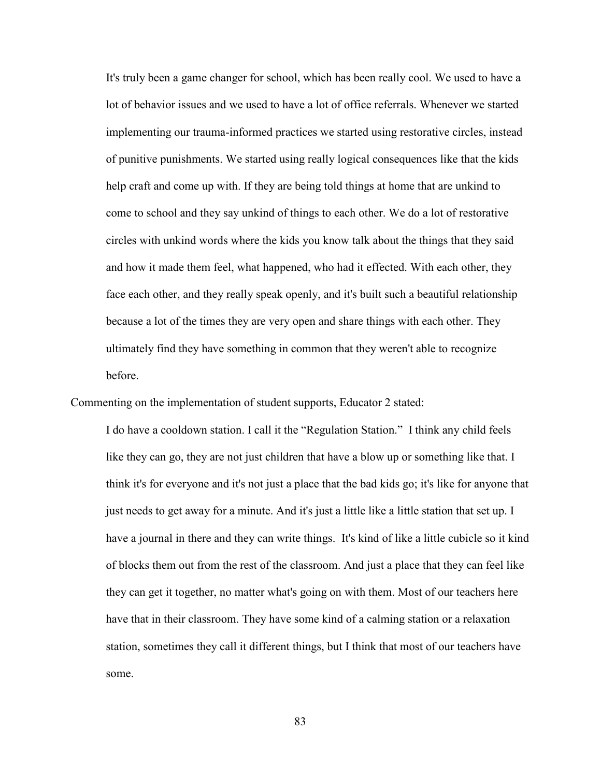It's truly been a game changer for school, which has been really cool. We used to have a lot of behavior issues and we used to have a lot of office referrals. Whenever we started implementing our trauma-informed practices we started using restorative circles, instead of punitive punishments. We started using really logical consequences like that the kids help craft and come up with. If they are being told things at home that are unkind to come to school and they say unkind of things to each other. We do a lot of restorative circles with unkind words where the kids you know talk about the things that they said and how it made them feel, what happened, who had it effected. With each other, they face each other, and they really speak openly, and it's built such a beautiful relationship because a lot of the times they are very open and share things with each other. They ultimately find they have something in common that they weren't able to recognize before.

Commenting on the implementation of student supports, Educator 2 stated:

I do have a cooldown station. I call it the "Regulation Station." I think any child feels like they can go, they are not just children that have a blow up or something like that. I think it's for everyone and it's not just a place that the bad kids go; it's like for anyone that just needs to get away for a minute. And it's just a little like a little station that set up. I have a journal in there and they can write things. It's kind of like a little cubicle so it kind of blocks them out from the rest of the classroom. And just a place that they can feel like they can get it together, no matter what's going on with them. Most of our teachers here have that in their classroom. They have some kind of a calming station or a relaxation station, sometimes they call it different things, but I think that most of our teachers have some.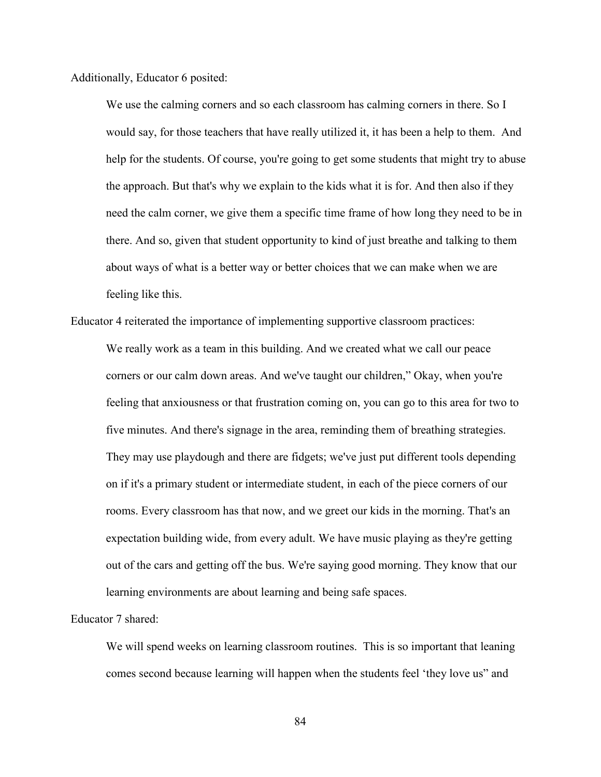Additionally, Educator 6 posited:

We use the calming corners and so each classroom has calming corners in there. So I would say, for those teachers that have really utilized it, it has been a help to them. And help for the students. Of course, you're going to get some students that might try to abuse the approach. But that's why we explain to the kids what it is for. And then also if they need the calm corner, we give them a specific time frame of how long they need to be in there. And so, given that student opportunity to kind of just breathe and talking to them about ways of what is a better way or better choices that we can make when we are feeling like this.

Educator 4 reiterated the importance of implementing supportive classroom practices: We really work as a team in this building. And we created what we call our peace corners or our calm down areas. And we've taught our children," Okay, when you're feeling that anxiousness or that frustration coming on, you can go to this area for two to five minutes. And there's signage in the area, reminding them of breathing strategies. They may use playdough and there are fidgets; we've just put different tools depending on if it's a primary student or intermediate student, in each of the piece corners of our rooms. Every classroom has that now, and we greet our kids in the morning. That's an expectation building wide, from every adult. We have music playing as they're getting out of the cars and getting off the bus. We're saying good morning. They know that our learning environments are about learning and being safe spaces.

Educator 7 shared:

We will spend weeks on learning classroom routines. This is so important that leaning comes second because learning will happen when the students feel 'they love us" and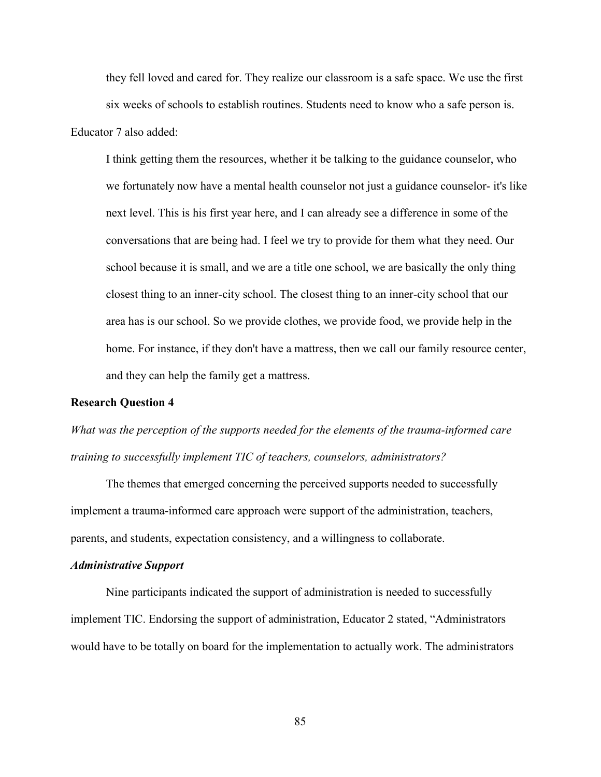they fell loved and cared for. They realize our classroom is a safe space. We use the first six weeks of schools to establish routines. Students need to know who a safe person is. Educator 7 also added:

I think getting them the resources, whether it be talking to the guidance counselor, who we fortunately now have a mental health counselor not just a guidance counselor- it's like next level. This is his first year here, and I can already see a difference in some of the conversations that are being had. I feel we try to provide for them what they need. Our school because it is small, and we are a title one school, we are basically the only thing closest thing to an inner-city school. The closest thing to an inner-city school that our area has is our school. So we provide clothes, we provide food, we provide help in the home. For instance, if they don't have a mattress, then we call our family resource center, and they can help the family get a mattress.

## **Research Question 4**

*What was the perception of the supports needed for the elements of the trauma-informed care training to successfully implement TIC of teachers, counselors, administrators?*

The themes that emerged concerning the perceived supports needed to successfully implement a trauma-informed care approach were support of the administration, teachers, parents, and students, expectation consistency, and a willingness to collaborate.

#### *Administrative Support*

Nine participants indicated the support of administration is needed to successfully implement TIC. Endorsing the support of administration, Educator 2 stated, "Administrators would have to be totally on board for the implementation to actually work. The administrators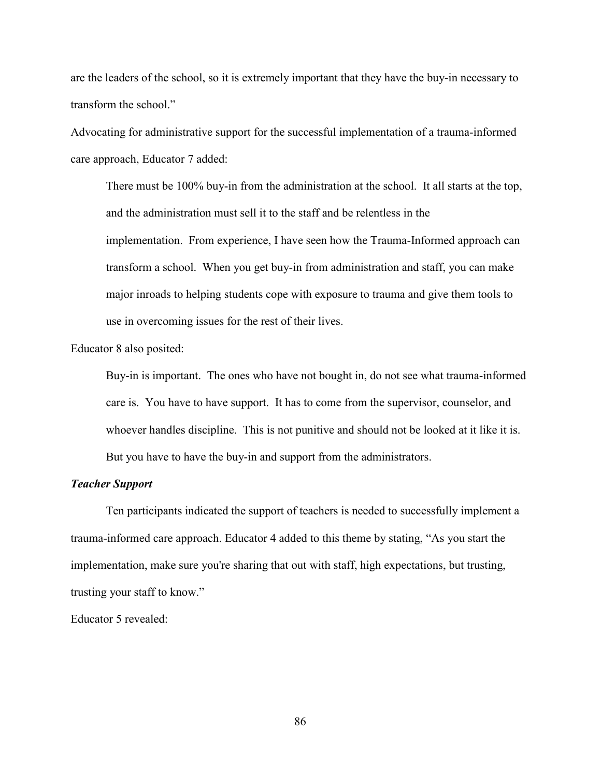are the leaders of the school, so it is extremely important that they have the buy-in necessary to transform the school."

Advocating for administrative support for the successful implementation of a trauma-informed care approach, Educator 7 added:

There must be 100% buy-in from the administration at the school. It all starts at the top, and the administration must sell it to the staff and be relentless in the implementation. From experience, I have seen how the Trauma-Informed approach can transform a school. When you get buy-in from administration and staff, you can make major inroads to helping students cope with exposure to trauma and give them tools to use in overcoming issues for the rest of their lives.

Educator 8 also posited:

Buy-in is important. The ones who have not bought in, do not see what trauma-informed care is. You have to have support. It has to come from the supervisor, counselor, and whoever handles discipline. This is not punitive and should not be looked at it like it is. But you have to have the buy-in and support from the administrators.

# *Teacher Support*

Ten participants indicated the support of teachers is needed to successfully implement a trauma-informed care approach. Educator 4 added to this theme by stating, "As you start the implementation, make sure you're sharing that out with staff, high expectations, but trusting, trusting your staff to know."

Educator 5 revealed: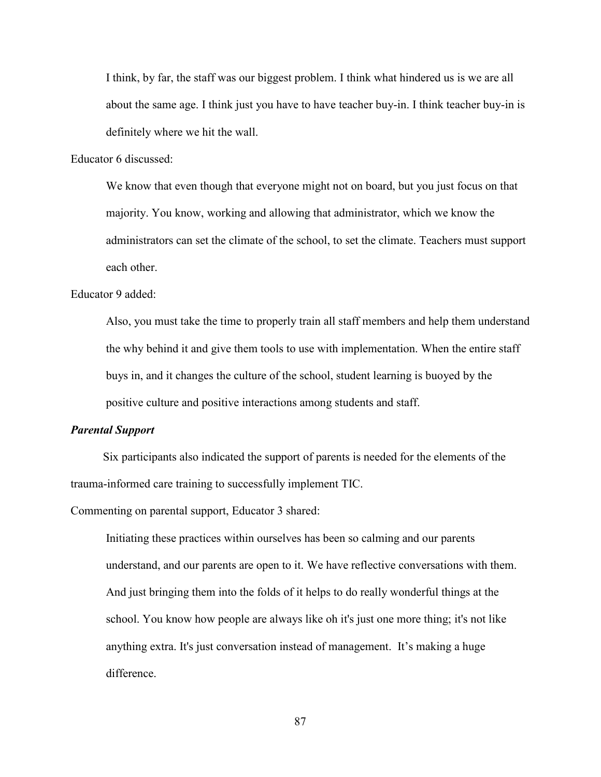I think, by far, the staff was our biggest problem. I think what hindered us is we are all about the same age. I think just you have to have teacher buy-in. I think teacher buy-in is definitely where we hit the wall.

Educator 6 discussed:

We know that even though that everyone might not on board, but you just focus on that majority. You know, working and allowing that administrator, which we know the administrators can set the climate of the school, to set the climate. Teachers must support each other.

Educator 9 added:

Also, you must take the time to properly train all staff members and help them understand the why behind it and give them tools to use with implementation. When the entire staff buys in, and it changes the culture of the school, student learning is buoyed by the positive culture and positive interactions among students and staff.

# *Parental Support*

 Six participants also indicated the support of parents is needed for the elements of the trauma-informed care training to successfully implement TIC.

Commenting on parental support, Educator 3 shared:

Initiating these practices within ourselves has been so calming and our parents understand, and our parents are open to it. We have reflective conversations with them. And just bringing them into the folds of it helps to do really wonderful things at the school. You know how people are always like oh it's just one more thing; it's not like anything extra. It's just conversation instead of management. It's making a huge difference.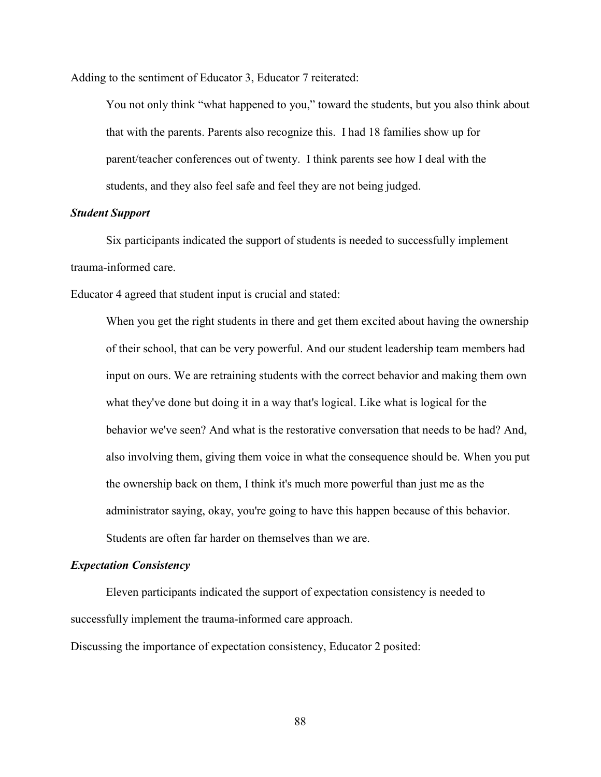Adding to the sentiment of Educator 3, Educator 7 reiterated:

You not only think "what happened to you," toward the students, but you also think about that with the parents. Parents also recognize this. I had 18 families show up for parent/teacher conferences out of twenty. I think parents see how I deal with the students, and they also feel safe and feel they are not being judged.

# *Student Support*

Six participants indicated the support of students is needed to successfully implement trauma-informed care.

Educator 4 agreed that student input is crucial and stated:

When you get the right students in there and get them excited about having the ownership of their school, that can be very powerful. And our student leadership team members had input on ours. We are retraining students with the correct behavior and making them own what they've done but doing it in a way that's logical. Like what is logical for the behavior we've seen? And what is the restorative conversation that needs to be had? And, also involving them, giving them voice in what the consequence should be. When you put the ownership back on them, I think it's much more powerful than just me as the administrator saying, okay, you're going to have this happen because of this behavior. Students are often far harder on themselves than we are.

#### *Expectation Consistency*

Eleven participants indicated the support of expectation consistency is needed to successfully implement the trauma-informed care approach.

Discussing the importance of expectation consistency, Educator 2 posited: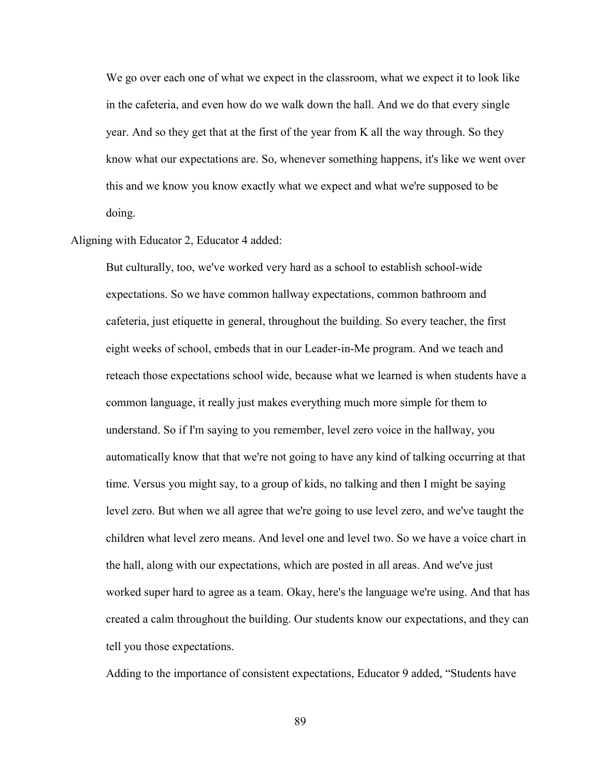We go over each one of what we expect in the classroom, what we expect it to look like in the cafeteria, and even how do we walk down the hall. And we do that every single year. And so they get that at the first of the year from K all the way through. So they know what our expectations are. So, whenever something happens, it's like we went over this and we know you know exactly what we expect and what we're supposed to be doing.

Aligning with Educator 2, Educator 4 added:

But culturally, too, we've worked very hard as a school to establish school-wide expectations. So we have common hallway expectations, common bathroom and cafeteria, just etiquette in general, throughout the building. So every teacher, the first eight weeks of school, embeds that in our Leader-in-Me program. And we teach and reteach those expectations school wide, because what we learned is when students have a common language, it really just makes everything much more simple for them to understand. So if I'm saying to you remember, level zero voice in the hallway, you automatically know that that we're not going to have any kind of talking occurring at that time. Versus you might say, to a group of kids, no talking and then I might be saying level zero. But when we all agree that we're going to use level zero, and we've taught the children what level zero means. And level one and level two. So we have a voice chart in the hall, along with our expectations, which are posted in all areas. And we've just worked super hard to agree as a team. Okay, here's the language we're using. And that has created a calm throughout the building. Our students know our expectations, and they can tell you those expectations.

Adding to the importance of consistent expectations, Educator 9 added, "Students have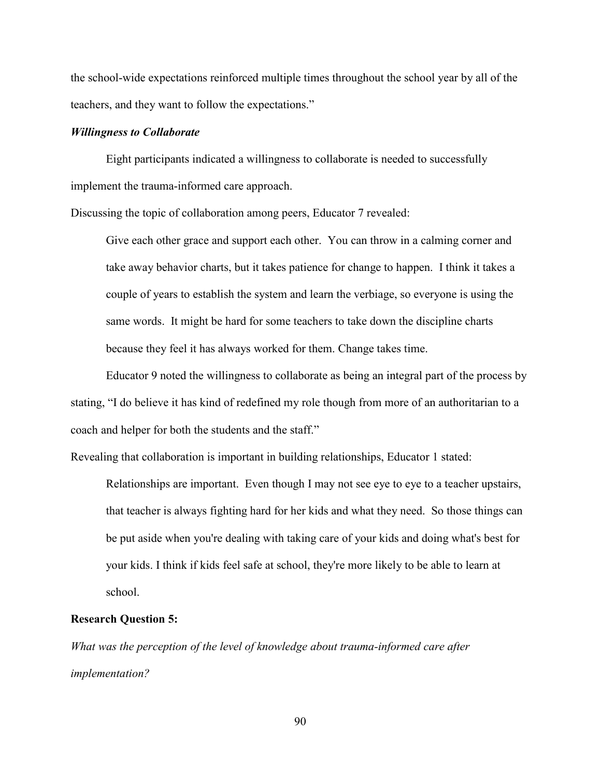the school-wide expectations reinforced multiple times throughout the school year by all of the teachers, and they want to follow the expectations."

#### *Willingness to Collaborate*

Eight participants indicated a willingness to collaborate is needed to successfully implement the trauma-informed care approach.

Discussing the topic of collaboration among peers, Educator 7 revealed:

Give each other grace and support each other. You can throw in a calming corner and take away behavior charts, but it takes patience for change to happen. I think it takes a couple of years to establish the system and learn the verbiage, so everyone is using the same words. It might be hard for some teachers to take down the discipline charts because they feel it has always worked for them. Change takes time.

Educator 9 noted the willingness to collaborate as being an integral part of the process by stating, "I do believe it has kind of redefined my role though from more of an authoritarian to a coach and helper for both the students and the staff."

Revealing that collaboration is important in building relationships, Educator 1 stated:

Relationships are important. Even though I may not see eye to eye to a teacher upstairs, that teacher is always fighting hard for her kids and what they need. So those things can be put aside when you're dealing with taking care of your kids and doing what's best for your kids. I think if kids feel safe at school, they're more likely to be able to learn at school.

#### **Research Question 5:**

*What was the perception of the level of knowledge about trauma-informed care after implementation?*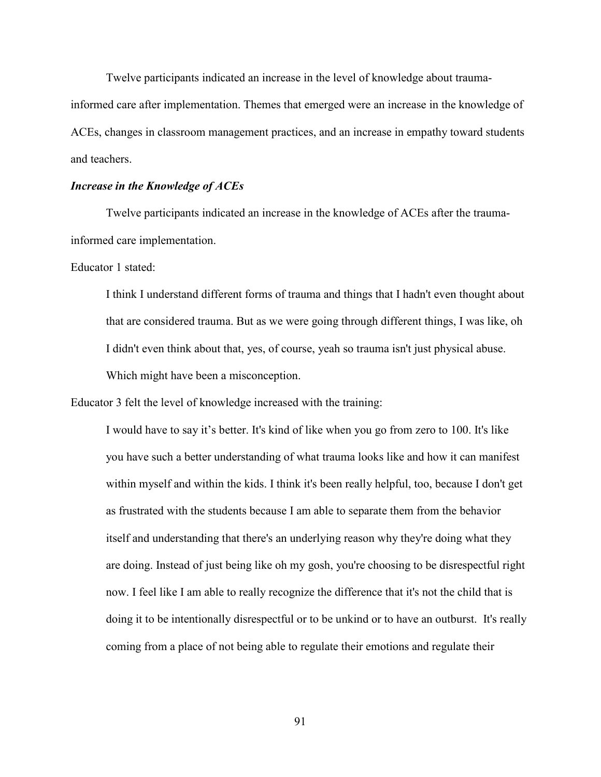Twelve participants indicated an increase in the level of knowledge about trauma-

informed care after implementation. Themes that emerged were an increase in the knowledge of ACEs, changes in classroom management practices, and an increase in empathy toward students and teachers.

#### *Increase in the Knowledge of ACEs*

Twelve participants indicated an increase in the knowledge of ACEs after the traumainformed care implementation.

Educator 1 stated:

I think I understand different forms of trauma and things that I hadn't even thought about that are considered trauma. But as we were going through different things, I was like, oh I didn't even think about that, yes, of course, yeah so trauma isn't just physical abuse. Which might have been a misconception.

Educator 3 felt the level of knowledge increased with the training:

I would have to say it's better. It's kind of like when you go from zero to 100. It's like you have such a better understanding of what trauma looks like and how it can manifest within myself and within the kids. I think it's been really helpful, too, because I don't get as frustrated with the students because I am able to separate them from the behavior itself and understanding that there's an underlying reason why they're doing what they are doing. Instead of just being like oh my gosh, you're choosing to be disrespectful right now. I feel like I am able to really recognize the difference that it's not the child that is doing it to be intentionally disrespectful or to be unkind or to have an outburst. It's really coming from a place of not being able to regulate their emotions and regulate their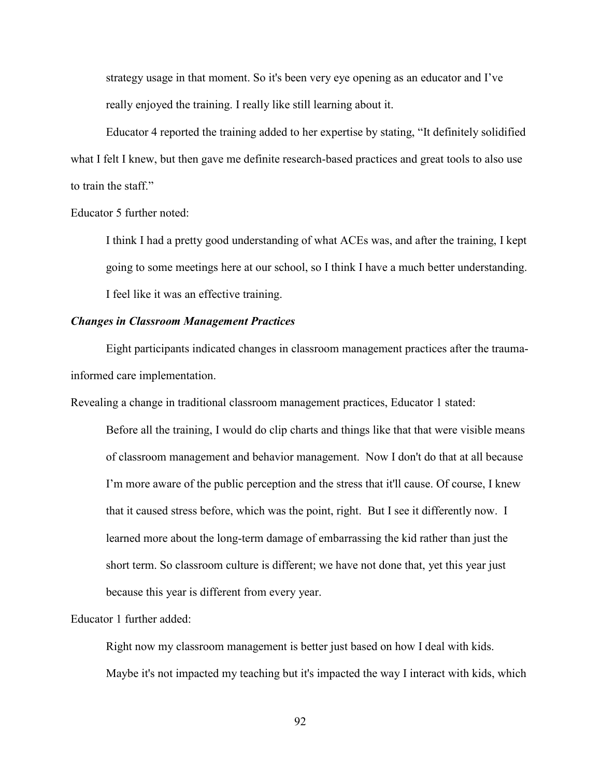strategy usage in that moment. So it's been very eye opening as an educator and I've really enjoyed the training. I really like still learning about it.

Educator 4 reported the training added to her expertise by stating, "It definitely solidified what I felt I knew, but then gave me definite research-based practices and great tools to also use to train the staff."

Educator 5 further noted:

I think I had a pretty good understanding of what ACEs was, and after the training, I kept going to some meetings here at our school, so I think I have a much better understanding. I feel like it was an effective training.

### *Changes in Classroom Management Practices*

Eight participants indicated changes in classroom management practices after the traumainformed care implementation.

Revealing a change in traditional classroom management practices, Educator 1 stated:

Before all the training, I would do clip charts and things like that that were visible means of classroom management and behavior management. Now I don't do that at all because I'm more aware of the public perception and the stress that it'll cause. Of course, I knew that it caused stress before, which was the point, right. But I see it differently now. I learned more about the long-term damage of embarrassing the kid rather than just the short term. So classroom culture is different; we have not done that, yet this year just because this year is different from every year.

Educator 1 further added:

Right now my classroom management is better just based on how I deal with kids. Maybe it's not impacted my teaching but it's impacted the way I interact with kids, which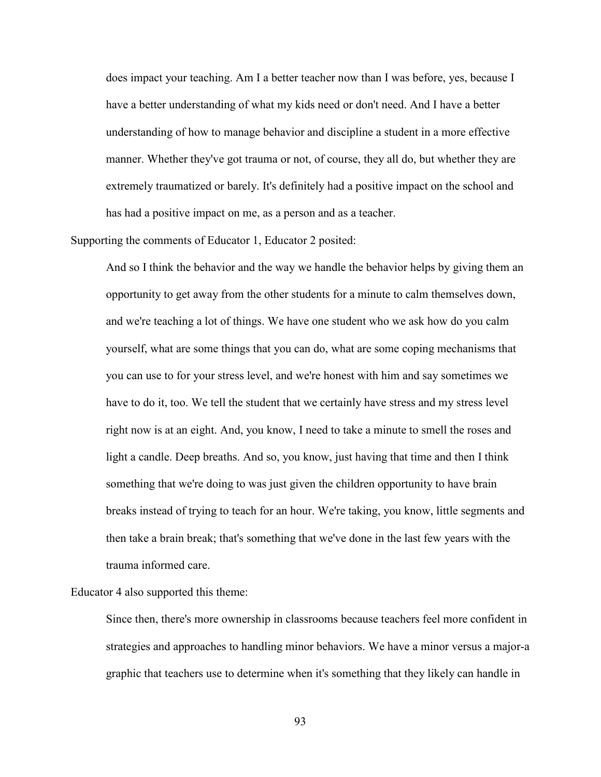does impact your teaching. Am I a better teacher now than I was before, yes, because I have a better understanding of what my kids need or don't need. And I have a better understanding of how to manage behavior and discipline a student in a more effective manner. Whether they've got trauma or not, of course, they all do, but whether they are extremely traumatized or barely. It's definitely had a positive impact on the school and has had a positive impact on me, as a person and as a teacher.

Supporting the comments of Educator 1, Educator 2 posited:

And so I think the behavior and the way we handle the behavior helps by giving them an opportunity to get away from the other students for a minute to calm themselves down, and we're teaching a lot of things. We have one student who we ask how do you calm yourself, what are some things that you can do, what are some coping mechanisms that you can use to for your stress level, and we're honest with him and say sometimes we have to do it, too. We tell the student that we certainly have stress and my stress level right now is at an eight. And, you know, I need to take a minute to smell the roses and light a candle. Deep breaths. And so, you know, just having that time and then I think something that we're doing to was just given the children opportunity to have brain breaks instead of trying to teach for an hour. We're taking, you know, little segments and then take a brain break; that's something that we've done in the last few years with the trauma informed care.

Educator 4 also supported this theme:

Since then, there's more ownership in classrooms because teachers feel more confident in strategies and approaches to handling minor behaviors. We have a minor versus a major-a graphic that teachers use to determine when it's something that they likely can handle in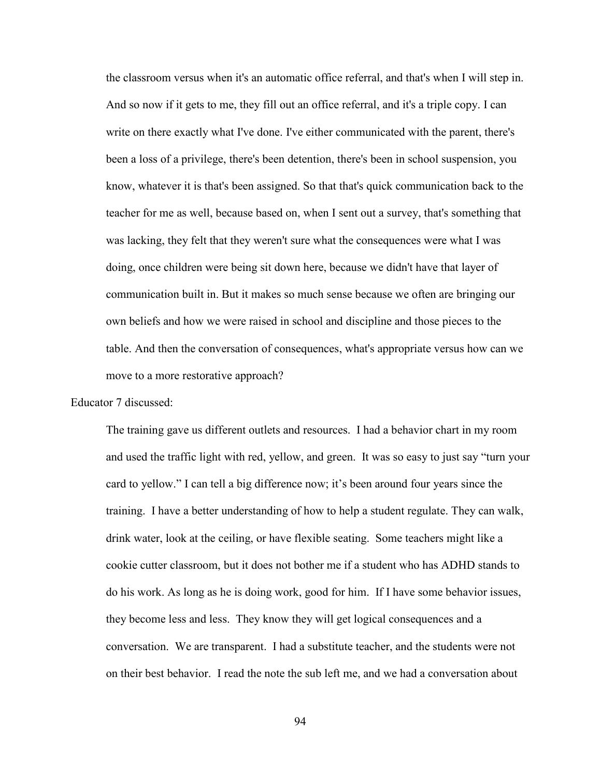the classroom versus when it's an automatic office referral, and that's when I will step in. And so now if it gets to me, they fill out an office referral, and it's a triple copy. I can write on there exactly what I've done. I've either communicated with the parent, there's been a loss of a privilege, there's been detention, there's been in school suspension, you know, whatever it is that's been assigned. So that that's quick communication back to the teacher for me as well, because based on, when I sent out a survey, that's something that was lacking, they felt that they weren't sure what the consequences were what I was doing, once children were being sit down here, because we didn't have that layer of communication built in. But it makes so much sense because we often are bringing our own beliefs and how we were raised in school and discipline and those pieces to the table. And then the conversation of consequences, what's appropriate versus how can we move to a more restorative approach?

Educator 7 discussed:

The training gave us different outlets and resources. I had a behavior chart in my room and used the traffic light with red, yellow, and green. It was so easy to just say "turn your card to yellow." I can tell a big difference now; it's been around four years since the training. I have a better understanding of how to help a student regulate. They can walk, drink water, look at the ceiling, or have flexible seating. Some teachers might like a cookie cutter classroom, but it does not bother me if a student who has ADHD stands to do his work. As long as he is doing work, good for him. If I have some behavior issues, they become less and less. They know they will get logical consequences and a conversation. We are transparent. I had a substitute teacher, and the students were not on their best behavior. I read the note the sub left me, and we had a conversation about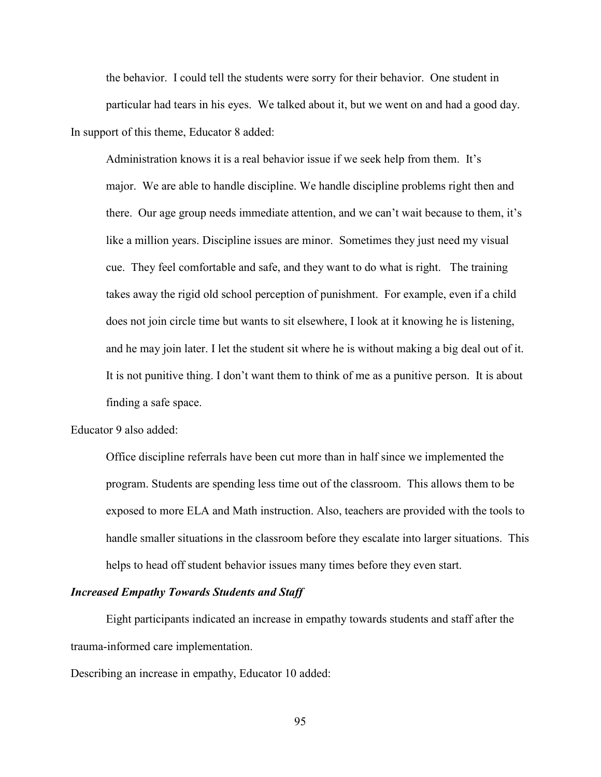the behavior. I could tell the students were sorry for their behavior. One student in particular had tears in his eyes. We talked about it, but we went on and had a good day. In support of this theme, Educator 8 added:

Administration knows it is a real behavior issue if we seek help from them. It's major. We are able to handle discipline. We handle discipline problems right then and there. Our age group needs immediate attention, and we can't wait because to them, it's like a million years. Discipline issues are minor. Sometimes they just need my visual cue. They feel comfortable and safe, and they want to do what is right. The training takes away the rigid old school perception of punishment. For example, even if a child does not join circle time but wants to sit elsewhere, I look at it knowing he is listening, and he may join later. I let the student sit where he is without making a big deal out of it. It is not punitive thing. I don't want them to think of me as a punitive person. It is about finding a safe space.

# Educator 9 also added:

Office discipline referrals have been cut more than in half since we implemented the program. Students are spending less time out of the classroom. This allows them to be exposed to more ELA and Math instruction. Also, teachers are provided with the tools to handle smaller situations in the classroom before they escalate into larger situations. This helps to head off student behavior issues many times before they even start.

# *Increased Empathy Towards Students and Staff*

Eight participants indicated an increase in empathy towards students and staff after the trauma-informed care implementation.

Describing an increase in empathy, Educator 10 added: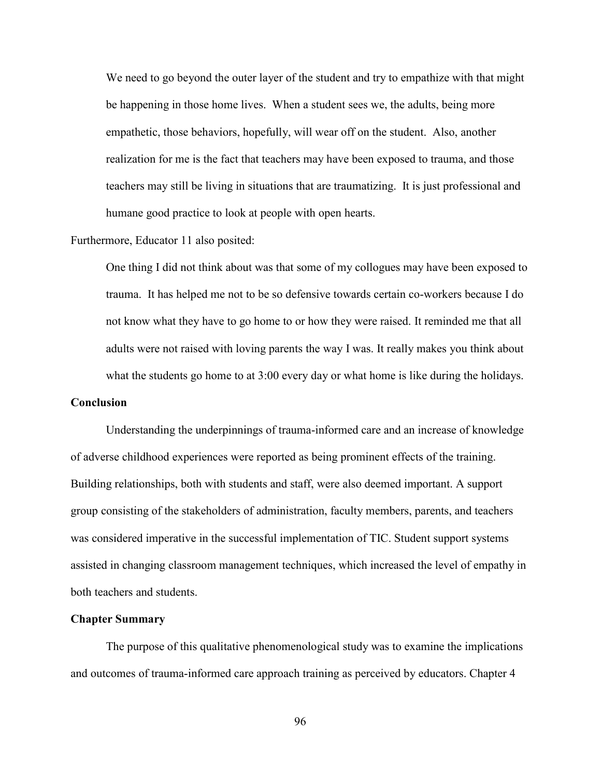We need to go beyond the outer layer of the student and try to empathize with that might be happening in those home lives. When a student sees we, the adults, being more empathetic, those behaviors, hopefully, will wear off on the student. Also, another realization for me is the fact that teachers may have been exposed to trauma, and those teachers may still be living in situations that are traumatizing. It is just professional and humane good practice to look at people with open hearts.

### Furthermore, Educator 11 also posited:

One thing I did not think about was that some of my collogues may have been exposed to trauma. It has helped me not to be so defensive towards certain co-workers because I do not know what they have to go home to or how they were raised. It reminded me that all adults were not raised with loving parents the way I was. It really makes you think about what the students go home to at 3:00 every day or what home is like during the holidays.

## **Conclusion**

Understanding the underpinnings of trauma-informed care and an increase of knowledge of adverse childhood experiences were reported as being prominent effects of the training. Building relationships, both with students and staff, were also deemed important. A support group consisting of the stakeholders of administration, faculty members, parents, and teachers was considered imperative in the successful implementation of TIC. Student support systems assisted in changing classroom management techniques, which increased the level of empathy in both teachers and students.

### **Chapter Summary**

The purpose of this qualitative phenomenological study was to examine the implications and outcomes of trauma-informed care approach training as perceived by educators. Chapter 4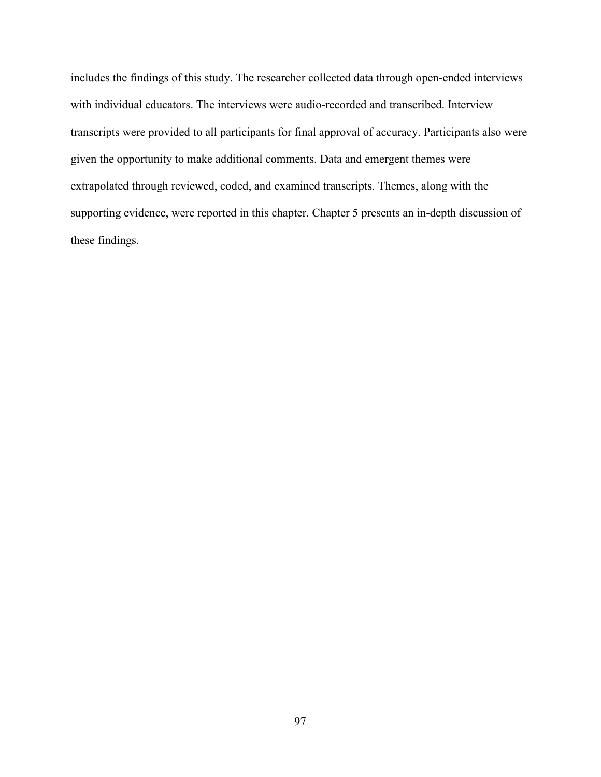includes the findings of this study. The researcher collected data through open-ended interviews with individual educators. The interviews were audio-recorded and transcribed. Interview transcripts were provided to all participants for final approval of accuracy. Participants also were given the opportunity to make additional comments. Data and emergent themes were extrapolated through reviewed, coded, and examined transcripts. Themes, along with the supporting evidence, were reported in this chapter. Chapter 5 presents an in-depth discussion of these findings.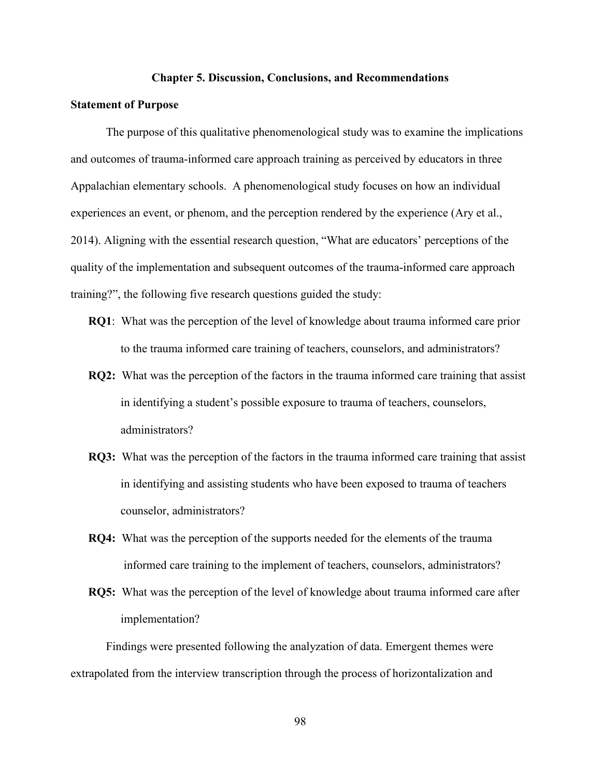#### **Chapter 5. Discussion, Conclusions, and Recommendations**

### **Statement of Purpose**

The purpose of this qualitative phenomenological study was to examine the implications and outcomes of trauma-informed care approach training as perceived by educators in three Appalachian elementary schools. A phenomenological study focuses on how an individual experiences an event, or phenom, and the perception rendered by the experience (Ary et al., 2014). Aligning with the essential research question, "What are educators' perceptions of the quality of the implementation and subsequent outcomes of the trauma-informed care approach training?", the following five research questions guided the study:

- **RQ1**: What was the perception of the level of knowledge about trauma informed care prior to the trauma informed care training of teachers, counselors, and administrators?
- **RQ2:** What was the perception of the factors in the trauma informed care training that assist in identifying a student's possible exposure to trauma of teachers, counselors, administrators?
- **RQ3:** What was the perception of the factors in the trauma informed care training that assist in identifying and assisting students who have been exposed to trauma of teachers counselor, administrators?
- **RQ4:** What was the perception of the supports needed for the elements of the trauma informed care training to the implement of teachers, counselors, administrators?
- **RQ5:** What was the perception of the level of knowledge about trauma informed care after implementation?

Findings were presented following the analyzation of data. Emergent themes were extrapolated from the interview transcription through the process of horizontalization and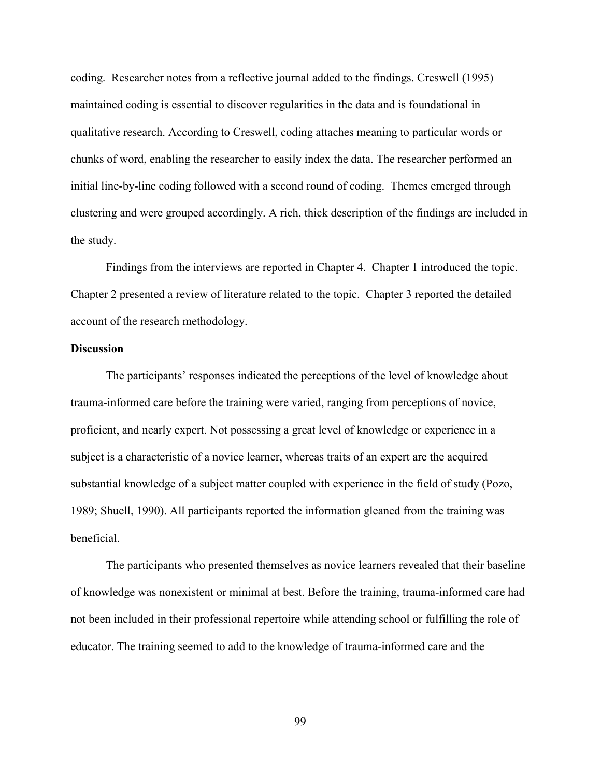coding. Researcher notes from a reflective journal added to the findings. Creswell (1995) maintained coding is essential to discover regularities in the data and is foundational in qualitative research. According to Creswell, coding attaches meaning to particular words or chunks of word, enabling the researcher to easily index the data. The researcher performed an initial line-by-line coding followed with a second round of coding. Themes emerged through clustering and were grouped accordingly. A rich, thick description of the findings are included in the study.

Findings from the interviews are reported in Chapter 4. Chapter 1 introduced the topic. Chapter 2 presented a review of literature related to the topic. Chapter 3 reported the detailed account of the research methodology.

### **Discussion**

The participants' responses indicated the perceptions of the level of knowledge about trauma-informed care before the training were varied, ranging from perceptions of novice, proficient, and nearly expert. Not possessing a great level of knowledge or experience in a subject is a characteristic of a novice learner, whereas traits of an expert are the acquired substantial knowledge of a subject matter coupled with experience in the field of study (Pozo, 1989; Shuell, 1990). All participants reported the information gleaned from the training was beneficial.

The participants who presented themselves as novice learners revealed that their baseline of knowledge was nonexistent or minimal at best. Before the training, trauma-informed care had not been included in their professional repertoire while attending school or fulfilling the role of educator. The training seemed to add to the knowledge of trauma-informed care and the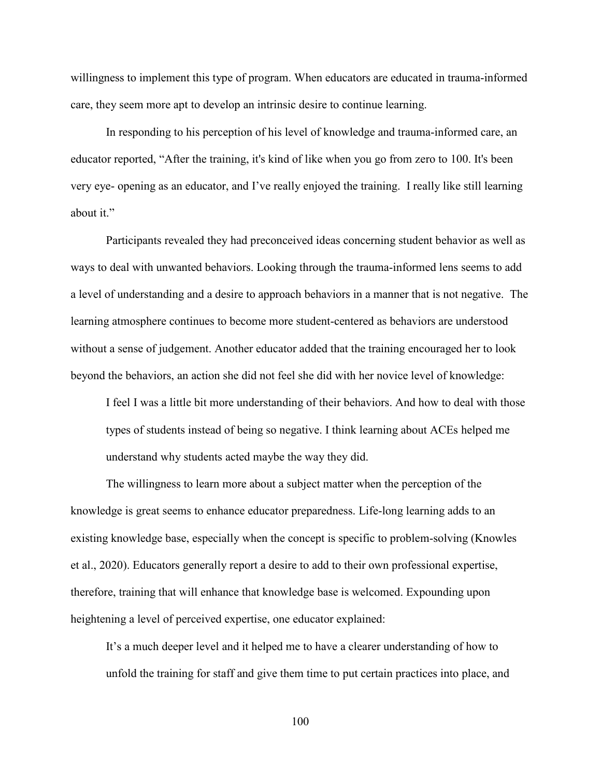willingness to implement this type of program. When educators are educated in trauma-informed care, they seem more apt to develop an intrinsic desire to continue learning.

In responding to his perception of his level of knowledge and trauma-informed care, an educator reported, "After the training, it's kind of like when you go from zero to 100. It's been very eye- opening as an educator, and I've really enjoyed the training. I really like still learning about it."

Participants revealed they had preconceived ideas concerning student behavior as well as ways to deal with unwanted behaviors. Looking through the trauma-informed lens seems to add a level of understanding and a desire to approach behaviors in a manner that is not negative. The learning atmosphere continues to become more student-centered as behaviors are understood without a sense of judgement. Another educator added that the training encouraged her to look beyond the behaviors, an action she did not feel she did with her novice level of knowledge:

I feel I was a little bit more understanding of their behaviors. And how to deal with those types of students instead of being so negative. I think learning about ACEs helped me understand why students acted maybe the way they did.

The willingness to learn more about a subject matter when the perception of the knowledge is great seems to enhance educator preparedness. Life-long learning adds to an existing knowledge base, especially when the concept is specific to problem-solving (Knowles et al., 2020). Educators generally report a desire to add to their own professional expertise, therefore, training that will enhance that knowledge base is welcomed. Expounding upon heightening a level of perceived expertise, one educator explained:

It's a much deeper level and it helped me to have a clearer understanding of how to unfold the training for staff and give them time to put certain practices into place, and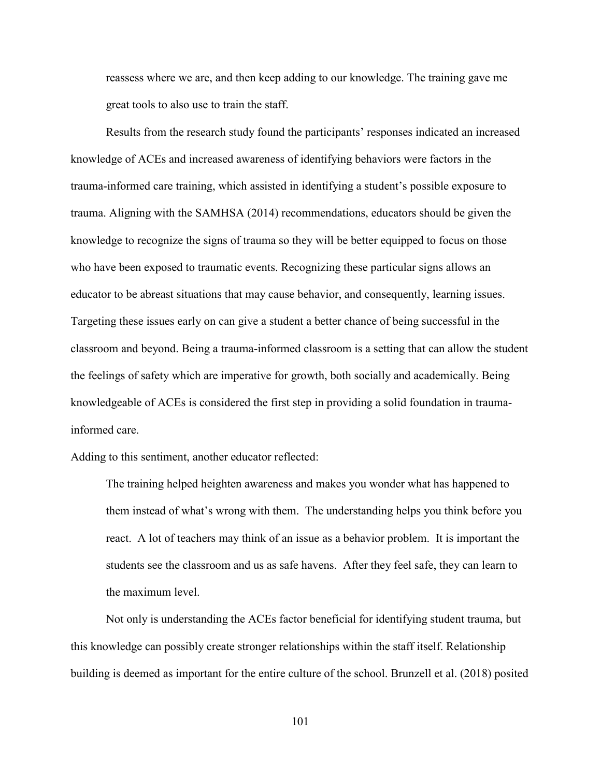reassess where we are, and then keep adding to our knowledge. The training gave me great tools to also use to train the staff.

Results from the research study found the participants' responses indicated an increased knowledge of ACEs and increased awareness of identifying behaviors were factors in the trauma-informed care training, which assisted in identifying a student's possible exposure to trauma. Aligning with the SAMHSA (2014) recommendations, educators should be given the knowledge to recognize the signs of trauma so they will be better equipped to focus on those who have been exposed to traumatic events. Recognizing these particular signs allows an educator to be abreast situations that may cause behavior, and consequently, learning issues. Targeting these issues early on can give a student a better chance of being successful in the classroom and beyond. Being a trauma-informed classroom is a setting that can allow the student the feelings of safety which are imperative for growth, both socially and academically. Being knowledgeable of ACEs is considered the first step in providing a solid foundation in traumainformed care.

Adding to this sentiment, another educator reflected:

The training helped heighten awareness and makes you wonder what has happened to them instead of what's wrong with them. The understanding helps you think before you react. A lot of teachers may think of an issue as a behavior problem. It is important the students see the classroom and us as safe havens. After they feel safe, they can learn to the maximum level.

Not only is understanding the ACEs factor beneficial for identifying student trauma, but this knowledge can possibly create stronger relationships within the staff itself. Relationship building is deemed as important for the entire culture of the school. Brunzell et al. (2018) posited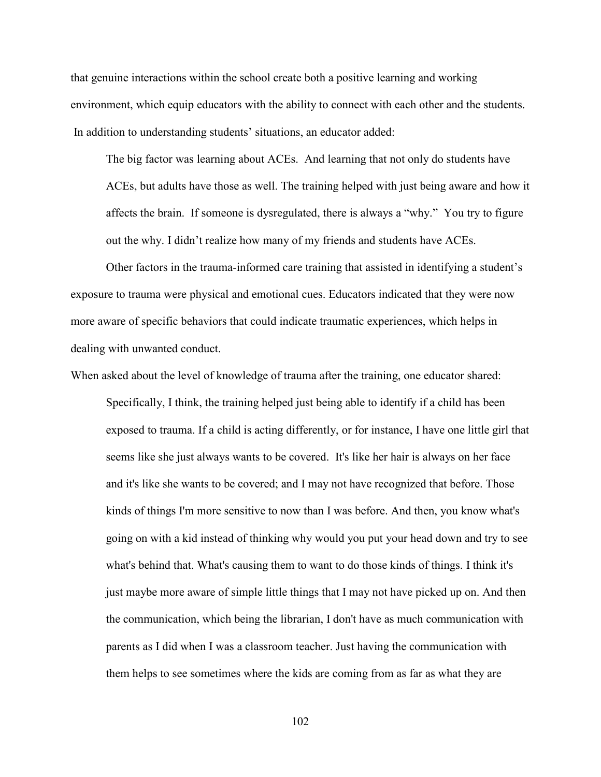that genuine interactions within the school create both a positive learning and working environment, which equip educators with the ability to connect with each other and the students. In addition to understanding students' situations, an educator added:

The big factor was learning about ACEs. And learning that not only do students have ACEs, but adults have those as well. The training helped with just being aware and how it affects the brain. If someone is dysregulated, there is always a "why." You try to figure out the why. I didn't realize how many of my friends and students have ACEs.

Other factors in the trauma-informed care training that assisted in identifying a student's exposure to trauma were physical and emotional cues. Educators indicated that they were now more aware of specific behaviors that could indicate traumatic experiences, which helps in dealing with unwanted conduct.

When asked about the level of knowledge of trauma after the training, one educator shared:

Specifically, I think, the training helped just being able to identify if a child has been exposed to trauma. If a child is acting differently, or for instance, I have one little girl that seems like she just always wants to be covered. It's like her hair is always on her face and it's like she wants to be covered; and I may not have recognized that before. Those kinds of things I'm more sensitive to now than I was before. And then, you know what's going on with a kid instead of thinking why would you put your head down and try to see what's behind that. What's causing them to want to do those kinds of things. I think it's just maybe more aware of simple little things that I may not have picked up on. And then the communication, which being the librarian, I don't have as much communication with parents as I did when I was a classroom teacher. Just having the communication with them helps to see sometimes where the kids are coming from as far as what they are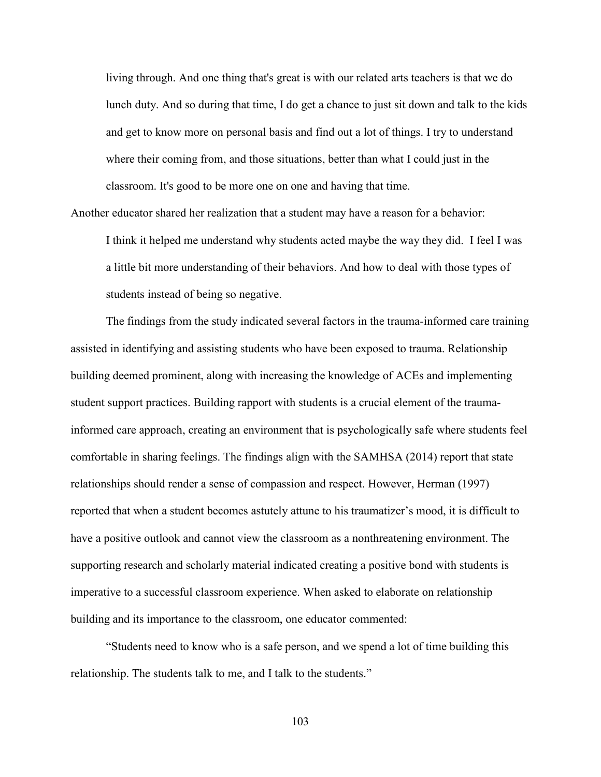living through. And one thing that's great is with our related arts teachers is that we do lunch duty. And so during that time, I do get a chance to just sit down and talk to the kids and get to know more on personal basis and find out a lot of things. I try to understand where their coming from, and those situations, better than what I could just in the classroom. It's good to be more one on one and having that time.

Another educator shared her realization that a student may have a reason for a behavior:

I think it helped me understand why students acted maybe the way they did. I feel I was a little bit more understanding of their behaviors. And how to deal with those types of students instead of being so negative.

The findings from the study indicated several factors in the trauma-informed care training assisted in identifying and assisting students who have been exposed to trauma. Relationship building deemed prominent, along with increasing the knowledge of ACEs and implementing student support practices. Building rapport with students is a crucial element of the traumainformed care approach, creating an environment that is psychologically safe where students feel comfortable in sharing feelings. The findings align with the SAMHSA (2014) report that state relationships should render a sense of compassion and respect. However, Herman (1997) reported that when a student becomes astutely attune to his traumatizer's mood, it is difficult to have a positive outlook and cannot view the classroom as a nonthreatening environment. The supporting research and scholarly material indicated creating a positive bond with students is imperative to a successful classroom experience. When asked to elaborate on relationship building and its importance to the classroom, one educator commented:

"Students need to know who is a safe person, and we spend a lot of time building this relationship. The students talk to me, and I talk to the students."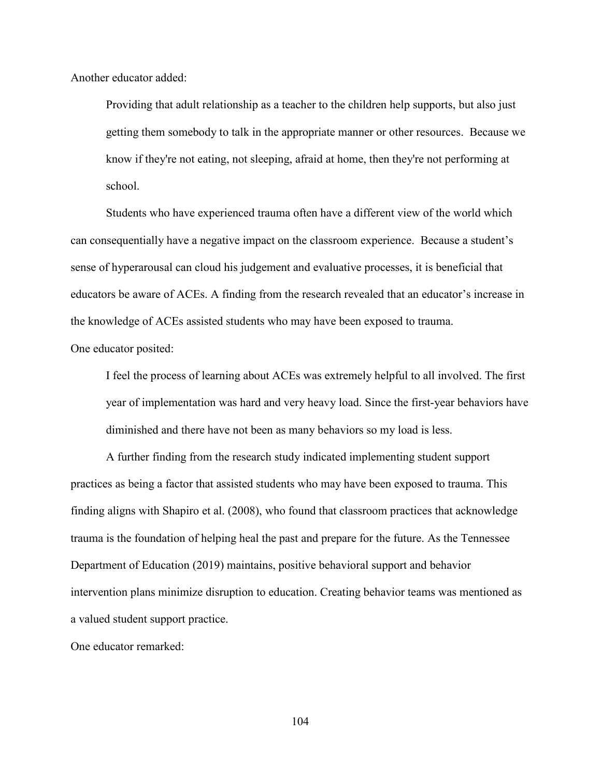Another educator added:

Providing that adult relationship as a teacher to the children help supports, but also just getting them somebody to talk in the appropriate manner or other resources. Because we know if they're not eating, not sleeping, afraid at home, then they're not performing at school.

Students who have experienced trauma often have a different view of the world which can consequentially have a negative impact on the classroom experience. Because a student's sense of hyperarousal can cloud his judgement and evaluative processes, it is beneficial that educators be aware of ACEs. A finding from the research revealed that an educator's increase in the knowledge of ACEs assisted students who may have been exposed to trauma.

One educator posited:

I feel the process of learning about ACEs was extremely helpful to all involved. The first year of implementation was hard and very heavy load. Since the first-year behaviors have diminished and there have not been as many behaviors so my load is less.

A further finding from the research study indicated implementing student support practices as being a factor that assisted students who may have been exposed to trauma. This finding aligns with Shapiro et al. (2008), who found that classroom practices that acknowledge trauma is the foundation of helping heal the past and prepare for the future. As the Tennessee Department of Education (2019) maintains, positive behavioral support and behavior intervention plans minimize disruption to education. Creating behavior teams was mentioned as a valued student support practice.

One educator remarked: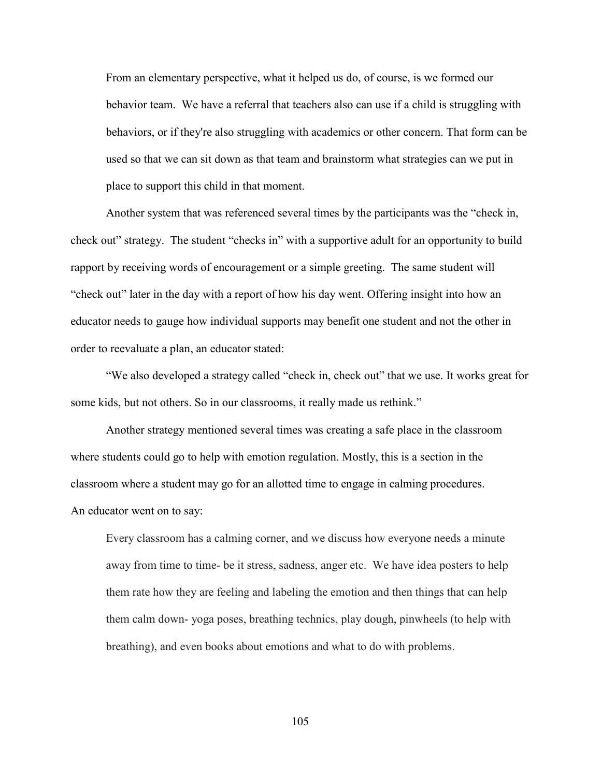From an elementary perspective, what it helped us do, of course, is we formed our behavior team. We have a referral that teachers also can use if a child is struggling with behaviors, or if they're also struggling with academics or other concern. That form can be used so that we can sit down as that team and brainstorm what strategies can we put in place to support this child in that moment.

Another system that was referenced several times by the participants was the "check in, check out" strategy. The student "checks in" with a supportive adult for an opportunity to build rapport by receiving words of encouragement or a simple greeting. The same student will "check out" later in the day with a report of how his day went. Offering insight into how an educator needs to gauge how individual supports may benefit one student and not the other in order to reevaluate a plan, an educator stated:

"We also developed a strategy called "check in, check out" that we use. It works great for some kids, but not others. So in our classrooms, it really made us rethink."

Another strategy mentioned several times was creating a safe place in the classroom where students could go to help with emotion regulation. Mostly, this is a section in the classroom where a student may go for an allotted time to engage in calming procedures. An educator went on to say:

Every classroom has a calming corner, and we discuss how everyone needs a minute away from time to time- be it stress, sadness, anger etc. We have idea posters to help them rate how they are feeling and labeling the emotion and then things that can help them calm down- yoga poses, breathing technics, play dough, pinwheels (to help with breathing), and even books about emotions and what to do with problems.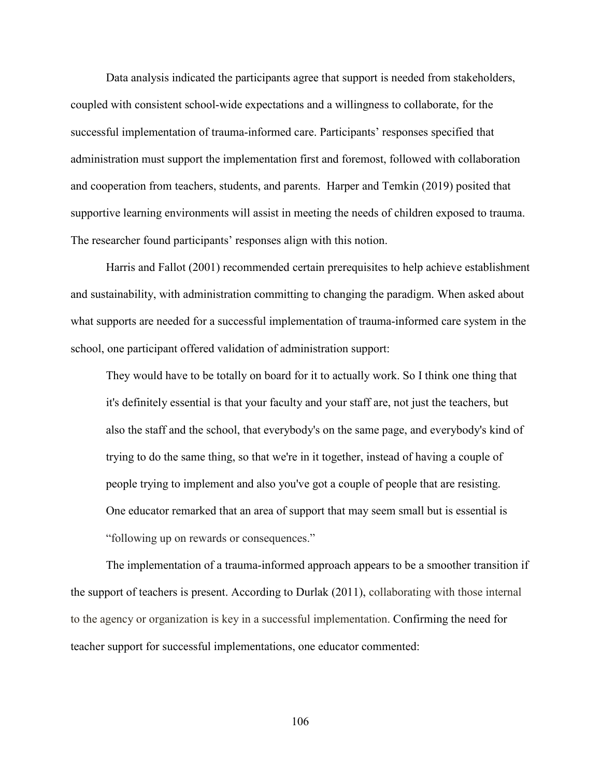Data analysis indicated the participants agree that support is needed from stakeholders, coupled with consistent school-wide expectations and a willingness to collaborate, for the successful implementation of trauma-informed care. Participants' responses specified that administration must support the implementation first and foremost, followed with collaboration and cooperation from teachers, students, and parents. Harper and Temkin (2019) posited that supportive learning environments will assist in meeting the needs of children exposed to trauma. The researcher found participants' responses align with this notion.

Harris and Fallot (2001) recommended certain prerequisites to help achieve establishment and sustainability, with administration committing to changing the paradigm. When asked about what supports are needed for a successful implementation of trauma-informed care system in the school, one participant offered validation of administration support:

They would have to be totally on board for it to actually work. So I think one thing that it's definitely essential is that your faculty and your staff are, not just the teachers, but also the staff and the school, that everybody's on the same page, and everybody's kind of trying to do the same thing, so that we're in it together, instead of having a couple of people trying to implement and also you've got a couple of people that are resisting. One educator remarked that an area of support that may seem small but is essential is "following up on rewards or consequences."

The implementation of a trauma-informed approach appears to be a smoother transition if the support of teachers is present. According to Durlak (2011), collaborating with those internal to the agency or organization is key in a successful implementation. Confirming the need for teacher support for successful implementations, one educator commented: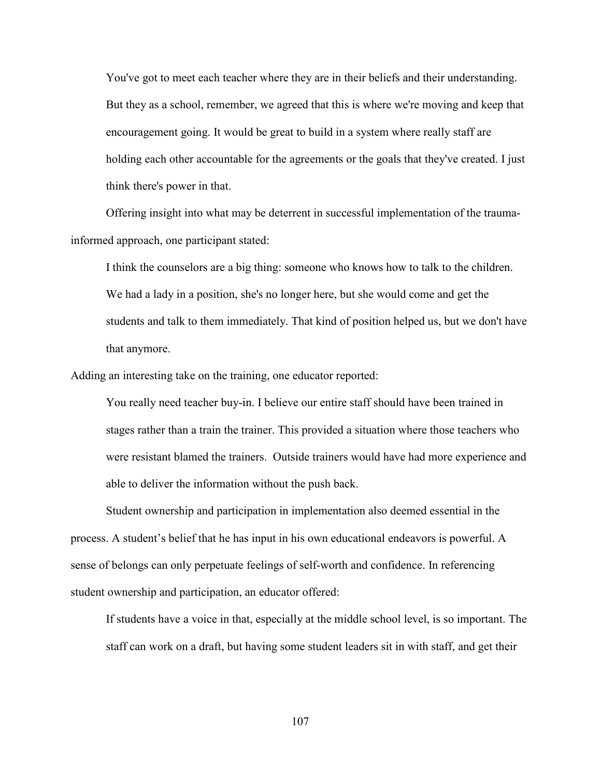You've got to meet each teacher where they are in their beliefs and their understanding. But they as a school, remember, we agreed that this is where we're moving and keep that encouragement going. It would be great to build in a system where really staff are holding each other accountable for the agreements or the goals that they've created. I just think there's power in that.

Offering insight into what may be deterrent in successful implementation of the traumainformed approach, one participant stated:

I think the counselors are a big thing: someone who knows how to talk to the children. We had a lady in a position, she's no longer here, but she would come and get the students and talk to them immediately. That kind of position helped us, but we don't have that anymore.

Adding an interesting take on the training, one educator reported:

You really need teacher buy-in. I believe our entire staff should have been trained in stages rather than a train the trainer. This provided a situation where those teachers who were resistant blamed the trainers. Outside trainers would have had more experience and able to deliver the information without the push back.

Student ownership and participation in implementation also deemed essential in the process. A student's belief that he has input in his own educational endeavors is powerful. A sense of belongs can only perpetuate feelings of self-worth and confidence. In referencing student ownership and participation, an educator offered:

If students have a voice in that, especially at the middle school level, is so important. The staff can work on a draft, but having some student leaders sit in with staff, and get their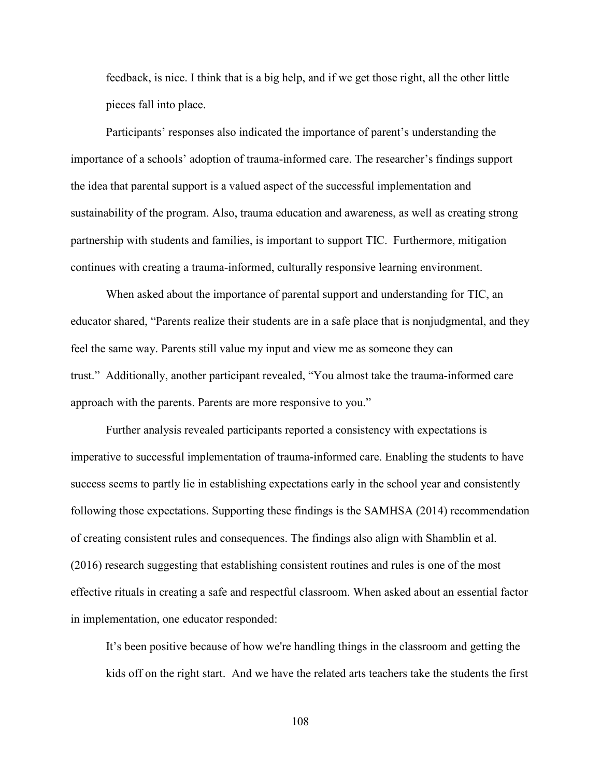feedback, is nice. I think that is a big help, and if we get those right, all the other little pieces fall into place.

Participants' responses also indicated the importance of parent's understanding the importance of a schools' adoption of trauma-informed care. The researcher's findings support the idea that parental support is a valued aspect of the successful implementation and sustainability of the program. Also, trauma education and awareness, as well as creating strong partnership with students and families, is important to support TIC. Furthermore, mitigation continues with creating a trauma-informed, culturally responsive learning environment.

When asked about the importance of parental support and understanding for TIC, an educator shared, "Parents realize their students are in a safe place that is nonjudgmental, and they feel the same way. Parents still value my input and view me as someone they can trust." Additionally, another participant revealed, "You almost take the trauma-informed care approach with the parents. Parents are more responsive to you."

Further analysis revealed participants reported a consistency with expectations is imperative to successful implementation of trauma-informed care. Enabling the students to have success seems to partly lie in establishing expectations early in the school year and consistently following those expectations. Supporting these findings is the SAMHSA (2014) recommendation of creating consistent rules and consequences. The findings also align with Shamblin et al. (2016) research suggesting that establishing consistent routines and rules is one of the most effective rituals in creating a safe and respectful classroom. When asked about an essential factor in implementation, one educator responded:

It's been positive because of how we're handling things in the classroom and getting the kids off on the right start. And we have the related arts teachers take the students the first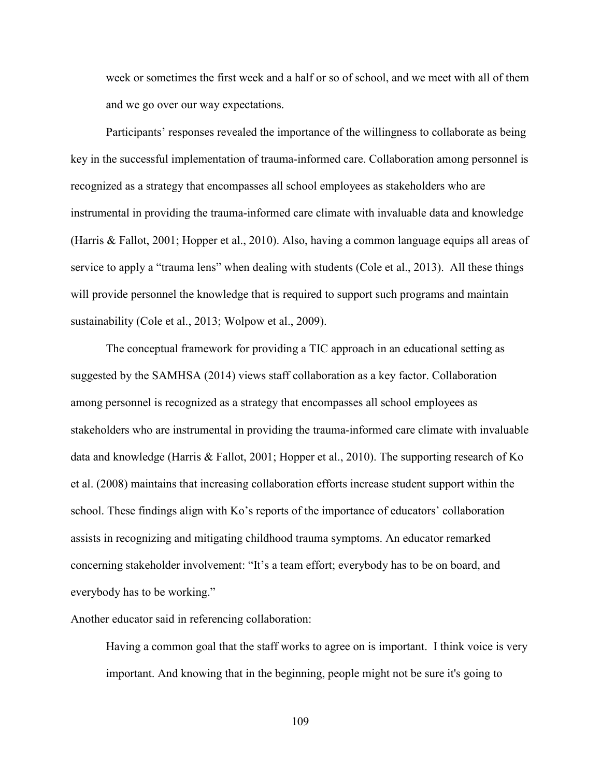week or sometimes the first week and a half or so of school, and we meet with all of them and we go over our way expectations.

Participants' responses revealed the importance of the willingness to collaborate as being key in the successful implementation of trauma-informed care. Collaboration among personnel is recognized as a strategy that encompasses all school employees as stakeholders who are instrumental in providing the trauma-informed care climate with invaluable data and knowledge (Harris & Fallot, 2001; Hopper et al., 2010). Also, having a common language equips all areas of service to apply a "trauma lens" when dealing with students (Cole et al., 2013). All these things will provide personnel the knowledge that is required to support such programs and maintain sustainability (Cole et al., 2013; Wolpow et al., 2009).

The conceptual framework for providing a TIC approach in an educational setting as suggested by the SAMHSA (2014) views staff collaboration as a key factor. Collaboration among personnel is recognized as a strategy that encompasses all school employees as stakeholders who are instrumental in providing the trauma-informed care climate with invaluable data and knowledge (Harris & Fallot, 2001; Hopper et al., 2010). The supporting research of Ko et al. (2008) maintains that increasing collaboration efforts increase student support within the school. These findings align with Ko's reports of the importance of educators' collaboration assists in recognizing and mitigating childhood trauma symptoms. An educator remarked concerning stakeholder involvement: "It's a team effort; everybody has to be on board, and everybody has to be working."

Another educator said in referencing collaboration:

Having a common goal that the staff works to agree on is important. I think voice is very important. And knowing that in the beginning, people might not be sure it's going to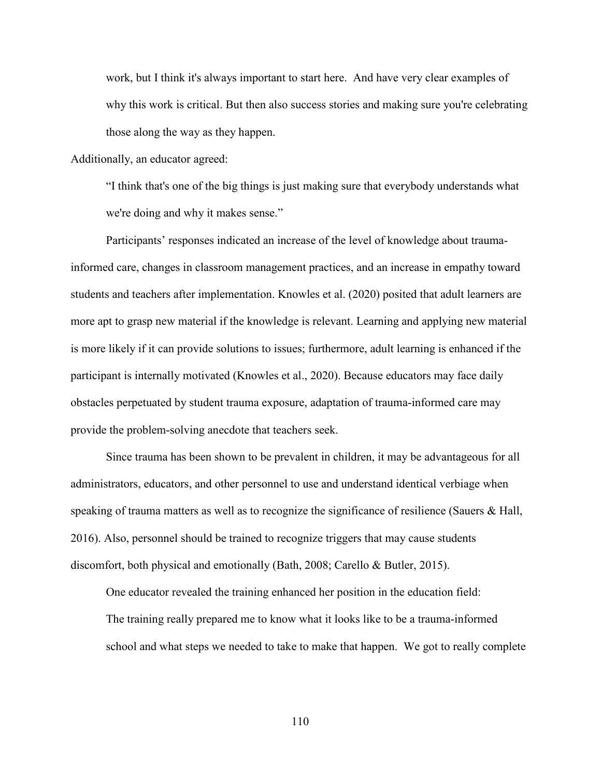work, but I think it's always important to start here. And have very clear examples of why this work is critical. But then also success stories and making sure you're celebrating those along the way as they happen.

Additionally, an educator agreed:

"I think that's one of the big things is just making sure that everybody understands what we're doing and why it makes sense."

Participants' responses indicated an increase of the level of knowledge about traumainformed care, changes in classroom management practices, and an increase in empathy toward students and teachers after implementation. Knowles et al. (2020) posited that adult learners are more apt to grasp new material if the knowledge is relevant. Learning and applying new material is more likely if it can provide solutions to issues; furthermore, adult learning is enhanced if the participant is internally motivated (Knowles et al., 2020). Because educators may face daily obstacles perpetuated by student trauma exposure, adaptation of trauma-informed care may provide the problem-solving anecdote that teachers seek.

Since trauma has been shown to be prevalent in children, it may be advantageous for all administrators, educators, and other personnel to use and understand identical verbiage when speaking of trauma matters as well as to recognize the significance of resilience (Sauers & Hall, 2016). Also, personnel should be trained to recognize triggers that may cause students discomfort, both physical and emotionally (Bath, 2008; Carello & Butler, 2015).

One educator revealed the training enhanced her position in the education field: The training really prepared me to know what it looks like to be a trauma-informed school and what steps we needed to take to make that happen. We got to really complete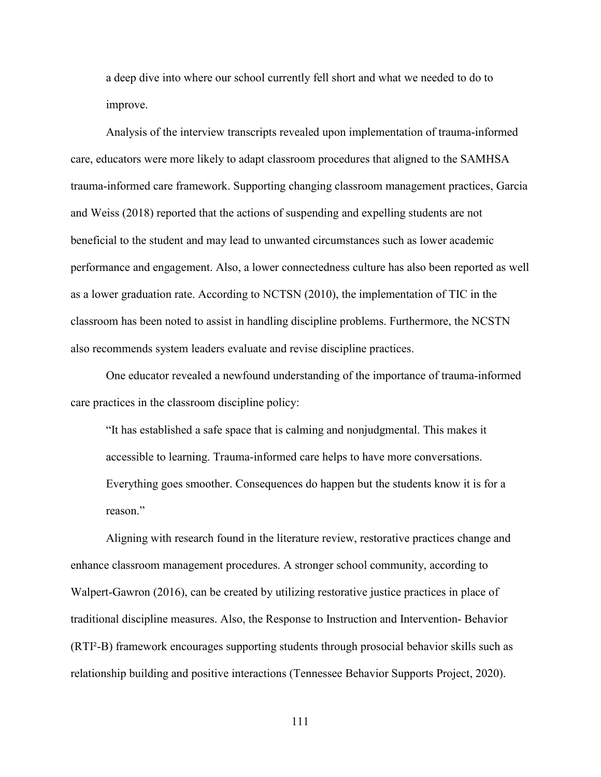a deep dive into where our school currently fell short and what we needed to do to improve.

Analysis of the interview transcripts revealed upon implementation of trauma-informed care, educators were more likely to adapt classroom procedures that aligned to the SAMHSA trauma-informed care framework. Supporting changing classroom management practices, Garcia and Weiss (2018) reported that the actions of suspending and expelling students are not beneficial to the student and may lead to unwanted circumstances such as lower academic performance and engagement. Also, a lower connectedness culture has also been reported as well as a lower graduation rate. According to NCTSN (2010), the implementation of TIC in the classroom has been noted to assist in handling discipline problems. Furthermore, the NCSTN also recommends system leaders evaluate and revise discipline practices.

One educator revealed a newfound understanding of the importance of trauma-informed care practices in the classroom discipline policy:

"It has established a safe space that is calming and nonjudgmental. This makes it accessible to learning. Trauma-informed care helps to have more conversations. Everything goes smoother. Consequences do happen but the students know it is for a reason."

Aligning with research found in the literature review, restorative practices change and enhance classroom management procedures. A stronger school community, according to Walpert-Gawron (2016), can be created by utilizing restorative justice practices in place of traditional discipline measures. Also, the Response to Instruction and Intervention- Behavior (RTI²-B) framework encourages supporting students through prosocial behavior skills such as relationship building and positive interactions (Tennessee Behavior Supports Project, 2020).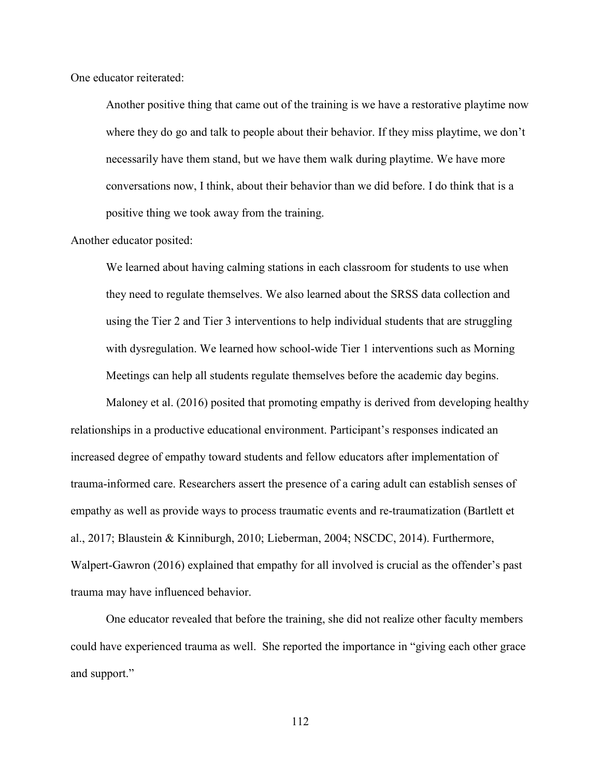One educator reiterated:

Another positive thing that came out of the training is we have a restorative playtime now where they do go and talk to people about their behavior. If they miss playtime, we don't necessarily have them stand, but we have them walk during playtime. We have more conversations now, I think, about their behavior than we did before. I do think that is a positive thing we took away from the training.

Another educator posited:

We learned about having calming stations in each classroom for students to use when they need to regulate themselves. We also learned about the SRSS data collection and using the Tier 2 and Tier 3 interventions to help individual students that are struggling with dysregulation. We learned how school-wide Tier 1 interventions such as Morning Meetings can help all students regulate themselves before the academic day begins.

Maloney et al. (2016) posited that promoting empathy is derived from developing healthy relationships in a productive educational environment. Participant's responses indicated an increased degree of empathy toward students and fellow educators after implementation of trauma-informed care. Researchers assert the presence of a caring adult can establish senses of empathy as well as provide ways to process traumatic events and re-traumatization (Bartlett et al., 2017; Blaustein & Kinniburgh, 2010; Lieberman, 2004; NSCDC, 2014). Furthermore, Walpert-Gawron (2016) explained that empathy for all involved is crucial as the offender's past trauma may have influenced behavior.

One educator revealed that before the training, she did not realize other faculty members could have experienced trauma as well. She reported the importance in "giving each other grace and support."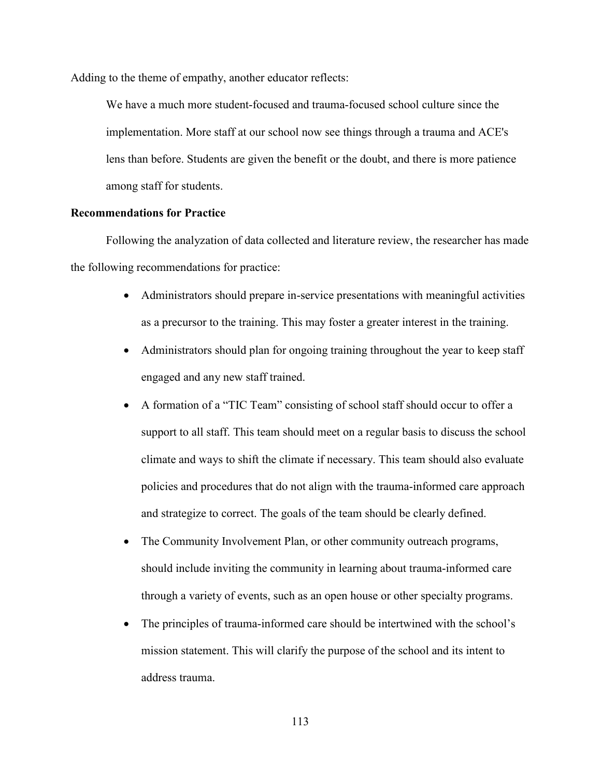Adding to the theme of empathy, another educator reflects:

We have a much more student-focused and trauma-focused school culture since the implementation. More staff at our school now see things through a trauma and ACE's lens than before. Students are given the benefit or the doubt, and there is more patience among staff for students.

## **Recommendations for Practice**

Following the analyzation of data collected and literature review, the researcher has made the following recommendations for practice:

- Administrators should prepare in-service presentations with meaningful activities as a precursor to the training. This may foster a greater interest in the training.
- Administrators should plan for ongoing training throughout the year to keep staff engaged and any new staff trained.
- A formation of a "TIC Team" consisting of school staff should occur to offer a support to all staff. This team should meet on a regular basis to discuss the school climate and ways to shift the climate if necessary. This team should also evaluate policies and procedures that do not align with the trauma-informed care approach and strategize to correct. The goals of the team should be clearly defined.
- The Community Involvement Plan, or other community outreach programs, should include inviting the community in learning about trauma-informed care through a variety of events, such as an open house or other specialty programs.
- The principles of trauma-informed care should be intertwined with the school's mission statement. This will clarify the purpose of the school and its intent to address trauma.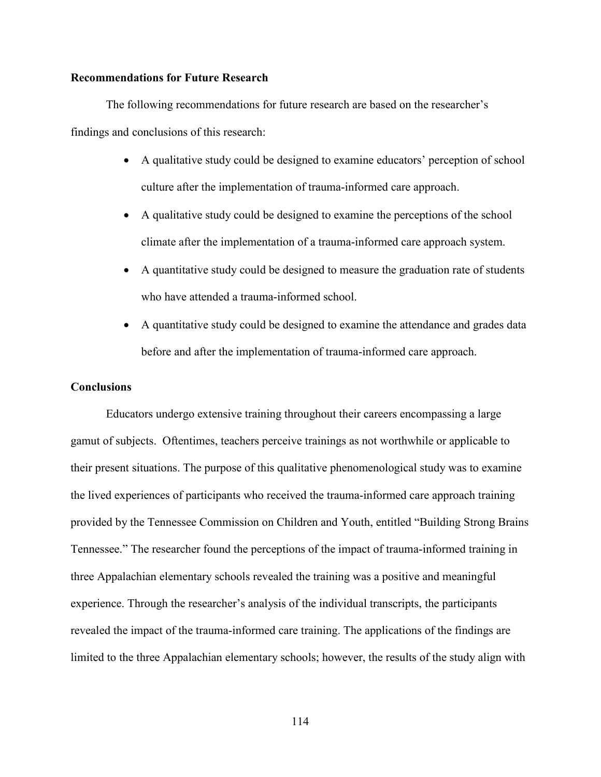## **Recommendations for Future Research**

The following recommendations for future research are based on the researcher's findings and conclusions of this research:

- A qualitative study could be designed to examine educators' perception of school culture after the implementation of trauma-informed care approach.
- A qualitative study could be designed to examine the perceptions of the school climate after the implementation of a trauma-informed care approach system.
- A quantitative study could be designed to measure the graduation rate of students who have attended a trauma-informed school.
- A quantitative study could be designed to examine the attendance and grades data before and after the implementation of trauma-informed care approach.

### **Conclusions**

Educators undergo extensive training throughout their careers encompassing a large gamut of subjects. Oftentimes, teachers perceive trainings as not worthwhile or applicable to their present situations. The purpose of this qualitative phenomenological study was to examine the lived experiences of participants who received the trauma-informed care approach training provided by the Tennessee Commission on Children and Youth, entitled "Building Strong Brains Tennessee." The researcher found the perceptions of the impact of trauma-informed training in three Appalachian elementary schools revealed the training was a positive and meaningful experience. Through the researcher's analysis of the individual transcripts, the participants revealed the impact of the trauma-informed care training. The applications of the findings are limited to the three Appalachian elementary schools; however, the results of the study align with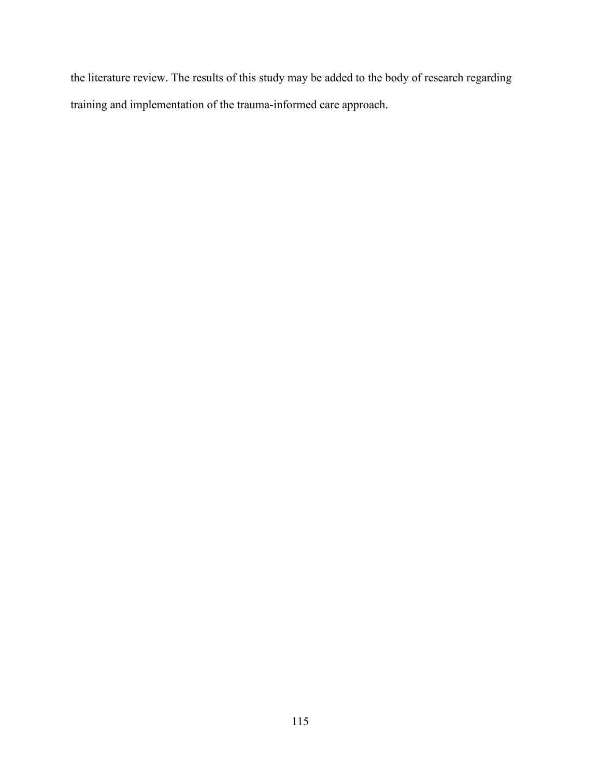the literature review. The results of this study may be added to the body of research regarding training and implementation of the trauma-informed care approach.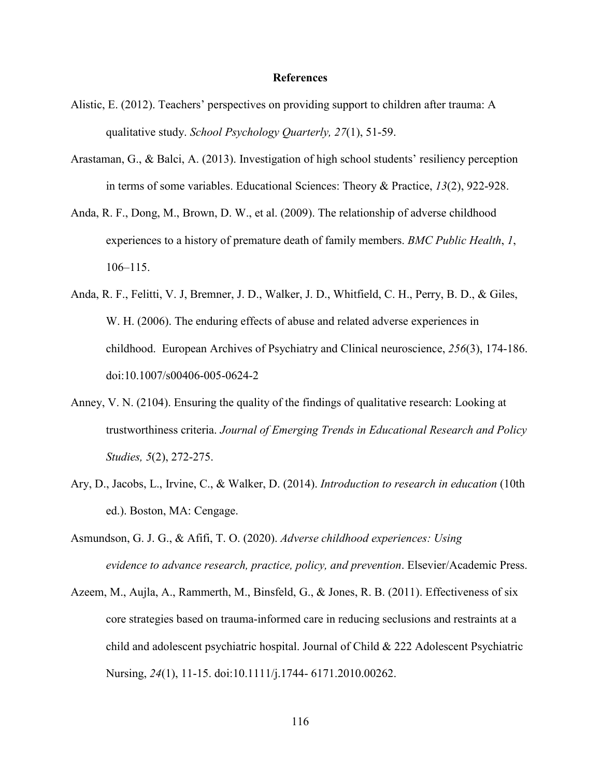#### **References**

- Alistic, E. (2012). Teachers' perspectives on providing support to children after trauma: A qualitative study. *School Psychology Quarterly, 27*(1), 51-59.
- Arastaman, G., & Balci, A. (2013). Investigation of high school students' resiliency perception in terms of some variables. Educational Sciences: Theory & Practice, *13*(2), 922-928.
- Anda, R. F., Dong, M., Brown, D. W., et al. (2009). The relationship of adverse childhood experiences to a history of premature death of family members. *BMC Public Health*, *1*, 106–115.
- Anda, R. F., Felitti, V. J, Bremner, J. D., Walker, J. D., Whitfield, C. H., Perry, B. D., & Giles, W. H. (2006). The enduring effects of abuse and related adverse experiences in childhood. European Archives of Psychiatry and Clinical neuroscience, *256*(3), 174-186. doi:10.1007/s00406-005-0624-2
- Anney, V. N. (2104). Ensuring the quality of the findings of qualitative research: Looking at trustworthiness criteria. *Journal of Emerging Trends in Educational Research and Policy Studies, 5*(2), 272-275.
- Ary, D., Jacobs, L., Irvine, C., & Walker, D. (2014). *Introduction to research in education* (10th ed.). Boston, MA: Cengage.
- Asmundson, G. J. G., & Afifi, T. O. (2020). *Adverse childhood experiences: Using evidence to advance research, practice, policy, and prevention*. Elsevier/Academic Press.
- Azeem, M., Aujla, A., Rammerth, M., Binsfeld, G., & Jones, R. B. (2011). Effectiveness of six core strategies based on trauma-informed care in reducing seclusions and restraints at a child and adolescent psychiatric hospital. Journal of Child & 222 Adolescent Psychiatric Nursing, *24*(1), 11-15. doi:10.1111/j.1744- 6171.2010.00262.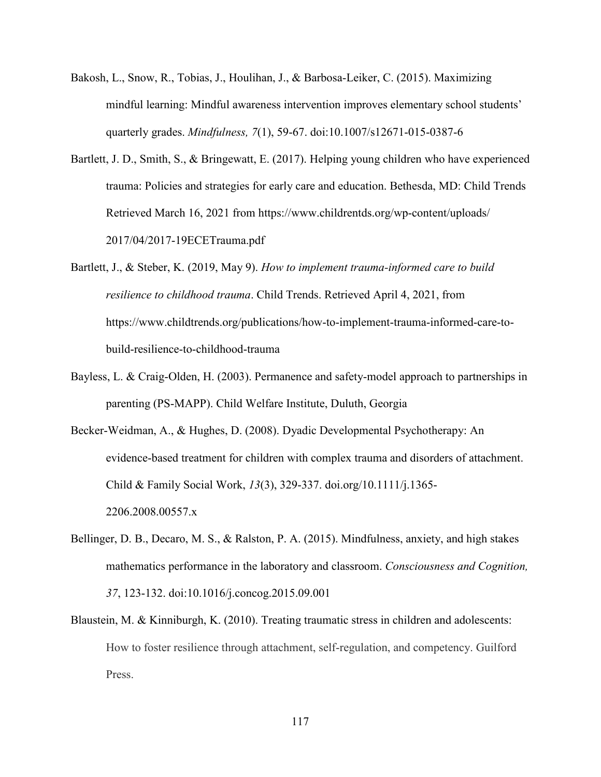- Bakosh, L., Snow, R., Tobias, J., Houlihan, J., & Barbosa-Leiker, C. (2015). Maximizing mindful learning: Mindful awareness intervention improves elementary school students' quarterly grades. *Mindfulness, 7*(1), 59-67. doi:10.1007/s12671-015-0387-6
- Bartlett, J. D., Smith, S., & Bringewatt, E. (2017). Helping young children who have experienced trauma: Policies and strategies for early care and education. Bethesda, MD: Child Trends Retrieved March 16, 2021 from https://www.childrentds.org/wp-content/uploads/ 2017/04/2017-19ECETrauma.pdf
- Bartlett, J., & Steber, K. (2019, May 9). *How to implement trauma-informed care to build resilience to childhood trauma*. Child Trends. Retrieved April 4, 2021, from https://www.childtrends.org/publications/how-to-implement-trauma-informed-care-tobuild-resilience-to-childhood-trauma
- Bayless, L. & Craig-Olden, H. (2003). Permanence and safety-model approach to partnerships in parenting (PS-MAPP). Child Welfare Institute, Duluth, Georgia
- Becker-Weidman, A., & Hughes, D. (2008). Dyadic Developmental Psychotherapy: An evidence-based treatment for children with complex trauma and disorders of attachment. Child & Family Social Work, *13*(3), 329-337. doi.org/10.1111/j.1365- 2206.2008.00557.x
- Bellinger, D. B., Decaro, M. S., & Ralston, P. A. (2015). Mindfulness, anxiety, and high stakes mathematics performance in the laboratory and classroom. *Consciousness and Cognition, 37*, 123-132. doi:10.1016/j.concog.2015.09.001
- Blaustein, M. & Kinniburgh, K. (2010). Treating traumatic stress in children and adolescents: How to foster resilience through attachment, self-regulation, and competency. Guilford Press.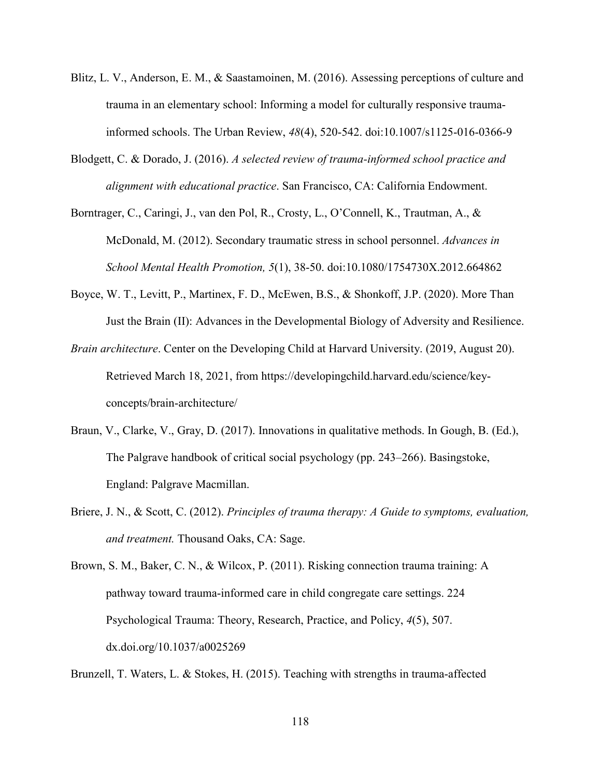- Blitz, L. V., Anderson, E. M., & Saastamoinen, M. (2016). Assessing perceptions of culture and trauma in an elementary school: Informing a model for culturally responsive traumainformed schools. The Urban Review, *48*(4), 520-542. doi:10.1007/s1125-016-0366-9
- Blodgett, C. & Dorado, J. (2016). *A selected review of trauma-informed school practice and alignment with educational practice*. San Francisco, CA: California Endowment.
- Borntrager, C., Caringi, J., van den Pol, R., Crosty, L., O'Connell, K., Trautman, A., & McDonald, M. (2012). Secondary traumatic stress in school personnel. *Advances in School Mental Health Promotion, 5*(1), 38-50. doi:10.1080/1754730X.2012.664862
- Boyce, W. T., Levitt, P., Martinex, F. D., McEwen, B.S., & Shonkoff, J.P. (2020). More Than Just the Brain (II): Advances in the Developmental Biology of Adversity and Resilience.
- *Brain architecture*. Center on the Developing Child at Harvard University. (2019, August 20). Retrieved March 18, 2021, from https://developingchild.harvard.edu/science/keyconcepts/brain-architecture/
- Braun, V., Clarke, V., Gray, D. (2017). Innovations in qualitative methods. In Gough, B. (Ed.), The Palgrave handbook of critical social psychology (pp. 243–266). Basingstoke, England: Palgrave Macmillan.
- Briere, J. N., & Scott, C. (2012). *Principles of trauma therapy: A Guide to symptoms, evaluation, and treatment.* Thousand Oaks, CA: Sage.
- Brown, S. M., Baker, C. N., & Wilcox, P. (2011). Risking connection trauma training: A pathway toward trauma-informed care in child congregate care settings. 224 Psychological Trauma: Theory, Research, Practice, and Policy, *4*(5), 507. dx.doi.org/10.1037/a0025269

Brunzell, T. Waters, L. & Stokes, H. (2015). Teaching with strengths in trauma-affected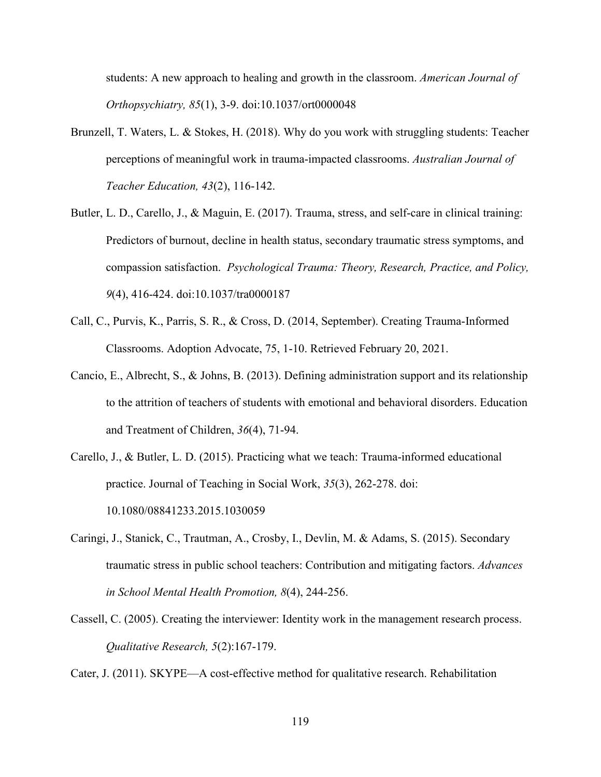students: A new approach to healing and growth in the classroom. *American Journal of Orthopsychiatry, 85*(1), 3-9. doi:10.1037/ort0000048

- Brunzell, T. Waters, L. & Stokes, H. (2018). Why do you work with struggling students: Teacher perceptions of meaningful work in trauma-impacted classrooms. *Australian Journal of Teacher Education, 43*(2), 116-142.
- Butler, L. D., Carello, J., & Maguin, E. (2017). Trauma, stress, and self-care in clinical training: Predictors of burnout, decline in health status, secondary traumatic stress symptoms, and compassion satisfaction. *Psychological Trauma: Theory, Research, Practice, and Policy, 9*(4), 416-424. doi:10.1037/tra0000187
- Call, C., Purvis, K., Parris, S. R., & Cross, D. (2014, September). Creating Trauma-Informed Classrooms. Adoption Advocate, 75, 1-10. Retrieved February 20, 2021.
- Cancio, E., Albrecht, S., & Johns, B. (2013). Defining administration support and its relationship to the attrition of teachers of students with emotional and behavioral disorders. Education and Treatment of Children, *36*(4), 71-94.
- Carello, J., & Butler, L. D. (2015). Practicing what we teach: Trauma-informed educational practice. Journal of Teaching in Social Work, *35*(3), 262-278. doi: 10.1080/08841233.2015.1030059
- Caringi, J., Stanick, C., Trautman, A., Crosby, I., Devlin, M. & Adams, S. (2015). Secondary traumatic stress in public school teachers: Contribution and mitigating factors. *Advances in School Mental Health Promotion, 8*(4), 244-256.
- Cassell, C. (2005). Creating the interviewer: Identity work in the management research process. *Qualitative Research, 5*(2):167-179.

Cater, J. (2011). SKYPE—A cost-effective method for qualitative research. Rehabilitation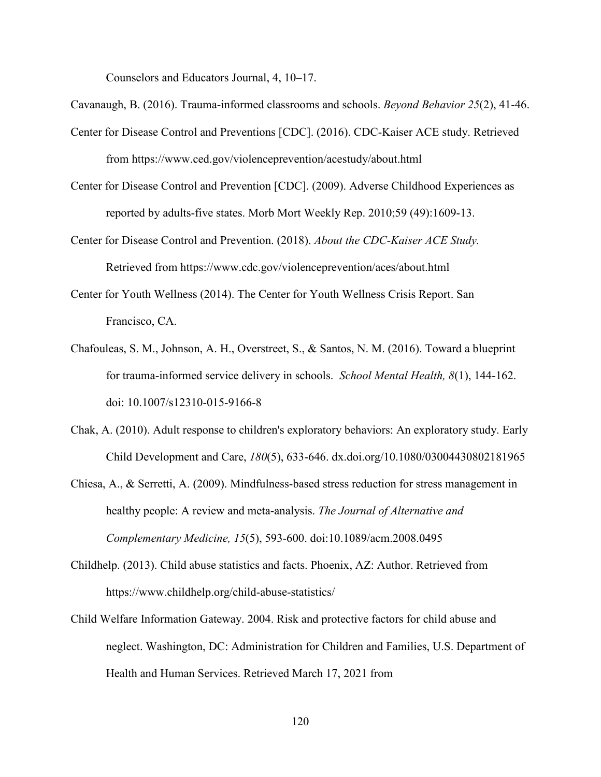Counselors and Educators Journal, 4, 10–17.

Cavanaugh, B. (2016). Trauma-informed classrooms and schools. *Beyond Behavior 25*(2), 41-46.

- Center for Disease Control and Preventions [CDC]. (2016). CDC-Kaiser ACE study. Retrieved from https://www.ced.gov/violenceprevention/acestudy/about.html
- Center for Disease Control and Prevention [CDC]. (2009). Adverse Childhood Experiences as reported by adults-five states. Morb Mort Weekly Rep. 2010;59 (49):1609-13.
- Center for Disease Control and Prevention. (2018). *About the CDC-Kaiser ACE Study.*  Retrieved from https://www.cdc.gov/violenceprevention/aces/about.html
- Center for Youth Wellness (2014). The Center for Youth Wellness Crisis Report. San Francisco, CA.
- Chafouleas, S. M., Johnson, A. H., Overstreet, S., & Santos, N. M. (2016). Toward a blueprint for trauma-informed service delivery in schools. *School Mental Health, 8*(1), 144-162. doi: 10.1007/s12310-015-9166-8
- Chak, A. (2010). Adult response to children's exploratory behaviors: An exploratory study. Early Child Development and Care, *180*(5), 633-646. dx.doi.org/10.1080/03004430802181965
- Chiesa, A., & Serretti, A. (2009). Mindfulness-based stress reduction for stress management in healthy people: A review and meta-analysis. *The Journal of Alternative and Complementary Medicine, 15*(5), 593-600. doi:10.1089/acm.2008.0495
- Childhelp. (2013). Child abuse statistics and facts. Phoenix, AZ: Author. Retrieved from https://www.childhelp.org/child-abuse-statistics/
- Child Welfare Information Gateway. 2004. Risk and protective factors for child abuse and neglect. Washington, DC: Administration for Children and Families, U.S. Department of Health and Human Services. Retrieved March 17, 2021 from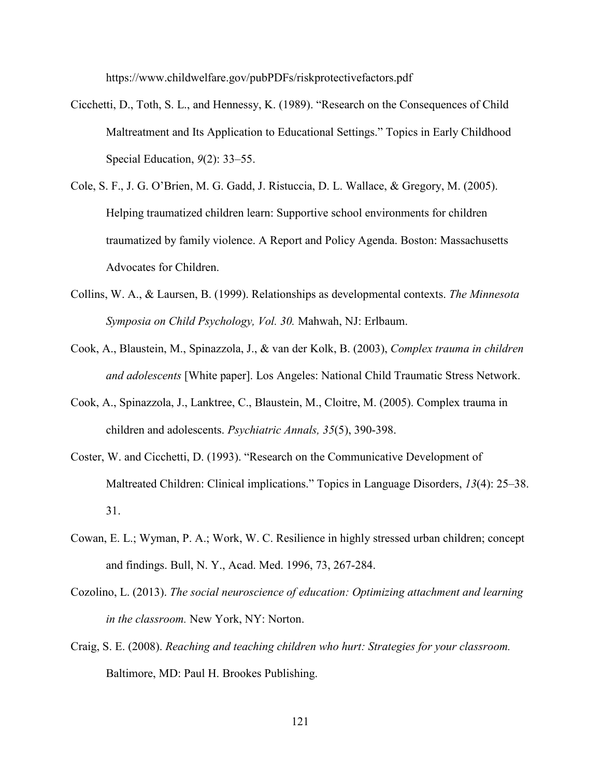https://www.childwelfare.gov/pubPDFs/riskprotectivefactors.pdf

- Cicchetti, D., Toth, S. L., and Hennessy, K. (1989). "Research on the Consequences of Child Maltreatment and Its Application to Educational Settings." Topics in Early Childhood Special Education, *9*(2): 33–55.
- Cole, S. F., J. G. O'Brien, M. G. Gadd, J. Ristuccia, D. L. Wallace, & Gregory, M. (2005). Helping traumatized children learn: Supportive school environments for children traumatized by family violence. A Report and Policy Agenda. Boston: Massachusetts Advocates for Children.
- Collins, W. A., & Laursen, B. (1999). Relationships as developmental contexts. *The Minnesota Symposia on Child Psychology, Vol. 30.* Mahwah, NJ: Erlbaum.
- Cook, A., Blaustein, M., Spinazzola, J., & van der Kolk, B. (2003), *Complex trauma in children and adolescents* [White paper]. Los Angeles: National Child Traumatic Stress Network.
- Cook, A., Spinazzola, J., Lanktree, C., Blaustein, M., Cloitre, M. (2005). Complex trauma in children and adolescents. *Psychiatric Annals, 35*(5), 390-398.
- Coster, W. and Cicchetti, D. (1993). "Research on the Communicative Development of Maltreated Children: Clinical implications." Topics in Language Disorders, *13*(4): 25–38. 31.
- Cowan, E. L.; Wyman, P. A.; Work, W. C. Resilience in highly stressed urban children; concept and findings. Bull, N. Y., Acad. Med. 1996, 73, 267-284.
- Cozolino, L. (2013). *The social neuroscience of education: Optimizing attachment and learning in the classroom.* New York, NY: Norton.
- Craig, S. E. (2008). *Reaching and teaching children who hurt: Strategies for your classroom.* Baltimore, MD: Paul H. Brookes Publishing.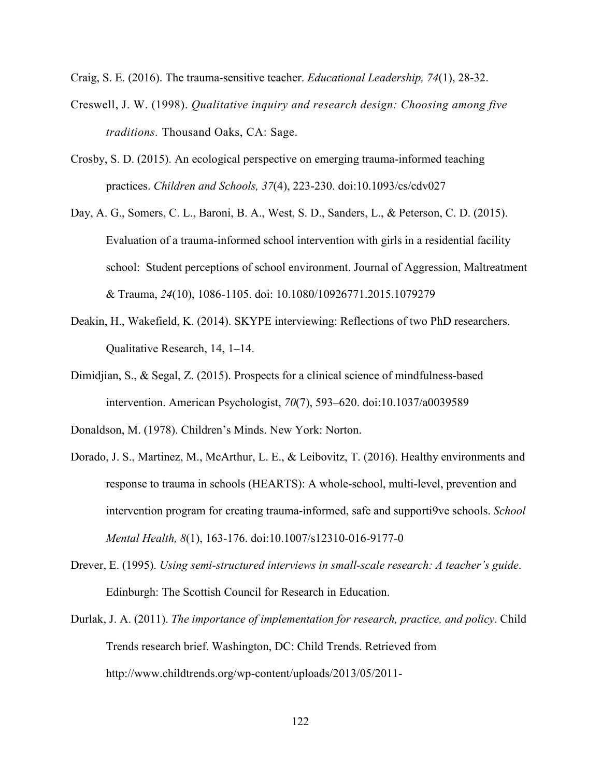Craig, S. E. (2016). The trauma-sensitive teacher. *Educational Leadership, 74*(1), 28-32.

- Creswell, J. W. (1998). *Qualitative inquiry and research design: Choosing among five traditions.* Thousand Oaks, CA: Sage.
- Crosby, S. D. (2015). An ecological perspective on emerging trauma-informed teaching practices. *Children and Schools, 37*(4), 223-230. doi:10.1093/cs/cdv027
- Day, A. G., Somers, C. L., Baroni, B. A., West, S. D., Sanders, L., & Peterson, C. D. (2015). Evaluation of a trauma-informed school intervention with girls in a residential facility school: Student perceptions of school environment. Journal of Aggression, Maltreatment & Trauma, *24*(10), 1086-1105. doi: 10.1080/10926771.2015.1079279
- Deakin, H., Wakefield, K. (2014). SKYPE interviewing: Reflections of two PhD researchers. Qualitative Research, 14, 1–14.
- Dimidjian, S., & Segal, Z. (2015). Prospects for a clinical science of mindfulness-based intervention. American Psychologist, *70*(7), 593–620. doi:10.1037/a0039589
- Donaldson, M. (1978). Children's Minds. New York: Norton.
- Dorado, J. S., Martinez, M., McArthur, L. E., & Leibovitz, T. (2016). Healthy environments and response to trauma in schools (HEARTS): A whole-school, multi-level, prevention and intervention program for creating trauma-informed, safe and supporti9ve schools. *School Mental Health, 8*(1), 163-176. doi:10.1007/s12310-016-9177-0
- Drever, E. (1995). *Using semi-structured interviews in small-scale research: A teacher's guide*. Edinburgh: The Scottish Council for Research in Education.
- Durlak, J. A. (2011). *The importance of implementation for research, practice, and policy*. Child Trends research brief. Washington, DC: Child Trends. Retrieved from http://www.childtrends.org/wp-content/uploads/2013/05/2011-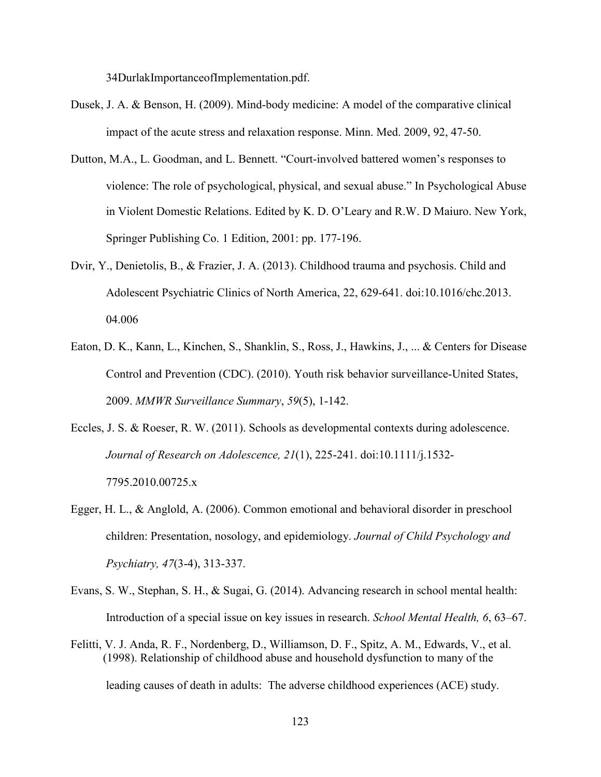34DurlakImportanceofImplementation.pdf.

- Dusek, J. A. & Benson, H. (2009). Mind-body medicine: A model of the comparative clinical impact of the acute stress and relaxation response. Minn. Med. 2009, 92, 47-50.
- Dutton, M.A., L. Goodman, and L. Bennett. "Court-involved battered women's responses to violence: The role of psychological, physical, and sexual abuse." In Psychological Abuse in Violent Domestic Relations. Edited by K. D. O'Leary and R.W. D Maiuro. New York, Springer Publishing Co. 1 Edition, 2001: pp. 177-196.
- Dvir, Y., Denietolis, B., & Frazier, J. A. (2013). Childhood trauma and psychosis. Child and Adolescent Psychiatric Clinics of North America, 22, 629-641. doi:10.1016/chc.2013. 04.006
- Eaton, D. K., Kann, L., Kinchen, S., Shanklin, S., Ross, J., Hawkins, J., ... & Centers for Disease Control and Prevention (CDC). (2010). Youth risk behavior surveillance-United States, 2009. *MMWR Surveillance Summary*, *59*(5), 1-142.
- Eccles, J. S. & Roeser, R. W. (2011). Schools as developmental contexts during adolescence. *Journal of Research on Adolescence, 21*(1), 225-241. doi:10.1111/j.1532- 7795.2010.00725.x
- Egger, H. L., & Anglold, A. (2006). Common emotional and behavioral disorder in preschool children: Presentation, nosology, and epidemiology. *Journal of Child Psychology and Psychiatry, 47*(3-4), 313-337.
- Evans, S. W., Stephan, S. H., & Sugai, G. (2014). Advancing research in school mental health: Introduction of a special issue on key issues in research. *School Mental Health, 6*, 63–67.
- Felitti, V. J. Anda, R. F., Nordenberg, D., Williamson, D. F., Spitz, A. M., Edwards, V., et al. (1998). Relationship of childhood abuse and household dysfunction to many of the leading causes of death in adults: The adverse childhood experiences (ACE) study.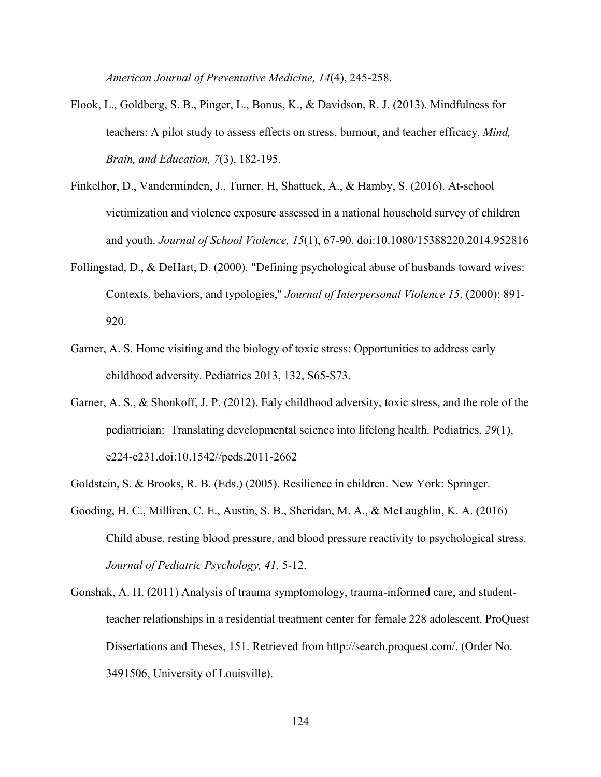*American Journal of Preventative Medicine, 14*(4), 245-258.

- Flook, L., Goldberg, S. B., Pinger, L., Bonus, K., & Davidson, R. J. (2013). Mindfulness for teachers: A pilot study to assess effects on stress, burnout, and teacher efficacy. *Mind, Brain, and Education, 7*(3), 182-195.
- Finkelhor, D., Vanderminden, J., Turner, H, Shattuck, A., & Hamby, S. (2016). At-school victimization and violence exposure assessed in a national household survey of children and youth. *Journal of School Violence, 15*(1), 67-90. doi:10.1080/15388220.2014.952816
- Follingstad, D., & DeHart, D. (2000). "Defining psychological abuse of husbands toward wives: Contexts, behaviors, and typologies," *Journal of Interpersonal Violence 15*, (2000): 891- 920.
- Garner, A. S. Home visiting and the biology of toxic stress: Opportunities to address early childhood adversity. Pediatrics 2013, 132, S65-S73.
- Garner, A. S., & Shonkoff, J. P. (2012). Ealy childhood adversity, toxic stress, and the role of the pediatrician: Translating developmental science into lifelong health. Pediatrics, *29*(1), e224-e231.doi:10.1542//peds.2011-2662
- Goldstein, S. & Brooks, R. B. (Eds.) (2005). Resilience in children. New York: Springer.
- Gooding, H. C., Milliren, C. E., Austin, S. B., Sheridan, M. A., & McLaughlin, K. A. (2016) Child abuse, resting blood pressure, and blood pressure reactivity to psychological stress. *Journal of Pediatric Psychology, 41,* 5-12.
- Gonshak, A. H. (2011) Analysis of trauma symptomology, trauma-informed care, and studentteacher relationships in a residential treatment center for female 228 adolescent. ProQuest Dissertations and Theses, 151. Retrieved from http://search.proquest.com/. (Order No. 3491506, University of Louisville).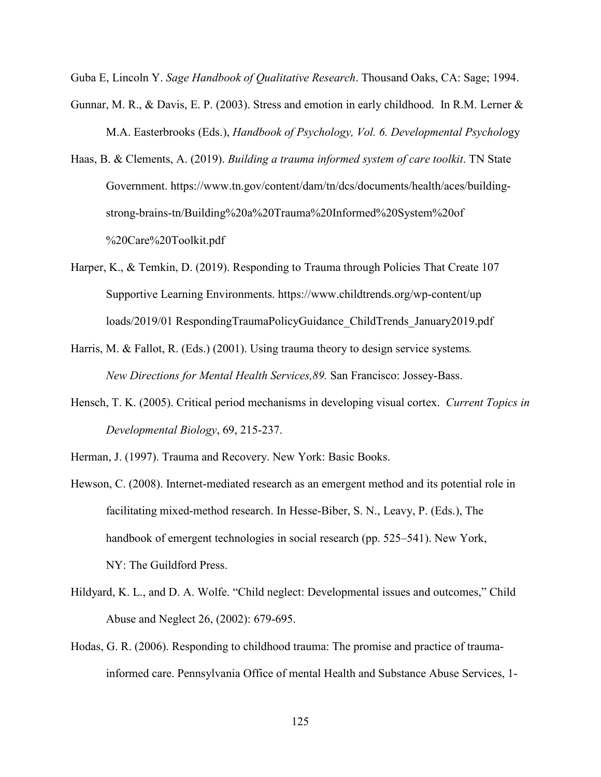Guba E, Lincoln Y. *Sage Handbook of Qualitative Research*. Thousand Oaks, CA: Sage; 1994.

- Gunnar, M. R., & Davis, E. P. (2003). Stress and emotion in early childhood. In R.M. Lerner  $\&$ M.A. Easterbrooks (Eds.), *Handbook of Psychology, Vol. 6. Developmental Psycholo*gy
- Haas, B. & Clements, A. (2019). *Building a trauma informed system of care toolkit*. TN State Government. https://www.tn.gov/content/dam/tn/dcs/documents/health/aces/buildingstrong-brains-tn/Building%20a%20Trauma%20Informed%20System%20of %20Care%20Toolkit.pdf
- Harper, K., & Temkin, D. (2019). Responding to Trauma through Policies That Create 107 Supportive Learning Environments. https://www.childtrends.org/wp-content/up loads/2019/01 RespondingTraumaPolicyGuidance\_ChildTrends\_January2019.pdf
- Harris, M. & Fallot, R. (Eds.) (2001). Using trauma theory to design service systems*. New Directions for Mental Health Services,89.* San Francisco: Jossey-Bass.
- Hensch, T. K. (2005). Critical period mechanisms in developing visual cortex. *Current Topics in Developmental Biology*, 69, 215-237.
- Herman, J. (1997). Trauma and Recovery. New York: Basic Books.
- Hewson, C. (2008). Internet-mediated research as an emergent method and its potential role in facilitating mixed-method research. In Hesse-Biber, S. N., Leavy, P. (Eds.), The handbook of emergent technologies in social research (pp. 525–541). New York, NY: The Guildford Press.
- Hildyard, K. L., and D. A. Wolfe. "Child neglect: Developmental issues and outcomes," Child Abuse and Neglect 26, (2002): 679-695.
- Hodas, G. R. (2006). Responding to childhood trauma: The promise and practice of traumainformed care. Pennsylvania Office of mental Health and Substance Abuse Services, 1-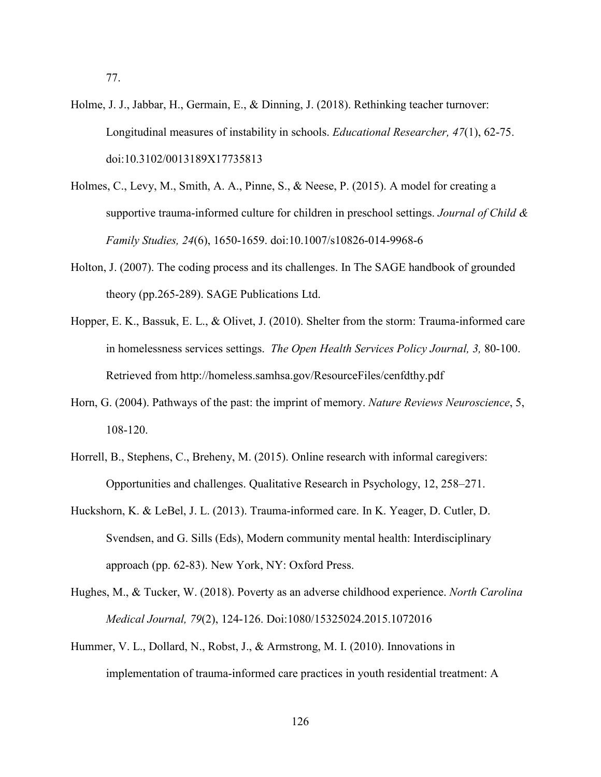- Holme, J. J., Jabbar, H., Germain, E., & Dinning, J. (2018). Rethinking teacher turnover: Longitudinal measures of instability in schools. *Educational Researcher, 47*(1), 62-75. doi:10.3102/0013189X17735813
- Holmes, C., Levy, M., Smith, A. A., Pinne, S., & Neese, P. (2015). A model for creating a supportive trauma-informed culture for children in preschool settings. *Journal of Child & Family Studies, 24*(6), 1650-1659. doi:10.1007/s10826-014-9968-6
- Holton, J. (2007). The coding process and its challenges. In The SAGE handbook of grounded theory (pp.265-289). SAGE Publications Ltd.
- Hopper, E. K., Bassuk, E. L., & Olivet, J. (2010). Shelter from the storm: Trauma-informed care in homelessness services settings. *The Open Health Services Policy Journal, 3,* 80-100. Retrieved from http://homeless.samhsa.gov/ResourceFiles/cenfdthy.pdf
- Horn, G. (2004). Pathways of the past: the imprint of memory. *Nature Reviews Neuroscience*, 5, 108-120.
- Horrell, B., Stephens, C., Breheny, M. (2015). Online research with informal caregivers: Opportunities and challenges. Qualitative Research in Psychology, 12, 258–271.
- Huckshorn, K. & LeBel, J. L. (2013). Trauma-informed care. In K. Yeager, D. Cutler, D. Svendsen, and G. Sills (Eds), Modern community mental health: Interdisciplinary approach (pp. 62-83). New York, NY: Oxford Press.
- Hughes, M., & Tucker, W. (2018). Poverty as an adverse childhood experience. *North Carolina Medical Journal, 79*(2), 124-126. Doi:1080/15325024.2015.1072016
- Hummer, V. L., Dollard, N., Robst, J., & Armstrong, M. I. (2010). Innovations in implementation of trauma-informed care practices in youth residential treatment: A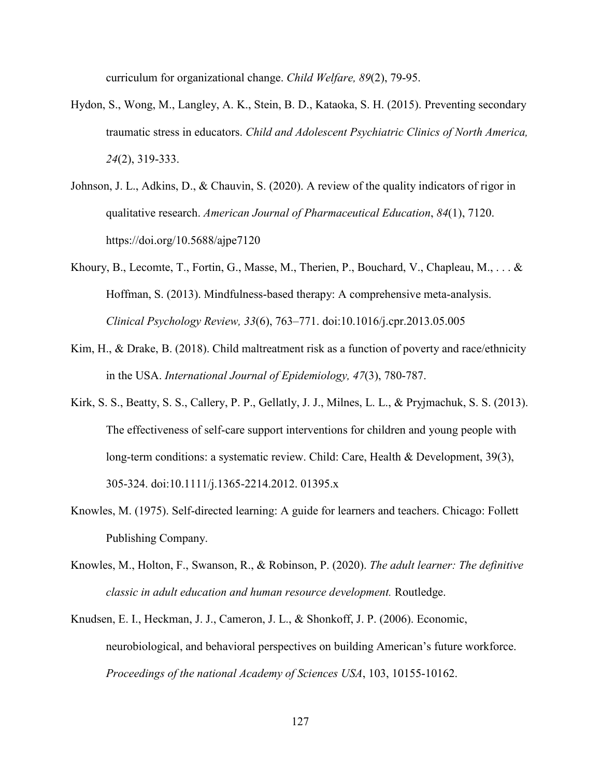curriculum for organizational change. *Child Welfare, 89*(2), 79-95.

- Hydon, S., Wong, M., Langley, A. K., Stein, B. D., Kataoka, S. H. (2015). Preventing secondary traumatic stress in educators. *Child and Adolescent Psychiatric Clinics of North America, 24*(2), 319-333.
- Johnson, J. L., Adkins, D., & Chauvin, S. (2020). A review of the quality indicators of rigor in qualitative research. *American Journal of Pharmaceutical Education*, *84*(1), 7120. https://doi.org/10.5688/ajpe7120
- Khoury, B., Lecomte, T., Fortin, G., Masse, M., Therien, P., Bouchard, V., Chapleau, M., . . . & Hoffman, S. (2013). Mindfulness-based therapy: A comprehensive meta-analysis. *Clinical Psychology Review, 33*(6), 763–771. doi:10.1016/j.cpr.2013.05.005
- Kim, H., & Drake, B. (2018). Child maltreatment risk as a function of poverty and race/ethnicity in the USA. *International Journal of Epidemiology, 47*(3), 780-787.
- Kirk, S. S., Beatty, S. S., Callery, P. P., Gellatly, J. J., Milnes, L. L., & Pryjmachuk, S. S. (2013). The effectiveness of self-care support interventions for children and young people with long-term conditions: a systematic review. Child: Care, Health & Development, 39(3), 305-324. doi:10.1111/j.1365-2214.2012. 01395.x
- Knowles, M. (1975). Self-directed learning: A guide for learners and teachers. Chicago: Follett Publishing Company.
- Knowles, M., Holton, F., Swanson, R., & Robinson, P. (2020). *The adult learner: The definitive classic in adult education and human resource development.* Routledge.
- Knudsen, E. I., Heckman, J. J., Cameron, J. L., & Shonkoff, J. P. (2006). Economic, neurobiological, and behavioral perspectives on building American's future workforce. *Proceedings of the national Academy of Sciences USA*, 103, 10155-10162.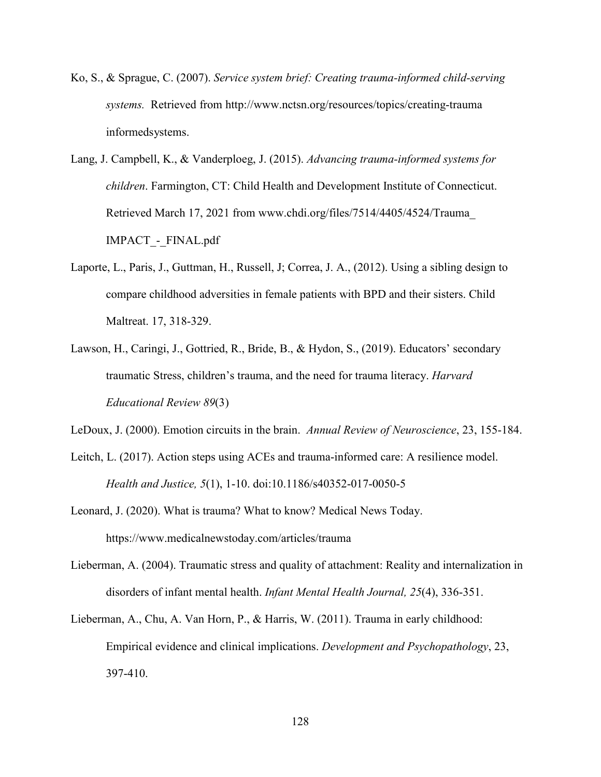- Ko, S., & Sprague, C. (2007). *Service system brief: Creating trauma-informed child-serving systems.* Retrieved from http://www.nctsn.org/resources/topics/creating-trauma informedsystems.
- Lang, J. Campbell, K., & Vanderploeg, J. (2015). *Advancing trauma-informed systems for children*. Farmington, CT: Child Health and Development Institute of Connecticut. Retrieved March 17, 2021 from www.chdi.org/files/7514/4405/4524/Trauma\_ IMPACT - FINAL.pdf
- Laporte, L., Paris, J., Guttman, H., Russell, J; Correa, J. A., (2012). Using a sibling design to compare childhood adversities in female patients with BPD and their sisters. Child Maltreat. 17, 318-329.
- Lawson, H., Caringi, J., Gottried, R., Bride, B., & Hydon, S., (2019). Educators' secondary traumatic Stress, children's trauma, and the need for trauma literacy. *Harvard Educational Review 89*(3)

LeDoux, J. (2000). Emotion circuits in the brain. *Annual Review of Neuroscience*, 23, 155-184.

- Leitch, L. (2017). Action steps using ACEs and trauma-informed care: A resilience model. *Health and Justice, 5*(1), 1-10. doi:10.1186/s40352-017-0050-5
- Leonard, J. (2020). What is trauma? What to know? Medical News Today. https://www.medicalnewstoday.com/articles/trauma
- Lieberman, A. (2004). Traumatic stress and quality of attachment: Reality and internalization in disorders of infant mental health. *Infant Mental Health Journal, 25*(4), 336-351.
- Lieberman, A., Chu, A. Van Horn, P., & Harris, W. (2011). Trauma in early childhood: Empirical evidence and clinical implications. *Development and Psychopathology*, 23, 397-410.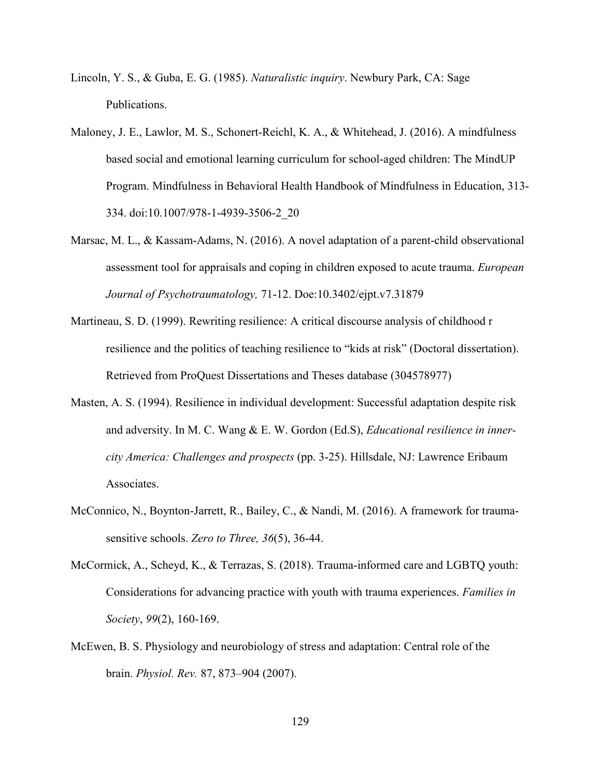- Lincoln, Y. S., & Guba, E. G. (1985). *Naturalistic inquiry*. Newbury Park, CA: Sage Publications.
- Maloney, J. E., Lawlor, M. S., Schonert-Reichl, K. A., & Whitehead, J. (2016). A mindfulness based social and emotional learning curriculum for school-aged children: The MindUP Program. Mindfulness in Behavioral Health Handbook of Mindfulness in Education, 313- 334. doi:10.1007/978-1-4939-3506-2\_20
- Marsac, M. L., & Kassam-Adams, N. (2016). A novel adaptation of a parent-child observational assessment tool for appraisals and coping in children exposed to acute trauma. *European Journal of Psychotraumatology,* 71-12. Doe:10.3402/ejpt.v7.31879
- Martineau, S. D. (1999). Rewriting resilience: A critical discourse analysis of childhood r resilience and the politics of teaching resilience to "kids at risk" (Doctoral dissertation). Retrieved from ProQuest Dissertations and Theses database (304578977)
- Masten, A. S. (1994). Resilience in individual development: Successful adaptation despite risk and adversity. In M. C. Wang & E. W. Gordon (Ed.S), *Educational resilience in innercity America: Challenges and prospects* (pp. 3-25). Hillsdale, NJ: Lawrence Eribaum Associates.
- McConnico, N., Boynton-Jarrett, R., Bailey, C., & Nandi, M. (2016). A framework for traumasensitive schools. *Zero to Three, 36*(5), 36-44.
- McCormick, A., Scheyd, K., & Terrazas, S. (2018). Trauma-informed care and LGBTQ youth: Considerations for advancing practice with youth with trauma experiences. *Families in Society*, *99*(2), 160-169.
- McEwen, B. S. Physiology and neurobiology of stress and adaptation: Central role of the brain. *Physiol. Rev.* 87, 873–904 (2007).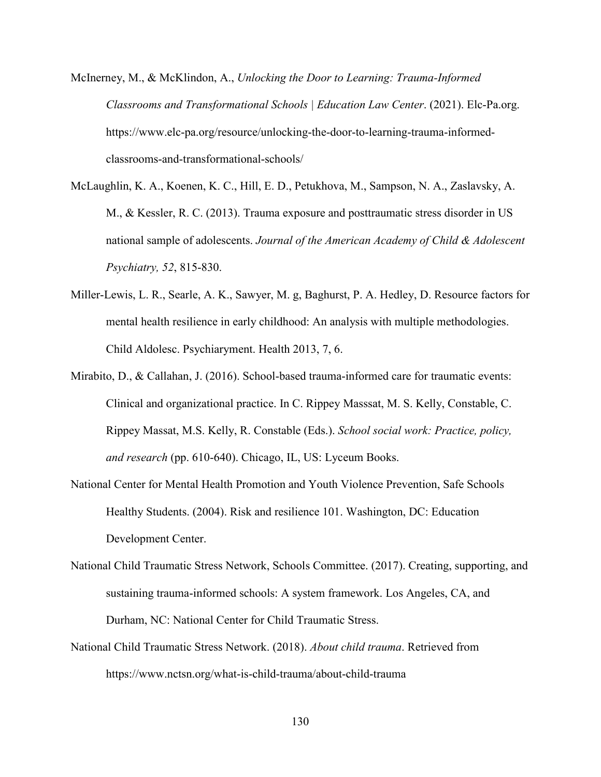- McInerney, M., & McKlindon, A., *Unlocking the Door to Learning: Trauma-Informed Classrooms and Transformational Schools | Education Law Center*. (2021). Elc-Pa.org. https://www.elc-pa.org/resource/unlocking-the-door-to-learning-trauma-informedclassrooms-and-transformational-schools/
- McLaughlin, K. A., Koenen, K. C., Hill, E. D., Petukhova, M., Sampson, N. A., Zaslavsky, A. M., & Kessler, R. C. (2013). Trauma exposure and posttraumatic stress disorder in US national sample of adolescents. *Journal of the American Academy of Child & Adolescent Psychiatry, 52*, 815-830.
- Miller-Lewis, L. R., Searle, A. K., Sawyer, M. g, Baghurst, P. A. Hedley, D. Resource factors for mental health resilience in early childhood: An analysis with multiple methodologies. Child Aldolesc. Psychiaryment. Health 2013, 7, 6.
- Mirabito, D., & Callahan, J. (2016). School-based trauma-informed care for traumatic events: Clinical and organizational practice. In C. Rippey Masssat, M. S. Kelly, Constable, C. Rippey Massat, M.S. Kelly, R. Constable (Eds.). *School social work: Practice, policy, and research* (pp. 610-640). Chicago, IL, US: Lyceum Books.
- National Center for Mental Health Promotion and Youth Violence Prevention, Safe Schools Healthy Students. (2004). Risk and resilience 101. Washington, DC: Education Development Center.
- National Child Traumatic Stress Network, Schools Committee. (2017). Creating, supporting, and sustaining trauma-informed schools: A system framework. Los Angeles, CA, and Durham, NC: National Center for Child Traumatic Stress.
- National Child Traumatic Stress Network. (2018). *About child trauma*. Retrieved from https://www.nctsn.org/what-is-child-trauma/about-child-trauma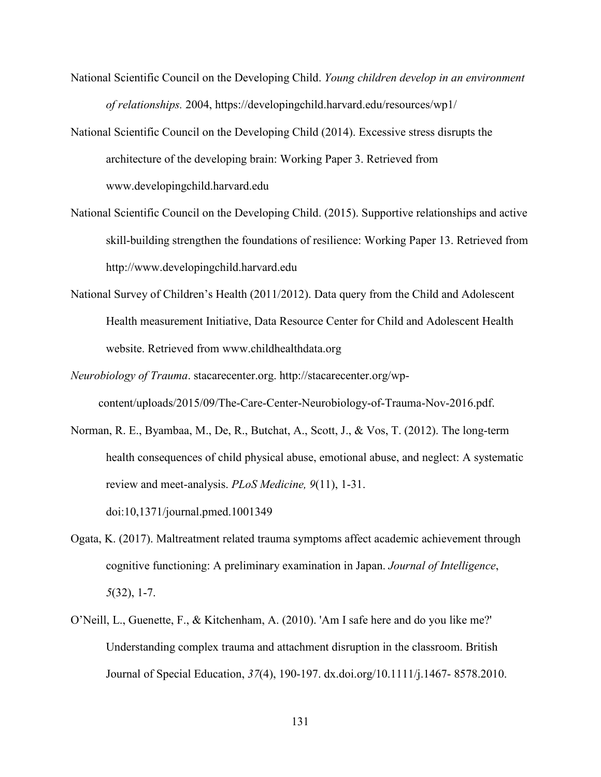- National Scientific Council on the Developing Child. *Young children develop in an environment of relationships.* 2004, https://developingchild.harvard.edu/resources/wp1/
- National Scientific Council on the Developing Child (2014). Excessive stress disrupts the architecture of the developing brain: Working Paper 3. Retrieved from www.developingchild.harvard.edu
- National Scientific Council on the Developing Child. (2015). Supportive relationships and active skill-building strengthen the foundations of resilience: Working Paper 13. Retrieved from http://www.developingchild.harvard.edu
- National Survey of Children's Health (2011/2012). Data query from the Child and Adolescent Health measurement Initiative, Data Resource Center for Child and Adolescent Health website. Retrieved from www.childhealthdata.org
- *Neurobiology of Trauma*. stacarecenter.org. http://stacarecenter.org/wpcontent/uploads/2015/09/The-Care-Center-Neurobiology-of-Trauma-Nov-2016.pdf.
- Norman, R. E., Byambaa, M., De, R., Butchat, A., Scott, J., & Vos, T. (2012). The long-term health consequences of child physical abuse, emotional abuse, and neglect: A systematic review and meet-analysis. *PLoS Medicine, 9*(11), 1-31. doi:10,1371/journal.pmed.1001349
- Ogata, K. (2017). Maltreatment related trauma symptoms affect academic achievement through cognitive functioning: A preliminary examination in Japan. *Journal of Intelligence*, *5*(32), 1-7.
- O'Neill, L., Guenette, F., & Kitchenham, A. (2010). 'Am I safe here and do you like me?' Understanding complex trauma and attachment disruption in the classroom. British Journal of Special Education, *37*(4), 190-197. dx.doi.org/10.1111/j.1467- 8578.2010.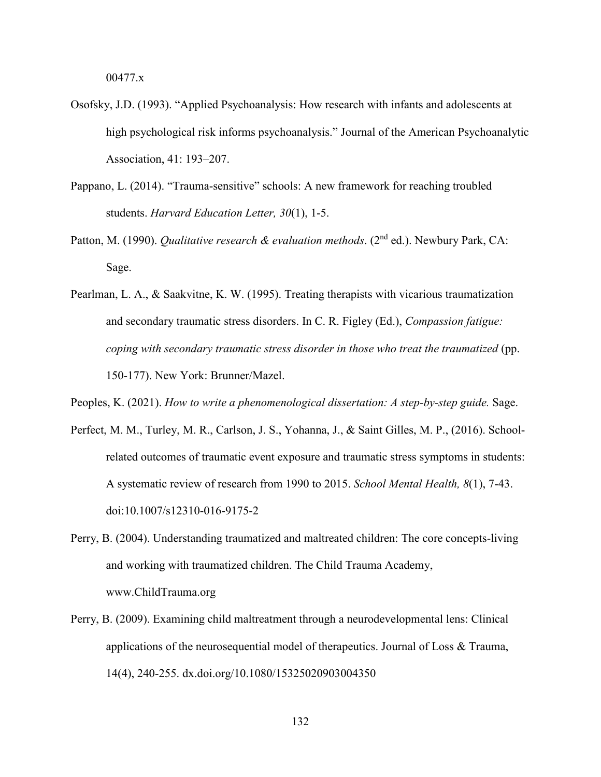00477.x

- Osofsky, J.D. (1993). "Applied Psychoanalysis: How research with infants and adolescents at high psychological risk informs psychoanalysis." Journal of the American Psychoanalytic Association, 41: 193–207.
- Pappano, L. (2014). "Trauma-sensitive" schools: A new framework for reaching troubled students. *Harvard Education Letter, 30*(1), 1-5.
- Patton, M. (1990). *Qualitative research & evaluation methods*. (2<sup>nd</sup> ed.). Newbury Park, CA: Sage.
- Pearlman, L. A., & Saakvitne, K. W. (1995). Treating therapists with vicarious traumatization and secondary traumatic stress disorders. In C. R. Figley (Ed.), *Compassion fatigue: coping with secondary traumatic stress disorder in those who treat the traumatized* (pp. 150-177). New York: Brunner/Mazel.
- Peoples, K. (2021). *How to write a phenomenological dissertation: A step-by-step guide.* Sage.
- Perfect, M. M., Turley, M. R., Carlson, J. S., Yohanna, J., & Saint Gilles, M. P., (2016). Schoolrelated outcomes of traumatic event exposure and traumatic stress symptoms in students: A systematic review of research from 1990 to 2015. *School Mental Health, 8*(1), 7-43. doi:10.1007/s12310-016-9175-2
- Perry, B. (2004). Understanding traumatized and maltreated children: The core concepts-living and working with traumatized children. The Child Trauma Academy, www.ChildTrauma.org
- Perry, B. (2009). Examining child maltreatment through a neurodevelopmental lens: Clinical applications of the neurosequential model of therapeutics. Journal of Loss  $\&$  Trauma, 14(4), 240-255. dx.doi.org/10.1080/15325020903004350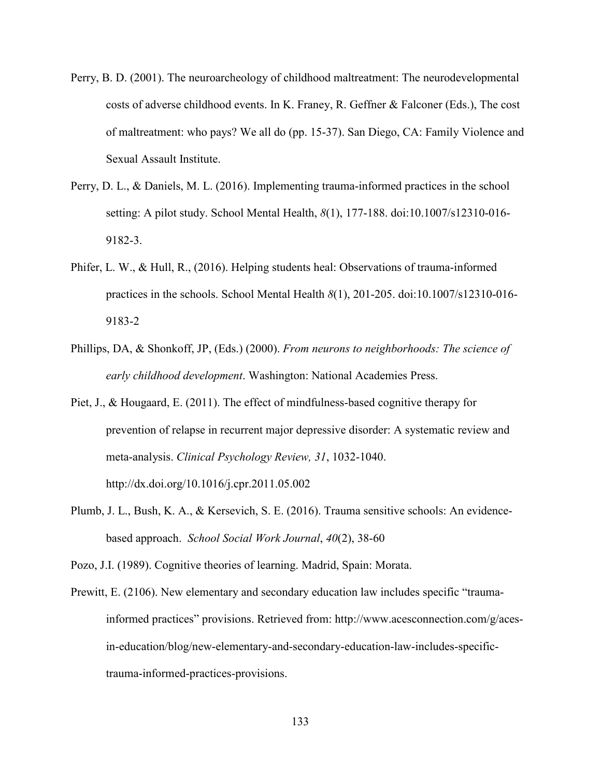- Perry, B. D. (2001). The neuroarcheology of childhood maltreatment: The neurodevelopmental costs of adverse childhood events. In K. Franey, R. Geffner & Falconer (Eds.), The cost of maltreatment: who pays? We all do (pp. 15-37). San Diego, CA: Family Violence and Sexual Assault Institute.
- Perry, D. L., & Daniels, M. L. (2016). Implementing trauma-informed practices in the school setting: A pilot study. School Mental Health, *8*(1), 177-188. doi:10.1007/s12310-016- 9182-3.
- Phifer, L. W., & Hull, R., (2016). Helping students heal: Observations of trauma-informed practices in the schools. School Mental Health *8*(1), 201-205. doi:10.1007/s12310-016- 9183-2
- Phillips, DA, & Shonkoff, JP, (Eds.) (2000). *From neurons to neighborhoods: The science of early childhood development*. Washington: National Academies Press.
- Piet, J., & Hougaard, E. (2011). The effect of mindfulness-based cognitive therapy for prevention of relapse in recurrent major depressive disorder: A systematic review and meta-analysis. *Clinical Psychology Review, 31*, 1032-1040. http://dx.doi.org/10.1016/j.cpr.2011.05.002
- Plumb, J. L., Bush, K. A., & Kersevich, S. E. (2016). Trauma sensitive schools: An evidencebased approach. *School Social Work Journal*, *40*(2), 38-60
- Pozo, J.I. (1989). Cognitive theories of learning. Madrid, Spain: Morata.
- Prewitt, E. (2106). New elementary and secondary education law includes specific "traumainformed practices" provisions. Retrieved from: http://www.acesconnection.com/g/acesin-education/blog/new-elementary-and-secondary-education-law-includes-specifictrauma-informed-practices-provisions.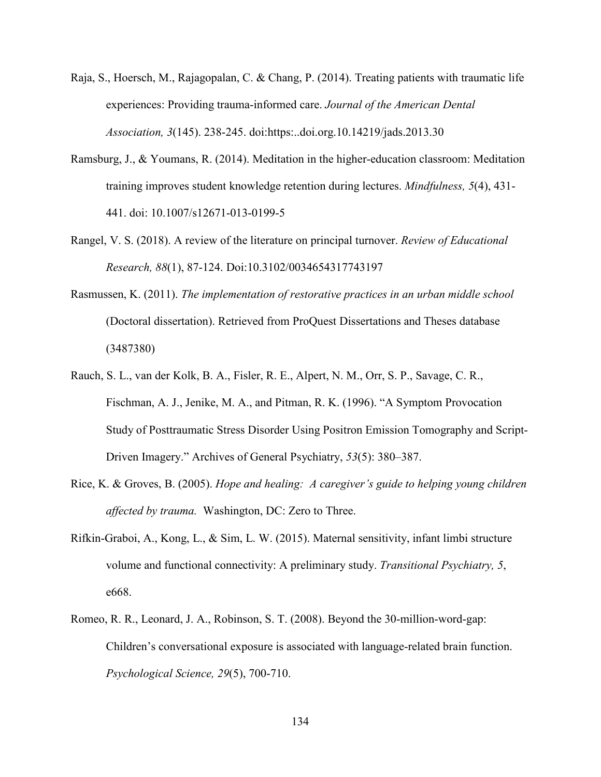- Raja, S., Hoersch, M., Rajagopalan, C. & Chang, P. (2014). Treating patients with traumatic life experiences: Providing trauma-informed care. *Journal of the American Dental Association, 3*(145). 238-245. doi:https:..doi.org.10.14219/jads.2013.30
- Ramsburg, J., & Youmans, R. (2014). Meditation in the higher-education classroom: Meditation training improves student knowledge retention during lectures. *Mindfulness, 5*(4), 431- 441. doi: 10.1007/s12671-013-0199-5
- Rangel, V. S. (2018). A review of the literature on principal turnover. *Review of Educational Research, 88*(1), 87-124. Doi:10.3102/0034654317743197
- Rasmussen, K. (2011). *The implementation of restorative practices in an urban middle school* (Doctoral dissertation). Retrieved from ProQuest Dissertations and Theses database (3487380)
- Rauch, S. L., van der Kolk, B. A., Fisler, R. E., Alpert, N. M., Orr, S. P., Savage, C. R., Fischman, A. J., Jenike, M. A., and Pitman, R. K. (1996). "A Symptom Provocation Study of Posttraumatic Stress Disorder Using Positron Emission Tomography and Script-Driven Imagery." Archives of General Psychiatry, *53*(5): 380–387.
- Rice, K. & Groves, B. (2005). *Hope and healing: A caregiver's guide to helping young children affected by trauma.* Washington, DC: Zero to Three.
- Rifkin-Graboi, A., Kong, L., & Sim, L. W. (2015). Maternal sensitivity, infant limbi structure volume and functional connectivity: A preliminary study. *Transitional Psychiatry, 5*, e668.
- Romeo, R. R., Leonard, J. A., Robinson, S. T. (2008). Beyond the 30-million-word-gap: Children's conversational exposure is associated with language-related brain function. *Psychological Science, 29*(5), 700-710.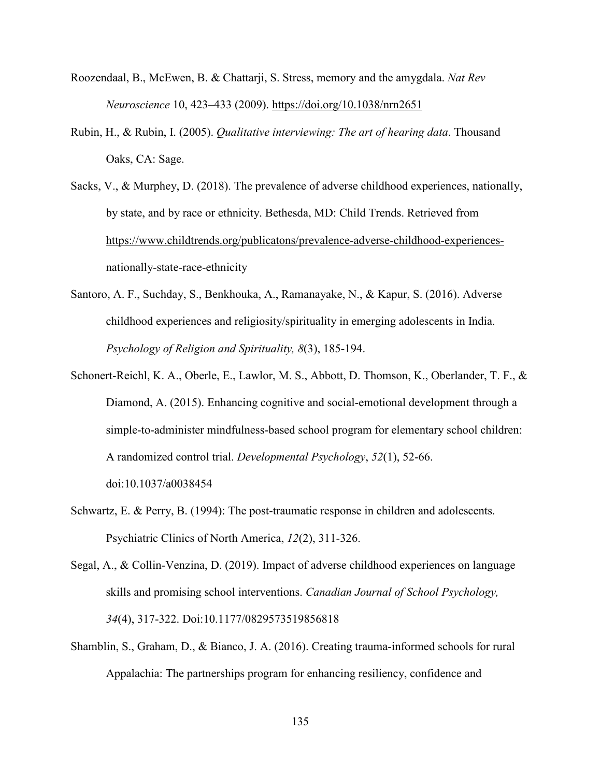- Roozendaal, B., McEwen, B. & Chattarji, S. Stress, memory and the amygdala. *Nat Rev Neuroscience* 10, 423–433 (2009).<https://doi.org/10.1038/nrn2651>
- Rubin, H., & Rubin, I. (2005). *Qualitative interviewing: The art of hearing data*. Thousand Oaks, CA: Sage.
- Sacks, V., & Murphey, D. (2018). The prevalence of adverse childhood experiences, nationally, by state, and by race or ethnicity. Bethesda, MD: Child Trends. Retrieved from [https://www.childtrends.org/publicatons/prevalence-adverse-childhood-experiences](https://www.childtrends.org/publicatons/prevalence-adverse-childhood-experiences-)nationally-state-race-ethnicity
- Santoro, A. F., Suchday, S., Benkhouka, A., Ramanayake, N., & Kapur, S. (2016). Adverse childhood experiences and religiosity/spirituality in emerging adolescents in India. *Psychology of Religion and Spirituality, 8*(3), 185-194.
- Schonert-Reichl, K. A., Oberle, E., Lawlor, M. S., Abbott, D. Thomson, K., Oberlander, T. F., & Diamond, A. (2015). Enhancing cognitive and social-emotional development through a simple-to-administer mindfulness-based school program for elementary school children: A randomized control trial. *Developmental Psychology*, *52*(1), 52-66. doi:10.1037/a0038454
- Schwartz, E. & Perry, B. (1994): The post-traumatic response in children and adolescents. Psychiatric Clinics of North America, *12*(2), 311-326.
- Segal, A., & Collin-Venzina, D. (2019). Impact of adverse childhood experiences on language skills and promising school interventions. *Canadian Journal of School Psychology, 34*(4), 317-322. Doi:10.1177/0829573519856818
- Shamblin, S., Graham, D., & Bianco, J. A. (2016). Creating trauma-informed schools for rural Appalachia: The partnerships program for enhancing resiliency, confidence and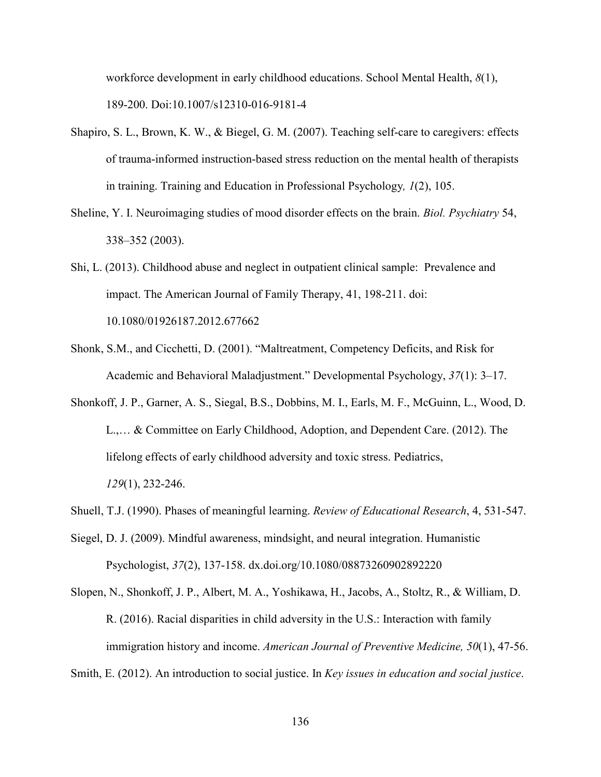workforce development in early childhood educations. School Mental Health, *8*(1), 189-200. Doi:10.1007/s12310-016-9181-4

- Shapiro, S. L., Brown, K. W., & Biegel, G. M. (2007). Teaching self-care to caregivers: effects of trauma-informed instruction-based stress reduction on the mental health of therapists in training. Training and Education in Professional Psychology*, 1*(2), 105.
- Sheline, Y. I. Neuroimaging studies of mood disorder effects on the brain. *Biol. Psychiatry* 54, 338–352 (2003).
- Shi, L. (2013). Childhood abuse and neglect in outpatient clinical sample: Prevalence and impact. The American Journal of Family Therapy, 41, 198-211. doi: 10.1080/01926187.2012.677662
- Shonk, S.M., and Cicchetti, D. (2001). "Maltreatment, Competency Deficits, and Risk for Academic and Behavioral Maladjustment." Developmental Psychology, *37*(1): 3–17.
- Shonkoff, J. P., Garner, A. S., Siegal, B.S., Dobbins, M. I., Earls, M. F., McGuinn, L., Wood, D. L.,… & Committee on Early Childhood, Adoption, and Dependent Care. (2012). The lifelong effects of early childhood adversity and toxic stress. Pediatrics, *129*(1), 232-246.
- Shuell, T.J. (1990). Phases of meaningful learning. *Review of Educational Research*, 4, 531-547.
- Siegel, D. J. (2009). Mindful awareness, mindsight, and neural integration. Humanistic Psychologist, *37*(2), 137-158. dx.doi.org/10.1080/08873260902892220
- Slopen, N., Shonkoff, J. P., Albert, M. A., Yoshikawa, H., Jacobs, A., Stoltz, R., & William, D. R. (2016). Racial disparities in child adversity in the U.S.: Interaction with family immigration history and income. *American Journal of Preventive Medicine, 50*(1), 47-56.
- Smith, E. (2012). An introduction to social justice. In *Key issues in education and social justice*.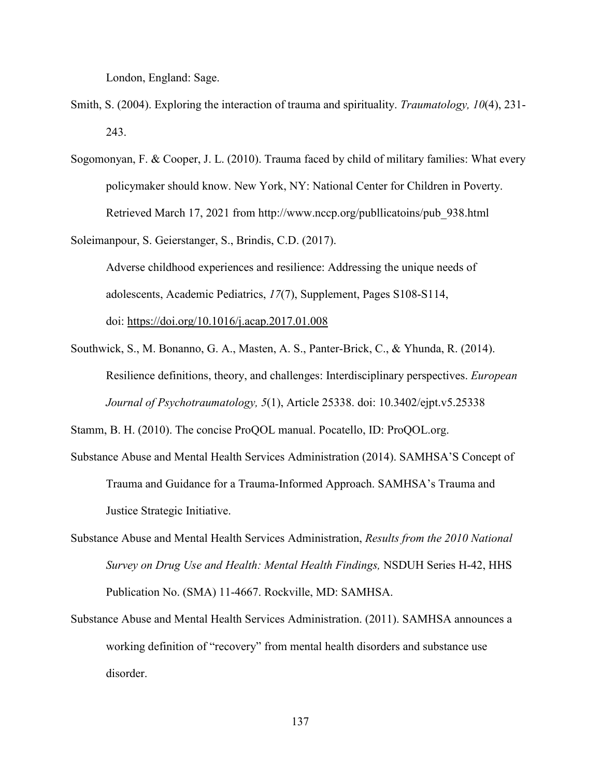London, England: Sage.

- Smith, S. (2004). Exploring the interaction of trauma and spirituality. *Traumatology, 10*(4), 231- 243.
- Sogomonyan, F. & Cooper, J. L. (2010). Trauma faced by child of military families: What every policymaker should know. New York, NY: National Center for Children in Poverty. Retrieved March 17, 2021 from http://www.nccp.org/publlicatoins/pub\_938.html

Soleimanpour, S. Geierstanger, S., Brindis, C.D. (2017). Adverse childhood experiences and resilience: Addressing the unique needs of adolescents, Academic Pediatrics, *17*(7), Supplement, Pages S108-S114, doi:<https://doi.org/10.1016/j.acap.2017.01.008>

Southwick, S., M. Bonanno, G. A., Masten, A. S., Panter-Brick, C., & Yhunda, R. (2014). Resilience definitions, theory, and challenges: Interdisciplinary perspectives. *European Journal of Psychotraumatology, 5*(1), Article 25338. doi: 10.3402/ejpt.v5.25338

Stamm, B. H. (2010). The concise ProQOL manual. Pocatello, ID: ProQOL.org.

- Substance Abuse and Mental Health Services Administration (2014). SAMHSA'S Concept of Trauma and Guidance for a Trauma-Informed Approach. SAMHSA's Trauma and Justice Strategic Initiative.
- Substance Abuse and Mental Health Services Administration, *Results from the 2010 National Survey on Drug Use and Health: Mental Health Findings,* NSDUH Series H-42, HHS Publication No. (SMA) 11-4667. Rockville, MD: SAMHSA.
- Substance Abuse and Mental Health Services Administration. (2011). SAMHSA announces a working definition of "recovery" from mental health disorders and substance use disorder.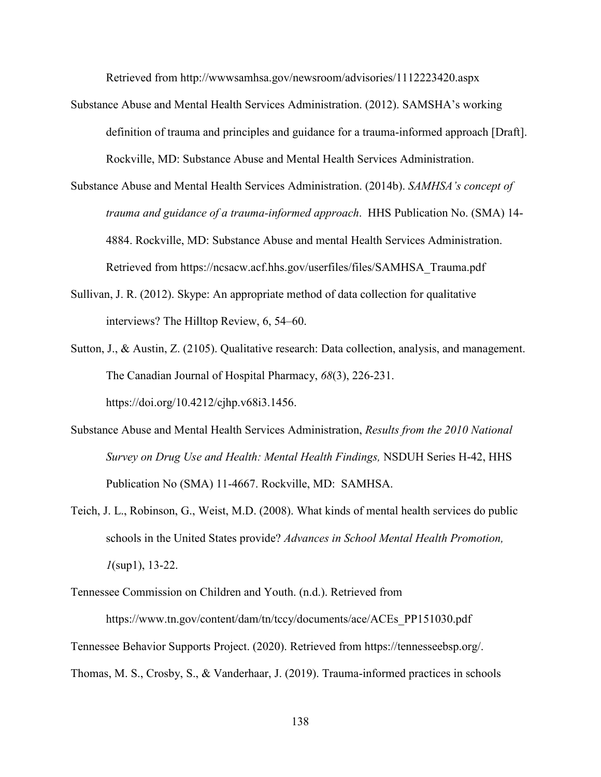Retrieved from http://wwwsamhsa.gov/newsroom/advisories/1112223420.aspx

- Substance Abuse and Mental Health Services Administration. (2012). SAMSHA's working definition of trauma and principles and guidance for a trauma-informed approach [Draft]. Rockville, MD: Substance Abuse and Mental Health Services Administration.
- Substance Abuse and Mental Health Services Administration. (2014b). *SAMHSA's concept of trauma and guidance of a trauma-informed approach*. HHS Publication No. (SMA) 14- 4884. Rockville, MD: Substance Abuse and mental Health Services Administration. Retrieved from https://ncsacw.acf.hhs.gov/userfiles/files/SAMHSA\_Trauma.pdf
- Sullivan, J. R. (2012). Skype: An appropriate method of data collection for qualitative interviews? The Hilltop Review, 6, 54–60.
- Sutton, J., & Austin, Z. (2105). Qualitative research: Data collection, analysis, and management. The Canadian Journal of Hospital Pharmacy, *68*(3), 226-231. https://doi.org/10.4212/cjhp.v68i3.1456.
- Substance Abuse and Mental Health Services Administration, *Results from the 2010 National Survey on Drug Use and Health: Mental Health Findings,* NSDUH Series H-42, HHS Publication No (SMA) 11-4667. Rockville, MD: SAMHSA.
- Teich, J. L., Robinson, G., Weist, M.D. (2008). What kinds of mental health services do public schools in the United States provide? *Advances in School Mental Health Promotion, 1*(sup1), 13-22.

https://www.tn.gov/content/dam/tn/tccy/documents/ace/ACEs\_PP151030.pdf Tennessee Behavior Supports Project. (2020). Retrieved from https://tennesseebsp.org/. Thomas, M. S., Crosby, S., & Vanderhaar, J. (2019). Trauma-informed practices in schools

Tennessee Commission on Children and Youth. (n.d.). Retrieved from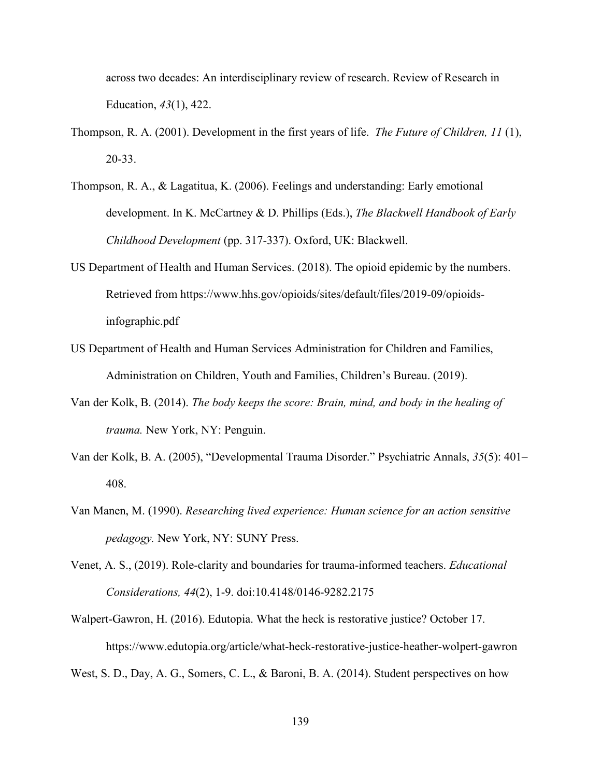across two decades: An interdisciplinary review of research. Review of Research in Education, *43*(1), 422.

- Thompson, R. A. (2001). Development in the first years of life. *The Future of Children, 11* (1), 20-33.
- Thompson, R. A., & Lagatitua, K. (2006). Feelings and understanding: Early emotional development. In K. McCartney & D. Phillips (Eds.), *The Blackwell Handbook of Early Childhood Development* (pp. 317-337). Oxford, UK: Blackwell.
- US Department of Health and Human Services. (2018). The opioid epidemic by the numbers. Retrieved from https://www.hhs.gov/opioids/sites/default/files/2019-09/opioidsinfographic.pdf
- US Department of Health and Human Services Administration for Children and Families, Administration on Children, Youth and Families, Children's Bureau. (2019).
- Van der Kolk, B. (2014). *The body keeps the score: Brain, mind, and body in the healing of trauma.* New York, NY: Penguin.
- Van der Kolk, B. A. (2005), "Developmental Trauma Disorder." Psychiatric Annals, *35*(5): 401– 408.
- Van Manen, M. (1990). *Researching lived experience: Human science for an action sensitive pedagogy.* New York, NY: SUNY Press.
- Venet, A. S., (2019). Role-clarity and boundaries for trauma-informed teachers. *Educational Considerations, 44*(2), 1-9. doi:10.4148/0146-9282.2175
- Walpert-Gawron, H. (2016). Edutopia. What the heck is restorative justice? October 17. https://www.edutopia.org/article/what-heck-restorative-justice-heather-wolpert-gawron

West, S. D., Day, A. G., Somers, C. L., & Baroni, B. A. (2014). Student perspectives on how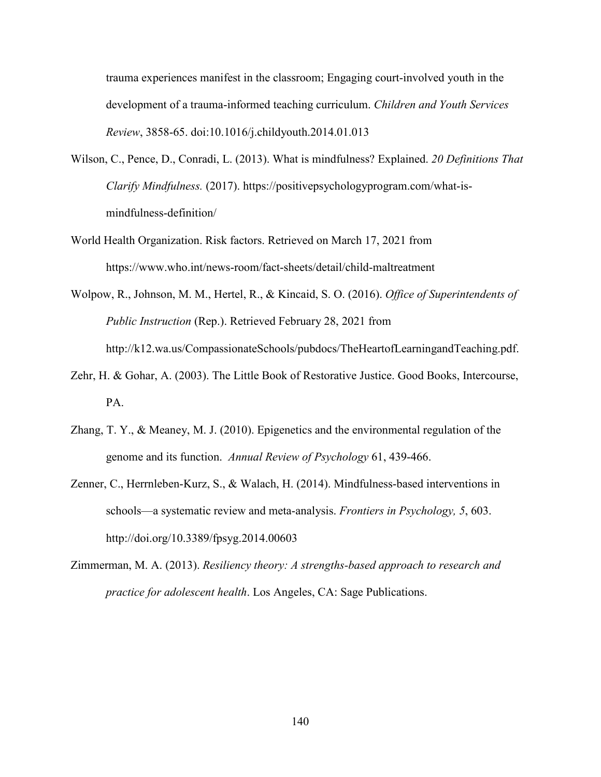trauma experiences manifest in the classroom; Engaging court-involved youth in the development of a trauma-informed teaching curriculum. *Children and Youth Services Review*, 3858-65. doi:10.1016/j.childyouth.2014.01.013

- Wilson, C., Pence, D., Conradi, L. (2013). What is mindfulness? Explained. *20 Definitions That Clarify Mindfulness.* (2017). https://positivepsychologyprogram.com/what-ismindfulness-definition/
- World Health Organization. Risk factors. Retrieved on March 17, 2021 from https://www.who.int/news-room/fact-sheets/detail/child-maltreatment
- Wolpow, R., Johnson, M. M., Hertel, R., & Kincaid, S. O. (2016). *Office of Superintendents of Public Instruction* (Rep.). Retrieved February 28, 2021 from http://k12.wa.us/CompassionateSchools/pubdocs/TheHeartofLearningandTeaching.pdf.
- Zehr, H. & Gohar, A. (2003). The Little Book of Restorative Justice. Good Books, Intercourse, PA.
- Zhang, T. Y., & Meaney, M. J. (2010). Epigenetics and the environmental regulation of the genome and its function. *Annual Review of Psychology* 61, 439-466.
- Zenner, C., Herrnleben-Kurz, S., & Walach, H. (2014). Mindfulness-based interventions in schools—a systematic review and meta-analysis. *Frontiers in Psychology, 5*, 603. http://doi.org/10.3389/fpsyg.2014.00603
- Zimmerman, M. A. (2013). *Resiliency theory: A strengths-based approach to research and practice for adolescent health*. Los Angeles, CA: Sage Publications.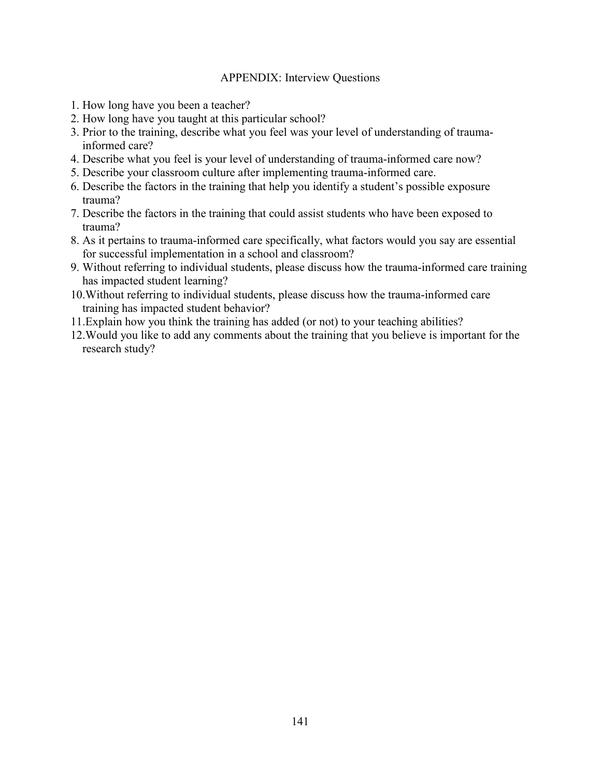# APPENDIX: Interview Questions

- 1. How long have you been a teacher?
- 2. How long have you taught at this particular school?
- 3. Prior to the training, describe what you feel was your level of understanding of trauma informed care?
- 4. Describe what you feel is your level of understanding of trauma-informed care now?
- 5. Describe your classroom culture after implementing trauma-informed care.
- 6. Describe the factors in the training that help you identify a student's possible exposure trauma?
- 7. Describe the factors in the training that could assist students who have been exposed to trauma?
- 8. As it pertains to trauma-informed care specifically, what factors would you say are essential for successful implementation in a school and classroom?
- 9. Without referring to individual students, please discuss how the trauma-informed care training has impacted student learning?
- 10.Without referring to individual students, please discuss how the trauma-informed care training has impacted student behavior?
- 11.Explain how you think the training has added (or not) to your teaching abilities?
- 12.Would you like to add any comments about the training that you believe is important for the research study?